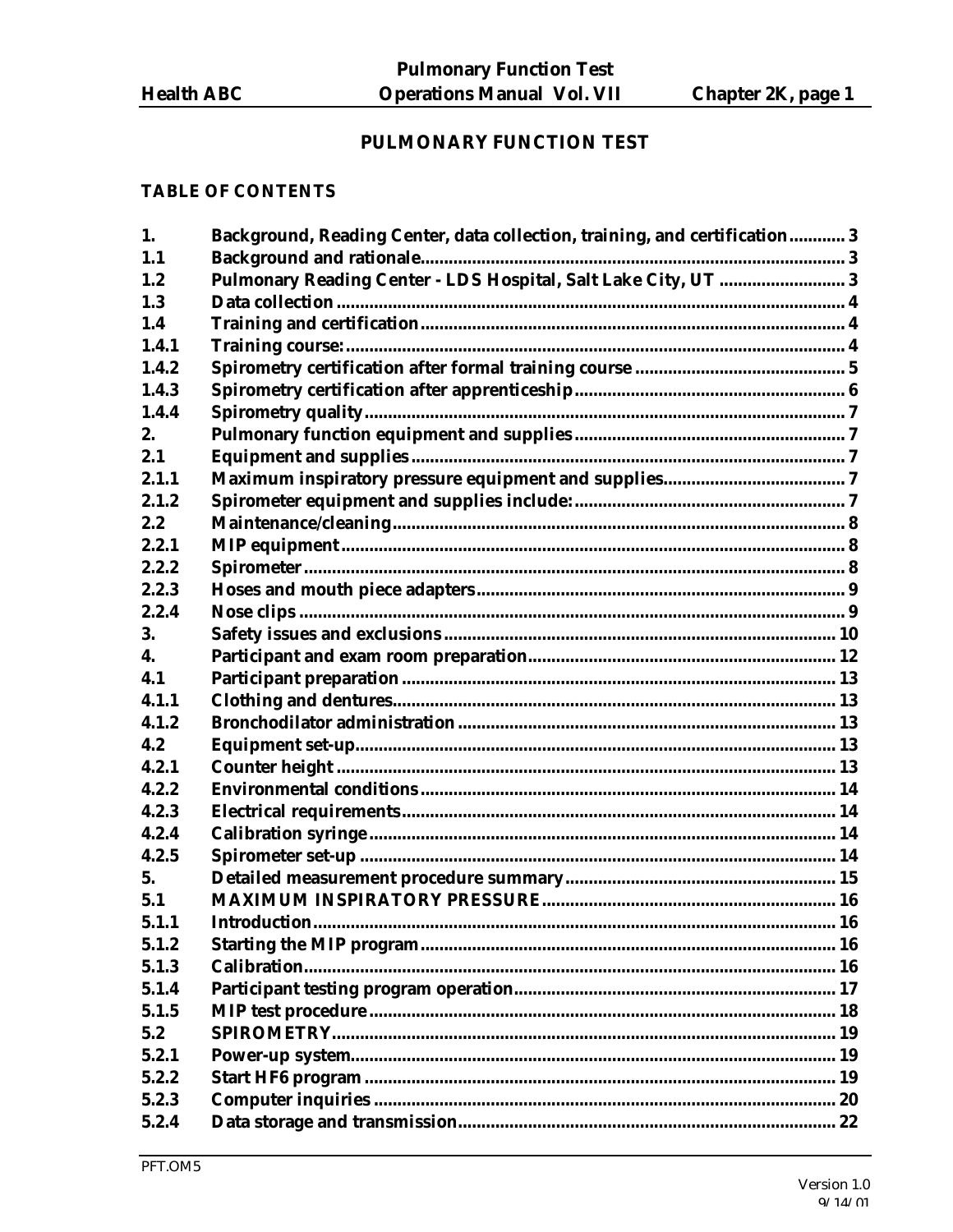## PULMONARY FUNCTION TEST

#### **TABLE OF CONTENTS**

| 1.1<br>Pulmonary Reading Center - LDS Hospital, Salt Lake City, UT  3<br>1.2<br>1.3<br>1.4<br>1.4.1<br>1.4.2<br>1.4.3<br>1.4.4<br>2.<br>2.1<br>2.1.1<br>2.1.2<br>2.2<br>2.2.1<br>2.2.2<br>2.2.3<br>2.2.4<br>3.<br>4.<br>4.1<br>4.1.1<br>4.1.2<br>4.2<br>4.2.1<br>4.2.2<br>4.2.3<br>4.2.4<br>4.2.5<br>5.<br>5.1<br>5.1.1<br>5.1.2<br>5.1.3<br>5.1.4<br>5.1.5<br>5.2<br>5.2.1<br>5.2.2<br>5.2.3<br>5.2.4 | 1. | Background, Reading Center, data collection, training, and certification 3 |  |
|--------------------------------------------------------------------------------------------------------------------------------------------------------------------------------------------------------------------------------------------------------------------------------------------------------------------------------------------------------------------------------------------------------|----|----------------------------------------------------------------------------|--|
|                                                                                                                                                                                                                                                                                                                                                                                                        |    |                                                                            |  |
|                                                                                                                                                                                                                                                                                                                                                                                                        |    |                                                                            |  |
|                                                                                                                                                                                                                                                                                                                                                                                                        |    |                                                                            |  |
|                                                                                                                                                                                                                                                                                                                                                                                                        |    |                                                                            |  |
|                                                                                                                                                                                                                                                                                                                                                                                                        |    |                                                                            |  |
|                                                                                                                                                                                                                                                                                                                                                                                                        |    |                                                                            |  |
|                                                                                                                                                                                                                                                                                                                                                                                                        |    |                                                                            |  |
|                                                                                                                                                                                                                                                                                                                                                                                                        |    |                                                                            |  |
|                                                                                                                                                                                                                                                                                                                                                                                                        |    |                                                                            |  |
|                                                                                                                                                                                                                                                                                                                                                                                                        |    |                                                                            |  |
|                                                                                                                                                                                                                                                                                                                                                                                                        |    |                                                                            |  |
|                                                                                                                                                                                                                                                                                                                                                                                                        |    |                                                                            |  |
|                                                                                                                                                                                                                                                                                                                                                                                                        |    |                                                                            |  |
|                                                                                                                                                                                                                                                                                                                                                                                                        |    |                                                                            |  |
|                                                                                                                                                                                                                                                                                                                                                                                                        |    |                                                                            |  |
|                                                                                                                                                                                                                                                                                                                                                                                                        |    |                                                                            |  |
|                                                                                                                                                                                                                                                                                                                                                                                                        |    |                                                                            |  |
|                                                                                                                                                                                                                                                                                                                                                                                                        |    |                                                                            |  |
|                                                                                                                                                                                                                                                                                                                                                                                                        |    |                                                                            |  |
|                                                                                                                                                                                                                                                                                                                                                                                                        |    |                                                                            |  |
|                                                                                                                                                                                                                                                                                                                                                                                                        |    |                                                                            |  |
|                                                                                                                                                                                                                                                                                                                                                                                                        |    |                                                                            |  |
|                                                                                                                                                                                                                                                                                                                                                                                                        |    |                                                                            |  |
|                                                                                                                                                                                                                                                                                                                                                                                                        |    |                                                                            |  |
|                                                                                                                                                                                                                                                                                                                                                                                                        |    |                                                                            |  |
|                                                                                                                                                                                                                                                                                                                                                                                                        |    |                                                                            |  |
|                                                                                                                                                                                                                                                                                                                                                                                                        |    |                                                                            |  |
|                                                                                                                                                                                                                                                                                                                                                                                                        |    |                                                                            |  |
|                                                                                                                                                                                                                                                                                                                                                                                                        |    |                                                                            |  |
|                                                                                                                                                                                                                                                                                                                                                                                                        |    |                                                                            |  |
|                                                                                                                                                                                                                                                                                                                                                                                                        |    |                                                                            |  |
|                                                                                                                                                                                                                                                                                                                                                                                                        |    |                                                                            |  |
|                                                                                                                                                                                                                                                                                                                                                                                                        |    |                                                                            |  |
|                                                                                                                                                                                                                                                                                                                                                                                                        |    |                                                                            |  |
|                                                                                                                                                                                                                                                                                                                                                                                                        |    |                                                                            |  |
|                                                                                                                                                                                                                                                                                                                                                                                                        |    |                                                                            |  |
|                                                                                                                                                                                                                                                                                                                                                                                                        |    |                                                                            |  |
|                                                                                                                                                                                                                                                                                                                                                                                                        |    |                                                                            |  |
|                                                                                                                                                                                                                                                                                                                                                                                                        |    |                                                                            |  |
|                                                                                                                                                                                                                                                                                                                                                                                                        |    |                                                                            |  |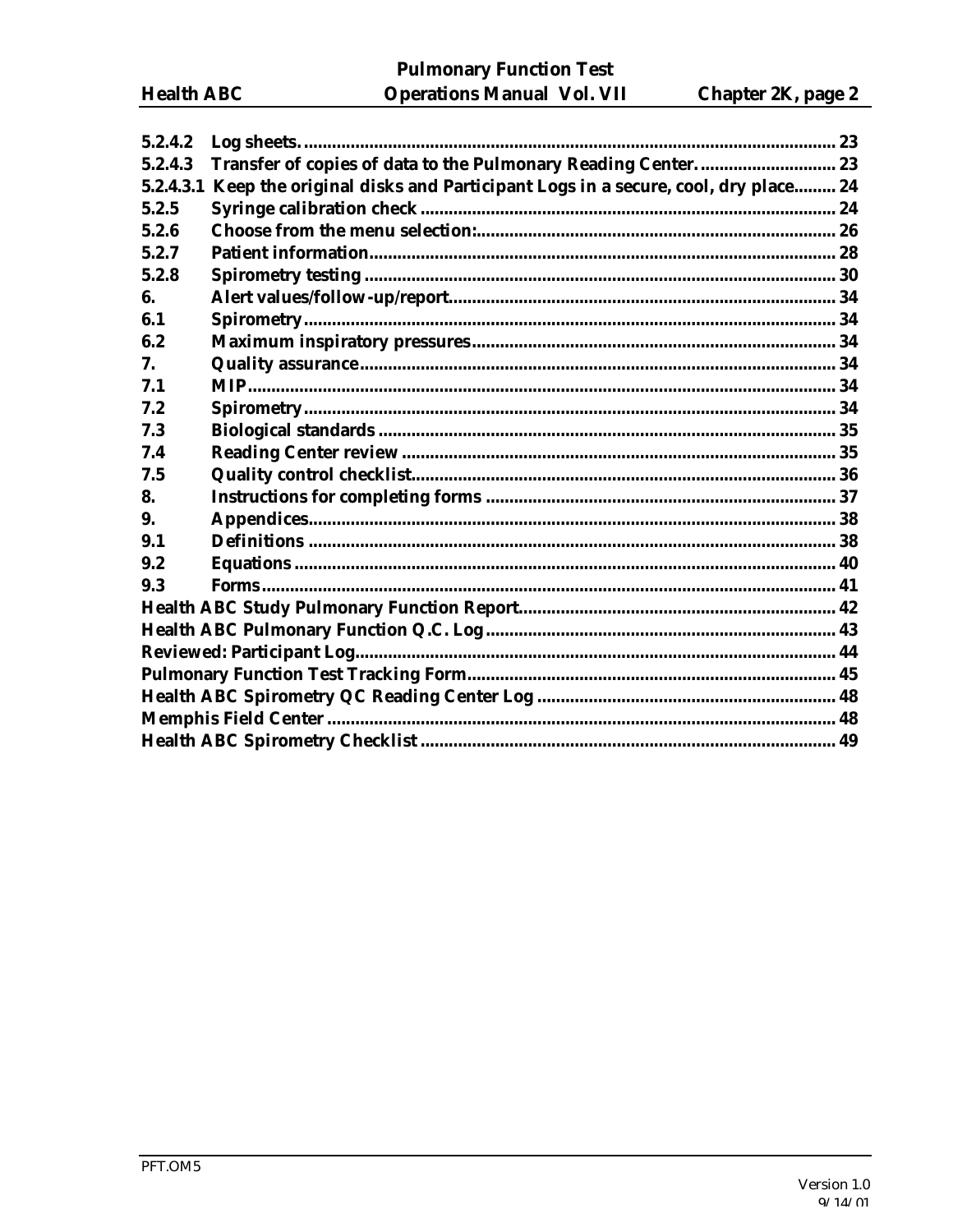**Pulmonary Function Test Operations Manual Vol. VII** 

| 5.2.4.2   |                                                                              |  |
|-----------|------------------------------------------------------------------------------|--|
| 5.2.4.3   | Transfer of copies of data to the Pulmonary Reading Center 23                |  |
| 5.2.4.3.1 | Keep the original disks and Participant Logs in a secure, cool, dry place 24 |  |
| 5.2.5     |                                                                              |  |
| 5.2.6     |                                                                              |  |
| 5.2.7     |                                                                              |  |
| 5.2.8     |                                                                              |  |
| 6.        |                                                                              |  |
| 6.1       |                                                                              |  |
| 6.2       |                                                                              |  |
| 7.        |                                                                              |  |
| 7.1       |                                                                              |  |
| 7.2       |                                                                              |  |
| 7.3       |                                                                              |  |
| 7.4       |                                                                              |  |
| 7.5       |                                                                              |  |
| 8.        |                                                                              |  |
| 9.        |                                                                              |  |
| 9.1       |                                                                              |  |
| 9.2       |                                                                              |  |
| 9.3       |                                                                              |  |
|           |                                                                              |  |
|           |                                                                              |  |
|           |                                                                              |  |
|           |                                                                              |  |
|           |                                                                              |  |
|           |                                                                              |  |
|           |                                                                              |  |
|           |                                                                              |  |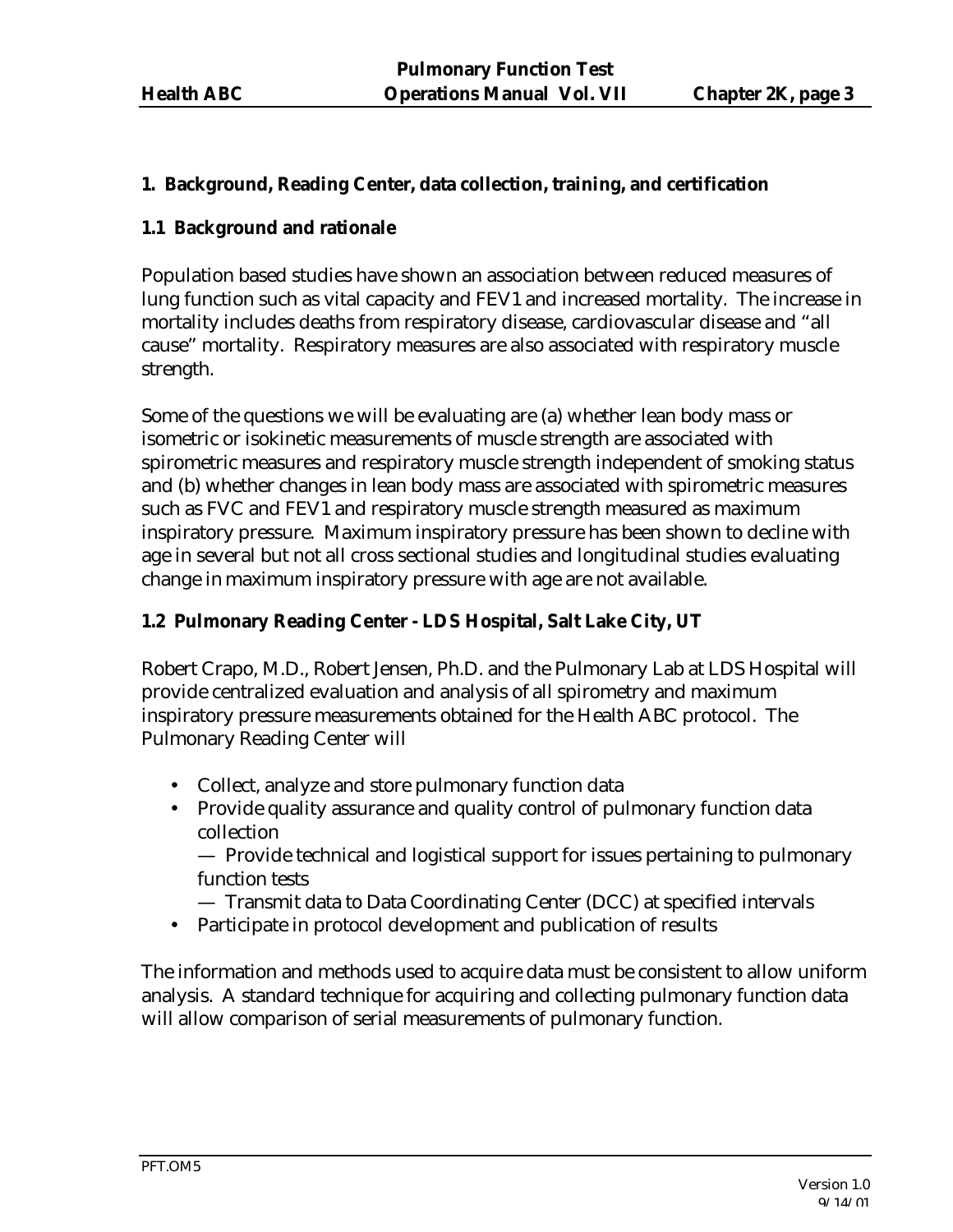#### **1. Background, Reading Center, data collection, training, and certification**

#### **1.1 Background and rationale**

Population based studies have shown an association between reduced measures of lung function such as vital capacity and FEV1 and increased mortality. The increase in mortality includes deaths from respiratory disease, cardiovascular disease and "all cause" mortality. Respiratory measures are also associated with respiratory muscle strength.

Some of the questions we will be evaluating are (a) whether lean body mass or isometric or isokinetic measurements of muscle strength are associated with spirometric measures and respiratory muscle strength independent of smoking status and (b) whether changes in lean body mass are associated with spirometric measures such as FVC and FEV1 and respiratory muscle strength measured as maximum inspiratory pressure. Maximum inspiratory pressure has been shown to decline with age in several but not all cross sectional studies and longitudinal studies evaluating change in maximum inspiratory pressure with age are not available.

## **1.2 Pulmonary Reading Center - LDS Hospital, Salt Lake City, UT**

Robert Crapo, M.D., Robert Jensen, Ph.D. and the Pulmonary Lab at LDS Hospital will provide centralized evaluation and analysis of all spirometry and maximum inspiratory pressure measurements obtained for the Health ABC protocol. The Pulmonary Reading Center will

- Collect, analyze and store pulmonary function data
- Provide quality assurance and quality control of pulmonary function data collection

— Provide technical and logistical support for issues pertaining to pulmonary function tests

- Transmit data to Data Coordinating Center (DCC) at specified intervals
- Participate in protocol development and publication of results

The information and methods used to acquire data must be consistent to allow uniform analysis. A standard technique for acquiring and collecting pulmonary function data will allow comparison of serial measurements of pulmonary function.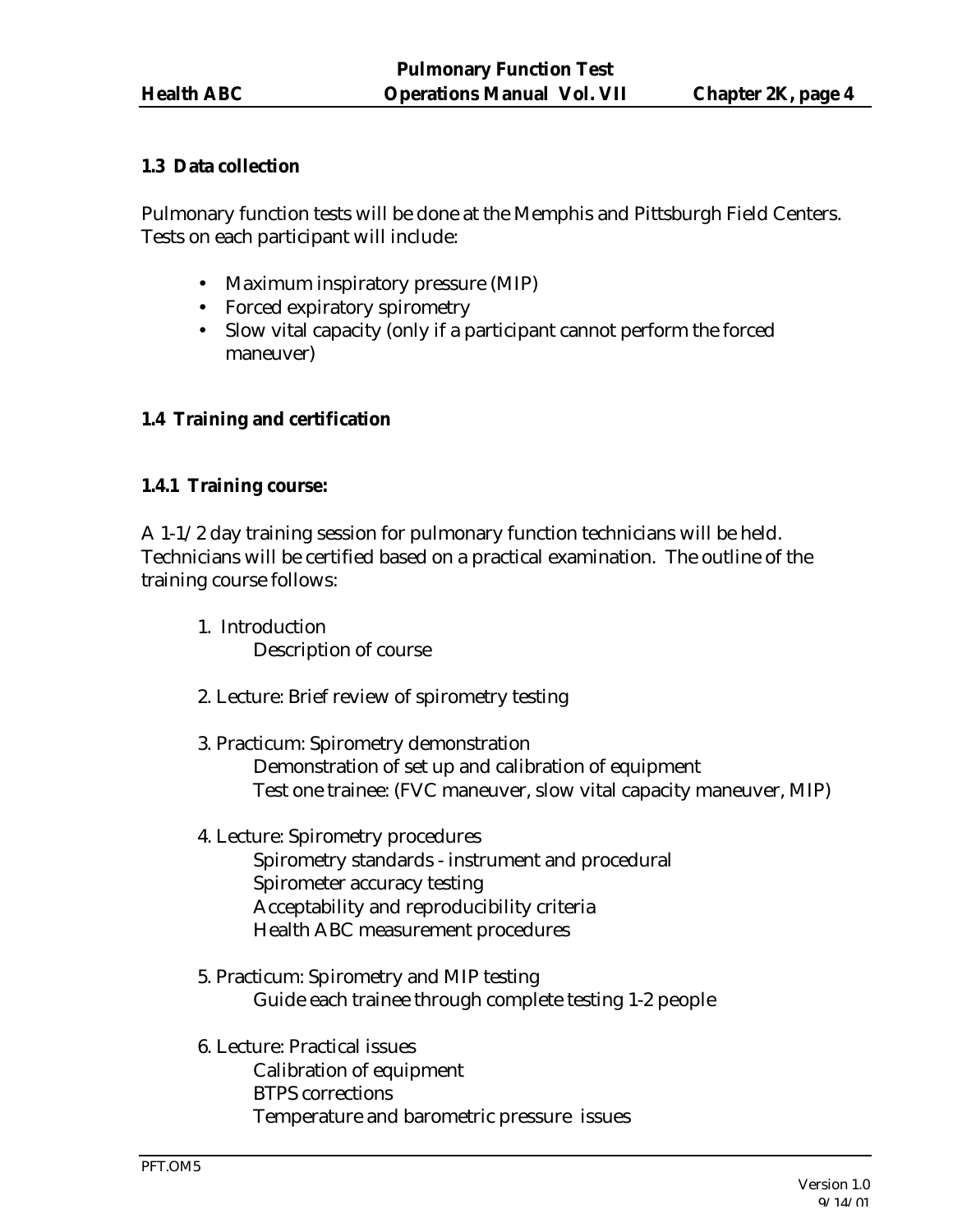### **1.3 Data collection**

Pulmonary function tests will be done at the Memphis and Pittsburgh Field Centers. Tests on each participant will include:

- Maximum inspiratory pressure (MIP)
- Forced expiratory spirometry
- Slow vital capacity (only if a participant cannot perform the forced maneuver)

## **1.4 Training and certification**

## **1.4.1 Training course:**

A 1-1/2 day training session for pulmonary function technicians will be held. Technicians will be certified based on a practical examination. The outline of the training course follows:

- 1. Introduction Description of course
- 2. Lecture: Brief review of spirometry testing
- 3. Practicum: Spirometry demonstration Demonstration of set up and calibration of equipment Test one trainee: (FVC maneuver, slow vital capacity maneuver, MIP)
- 4. Lecture: Spirometry procedures Spirometry standards - instrument and procedural Spirometer accuracy testing Acceptability and reproducibility criteria Health ABC measurement procedures
- 5. Practicum: Spirometry and MIP testing Guide each trainee through complete testing 1-2 people
- 6. Lecture: Practical issues Calibration of equipment BTPS corrections Temperature and barometric pressure issues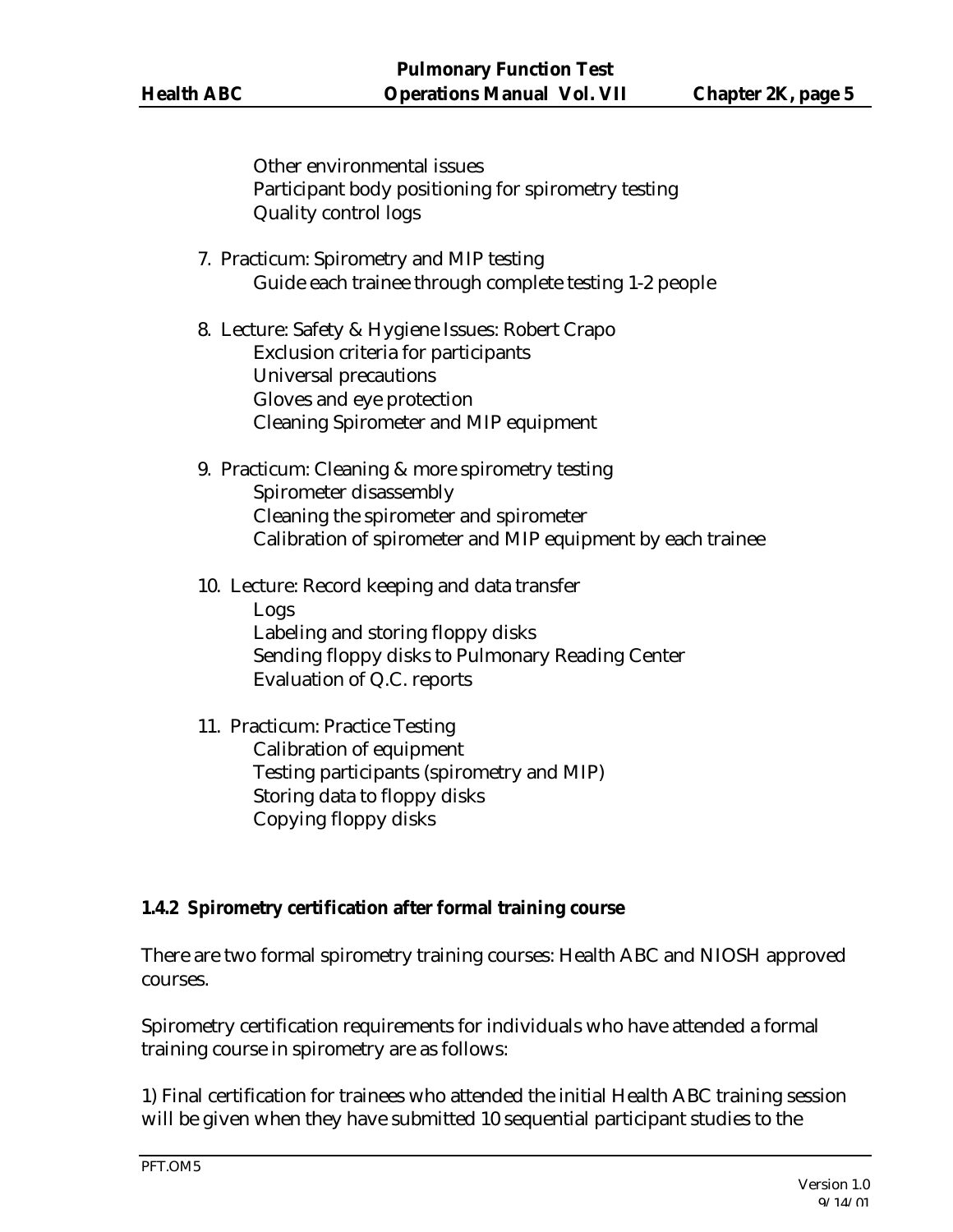Other environmental issues Participant body positioning for spirometry testing Quality control logs

- 7. Practicum: Spirometry and MIP testing Guide each trainee through complete testing 1-2 people
- 8. Lecture: Safety & Hygiene Issues: Robert Crapo Exclusion criteria for participants Universal precautions Gloves and eye protection Cleaning Spirometer and MIP equipment
- 9. Practicum: Cleaning & more spirometry testing Spirometer disassembly Cleaning the spirometer and spirometer Calibration of spirometer and MIP equipment by each trainee
- 10. Lecture: Record keeping and data transfer Logs Labeling and storing floppy disks Sending floppy disks to Pulmonary Reading Center Evaluation of Q.C. reports
- 11. Practicum: Practice Testing Calibration of equipment Testing participants (spirometry and MIP) Storing data to floppy disks Copying floppy disks

#### **1.4.2 Spirometry certification after formal training course**

There are two formal spirometry training courses: Health ABC and NIOSH approved courses.

Spirometry certification requirements for individuals who have attended a formal training course in spirometry are as follows:

1) Final certification for trainees who attended the initial Health ABC training session will be given when they have submitted 10 sequential participant studies to the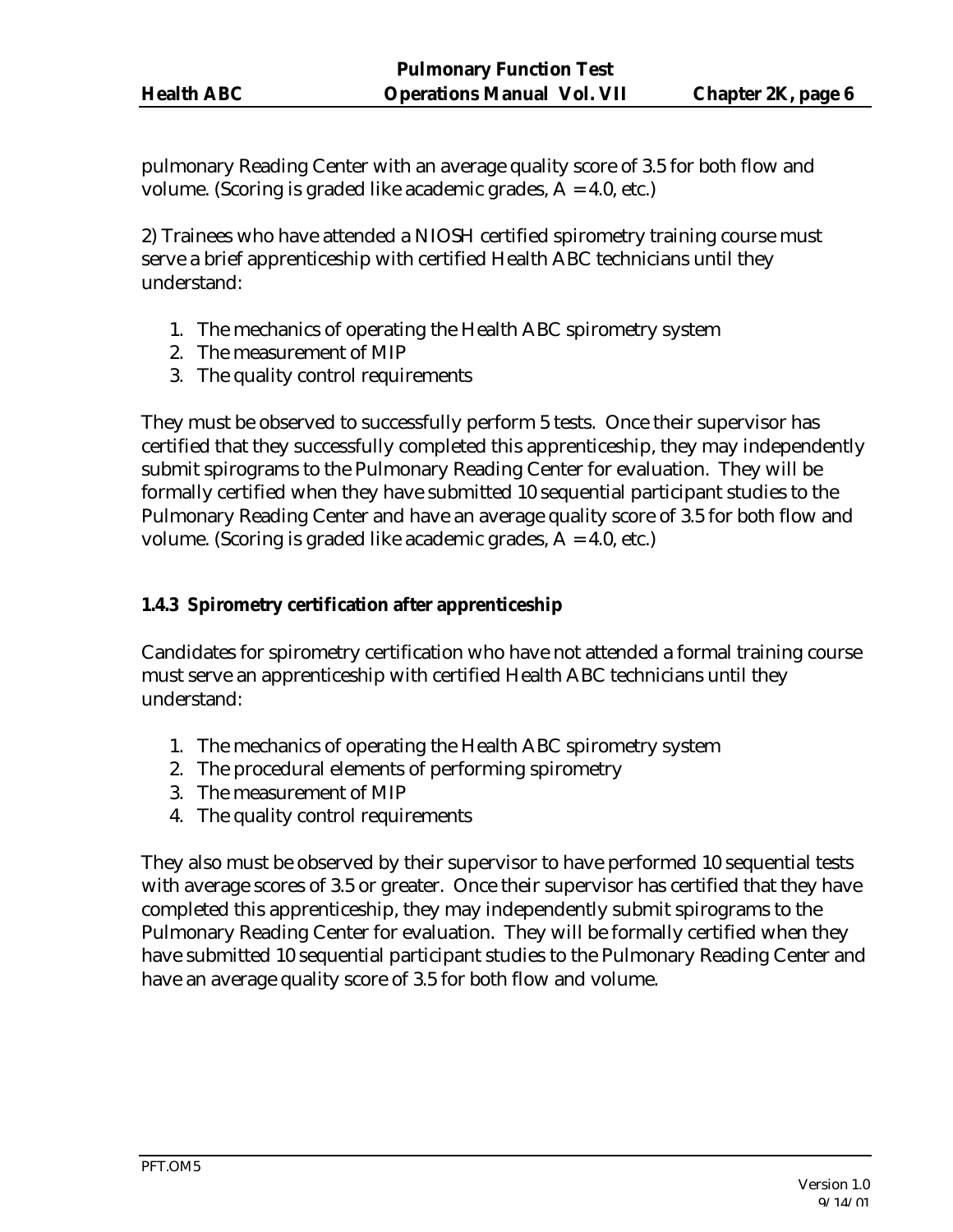pulmonary Reading Center with an average quality score of 3.5 for both flow and volume. (Scoring is graded like academic grades, A = 4.0, etc.)

2) Trainees who have attended a NIOSH certified spirometry training course must serve a brief apprenticeship with certified Health ABC technicians until they understand:

- 1. The mechanics of operating the Health ABC spirometry system
- 2. The measurement of MIP
- 3. The quality control requirements

They must be observed to successfully perform 5 tests. Once their supervisor has certified that they successfully completed this apprenticeship, they may independently submit spirograms to the Pulmonary Reading Center for evaluation. They will be formally certified when they have submitted 10 sequential participant studies to the Pulmonary Reading Center and have an average quality score of 3.5 for both flow and volume. (Scoring is graded like academic grades, A = 4.0, etc.)

## **1.4.3 Spirometry certification after apprenticeship**

Candidates for spirometry certification who have not attended a formal training course must serve an apprenticeship with certified Health ABC technicians until they understand:

- 1. The mechanics of operating the Health ABC spirometry system
- 2. The procedural elements of performing spirometry
- 3. The measurement of MIP
- 4. The quality control requirements

They also must be observed by their supervisor to have performed 10 sequential tests with average scores of 3.5 or greater. Once their supervisor has certified that they have completed this apprenticeship, they may independently submit spirograms to the Pulmonary Reading Center for evaluation. They will be formally certified when they have submitted 10 sequential participant studies to the Pulmonary Reading Center and have an average quality score of 3.5 for both flow and volume.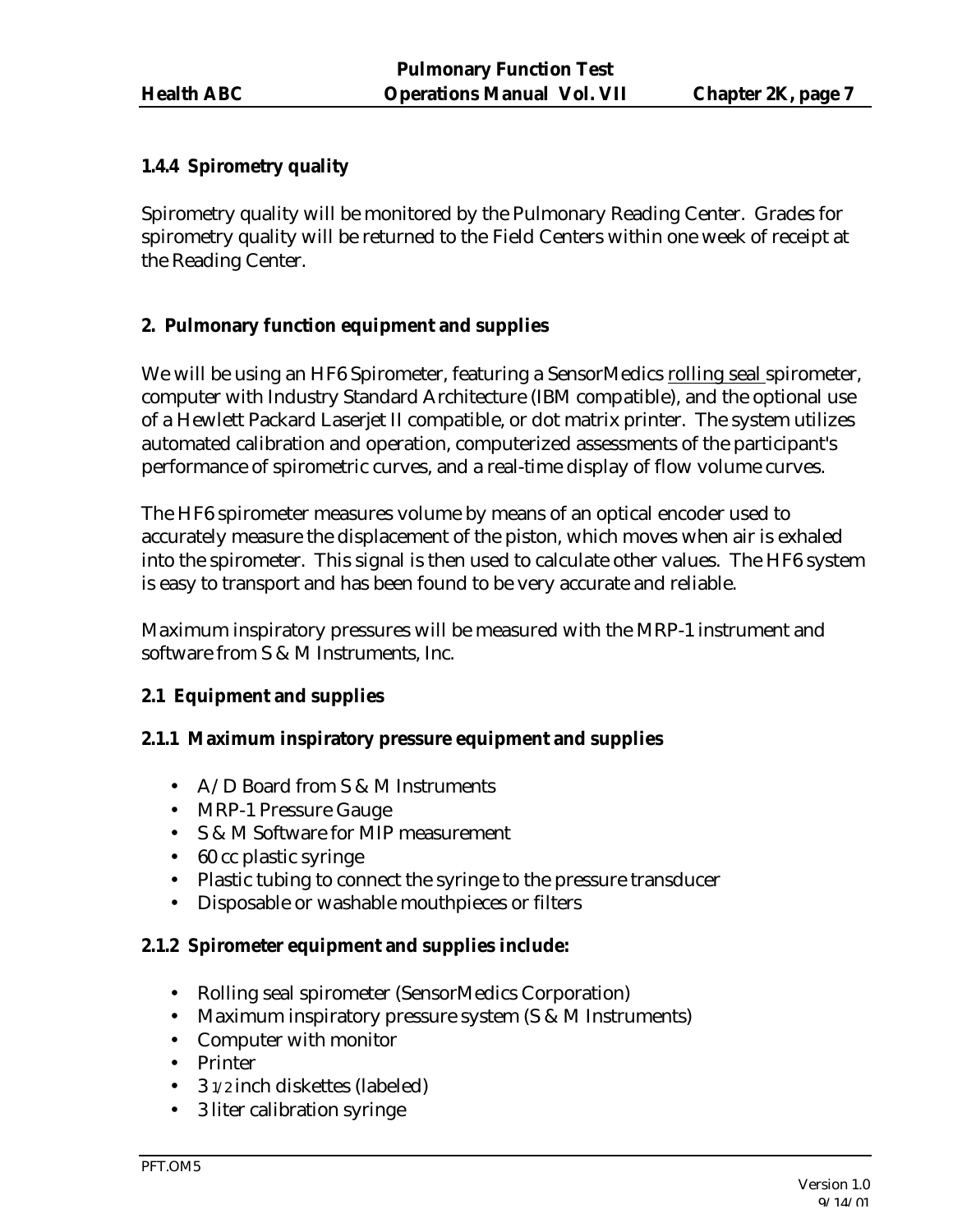## **1.4.4 Spirometry quality**

Spirometry quality will be monitored by the Pulmonary Reading Center. Grades for spirometry quality will be returned to the Field Centers within one week of receipt at the Reading Center.

## **2. Pulmonary function equipment and supplies**

We will be using an HF6 Spirometer, featuring a SensorMedics rolling seal spirometer, computer with Industry Standard Architecture (IBM compatible), and the optional use of a Hewlett Packard Laserjet II compatible, or dot matrix printer. The system utilizes automated calibration and operation, computerized assessments of the participant's performance of spirometric curves, and a real-time display of flow volume curves.

The HF6 spirometer measures volume by means of an optical encoder used to accurately measure the displacement of the piston, which moves when air is exhaled into the spirometer. This signal is then used to calculate other values. The HF6 system is easy to transport and has been found to be very accurate and reliable.

Maximum inspiratory pressures will be measured with the MRP-1 instrument and software from S & M Instruments, Inc.

## **2.1 Equipment and supplies**

#### **2.1.1 Maximum inspiratory pressure equipment and supplies**

- A/D Board from S & M Instruments
- MRP-1 Pressure Gauge
- S & M Software for MIP measurement
- 60 cc plastic syringe
- Plastic tubing to connect the syringe to the pressure transducer
- Disposable or washable mouthpieces or filters

#### **2.1.2 Spirometer equipment and supplies include:**

- Rolling seal spirometer (SensorMedics Corporation)
- Maximum inspiratory pressure system (S & M Instruments)
- Computer with monitor
- Printer
- 3 1/2 inch diskettes (labeled)
- 3 liter calibration syringe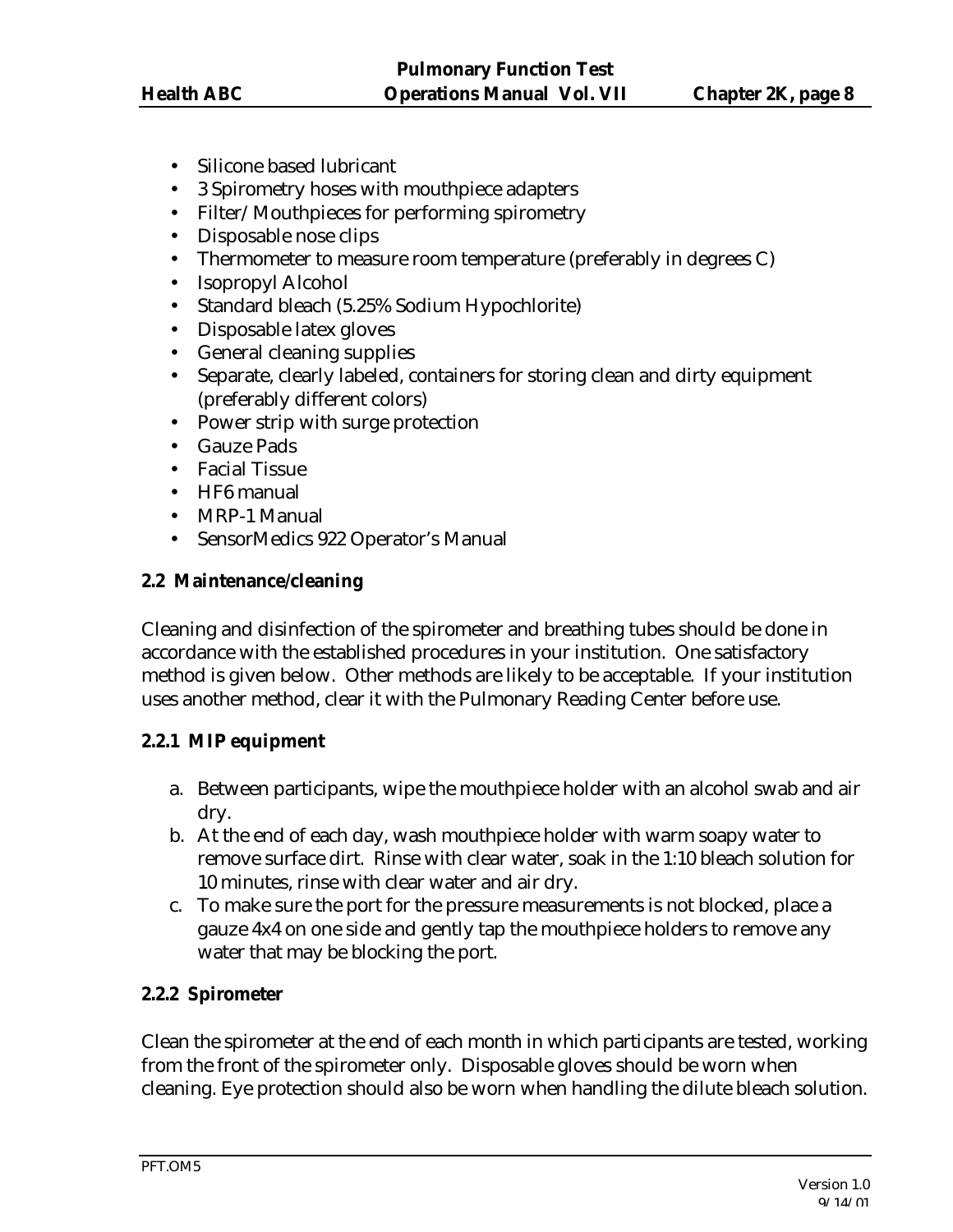- Silicone based lubricant
- 3 Spirometry hoses with mouthpiece adapters
- Filter/Mouthpieces for performing spirometry
- Disposable nose clips
- Thermometer to measure room temperature (preferably in degrees C)
- Isopropyl Alcohol
- Standard bleach (5.25% Sodium Hypochlorite)
- Disposable latex gloves
- General cleaning supplies
- Separate, clearly labeled, containers for storing clean and dirty equipment (preferably different colors)
- Power strip with surge protection
- Gauze Pads
- Facial Tissue
- HF6 manual
- MRP-1 Manual
- SensorMedics 922 Operator's Manual

## **2.2 Maintenance/cleaning**

Cleaning and disinfection of the spirometer and breathing tubes should be done in accordance with the established procedures in your institution. One satisfactory method is given below. Other methods are likely to be acceptable. If your institution uses another method, clear it with the Pulmonary Reading Center before use.

#### **2.2.1 MIP equipment**

- a. Between participants, wipe the mouthpiece holder with an alcohol swab and air dry.
- b. At the end of each day, wash mouthpiece holder with warm soapy water to remove surface dirt. Rinse with clear water, soak in the 1:10 bleach solution for 10 minutes, rinse with clear water and air dry.
- c. To make sure the port for the pressure measurements is not blocked, place a gauze 4x4 on one side and gently tap the mouthpiece holders to remove any water that may be blocking the port.

## **2.2.2 Spirometer**

Clean the spirometer at the end of each month in which participants are tested, working from the front of the spirometer only. Disposable gloves should be worn when cleaning. Eye protection should also be worn when handling the dilute bleach solution.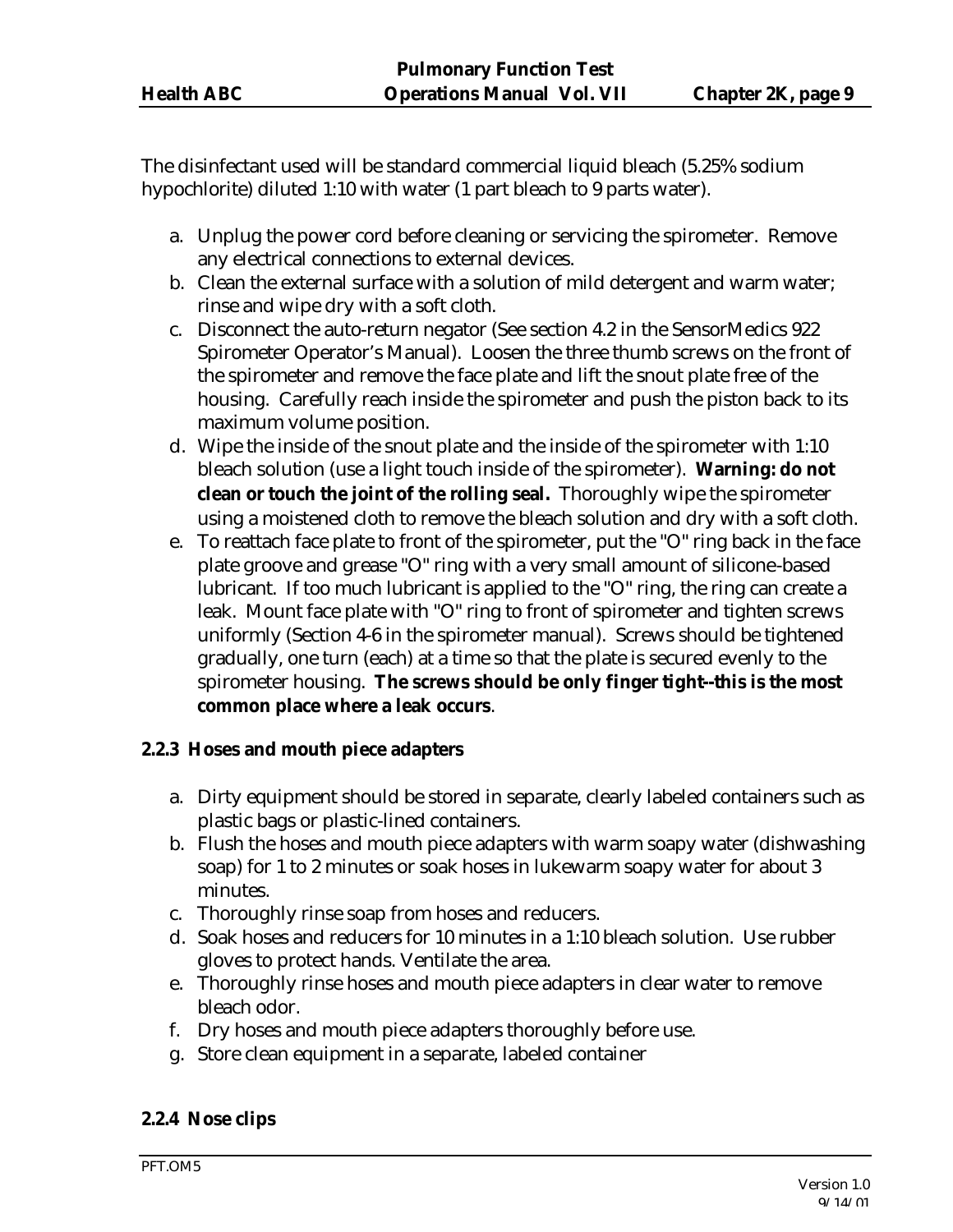The disinfectant used will be standard commercial liquid bleach (5.25% sodium hypochlorite) diluted 1:10 with water (1 part bleach to 9 parts water).

- a. Unplug the power cord before cleaning or servicing the spirometer. Remove any electrical connections to external devices.
- b. Clean the external surface with a solution of mild detergent and warm water; rinse and wipe dry with a soft cloth.
- c. Disconnect the auto-return negator (See section 4.2 in the SensorMedics 922 Spirometer Operator's Manual). Loosen the three thumb screws on the front of the spirometer and remove the face plate and lift the snout plate free of the housing. Carefully reach inside the spirometer and push the piston back to its maximum volume position.
- d. Wipe the inside of the snout plate and the inside of the spirometer with 1:10 bleach solution (use a light touch inside of the spirometer). **Warning: do not clean or touch the joint of the rolling seal.** Thoroughly wipe the spirometer using a moistened cloth to remove the bleach solution and dry with a soft cloth.
- e. To reattach face plate to front of the spirometer, put the "O" ring back in the face plate groove and grease "O" ring with a very small amount of silicone-based lubricant. If too much lubricant is applied to the "O" ring, the ring can create a leak. Mount face plate with "O" ring to front of spirometer and tighten screws uniformly (Section 4-6 in the spirometer manual). Screws should be tightened gradually, one turn (each) at a time so that the plate is secured evenly to the spirometer housing. **The screws should be only finger tight--this is the most common place where a leak occurs**.

#### **2.2.3 Hoses and mouth piece adapters**

- a. Dirty equipment should be stored in separate, clearly labeled containers such as plastic bags or plastic-lined containers.
- b. Flush the hoses and mouth piece adapters with warm soapy water (dishwashing soap) for 1 to 2 minutes or soak hoses in lukewarm soapy water for about 3 minutes.
- c. Thoroughly rinse soap from hoses and reducers.
- d. Soak hoses and reducers for 10 minutes in a 1:10 bleach solution. Use rubber gloves to protect hands. Ventilate the area.
- e. Thoroughly rinse hoses and mouth piece adapters in clear water to remove bleach odor.
- f. Dry hoses and mouth piece adapters thoroughly before use.
- g. Store clean equipment in a separate, labeled container

#### **2.2.4 Nose clips**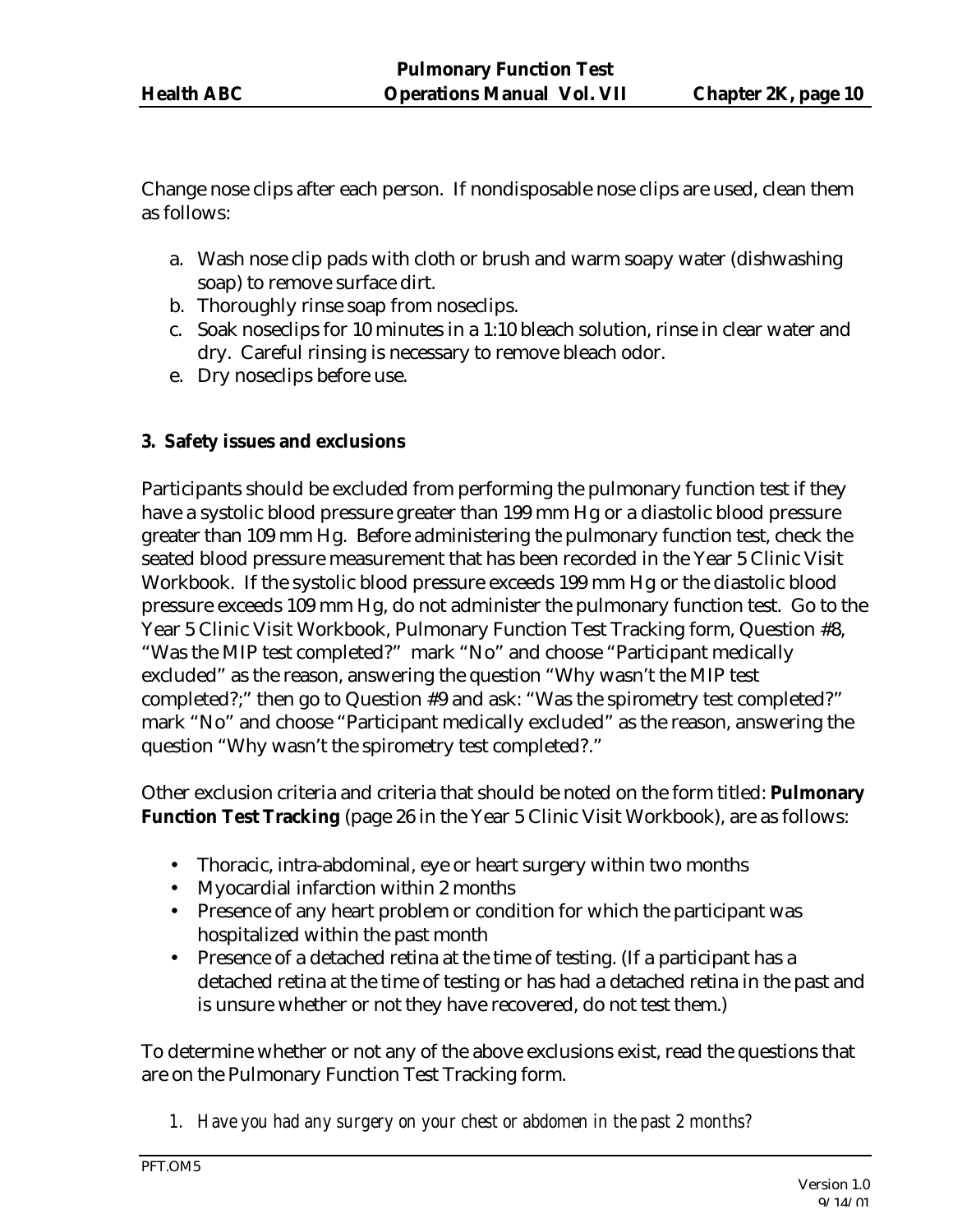Change nose clips after each person. If nondisposable nose clips are used, clean them as follows:

- a. Wash nose clip pads with cloth or brush and warm soapy water (dishwashing soap) to remove surface dirt.
- b. Thoroughly rinse soap from noseclips.
- c. Soak noseclips for 10 minutes in a 1:10 bleach solution, rinse in clear water and dry. Careful rinsing is necessary to remove bleach odor.
- e. Dry noseclips before use.

## **3. Safety issues and exclusions**

Participants should be excluded from performing the pulmonary function test if they have a systolic blood pressure greater than 199 mm Hg or a diastolic blood pressure greater than 109 mm Hg. Before administering the pulmonary function test, check the seated blood pressure measurement that has been recorded in the Year 5 Clinic Visit Workbook. If the systolic blood pressure exceeds 199 mm Hg or the diastolic blood pressure exceeds 109 mm Hg, do not administer the pulmonary function test. Go to the Year 5 Clinic Visit Workbook, Pulmonary Function Test Tracking form, Question #8, "Was the MIP test completed?" mark "No" and choose "Participant medically excluded" as the reason, answering the question "Why wasn't the MIP test completed?;" then go to Question #9 and ask: "Was the spirometry test completed?" mark "No" and choose "Participant medically excluded" as the reason, answering the question "Why wasn't the spirometry test completed?."

Other exclusion criteria and criteria that should be noted on the form titled: **Pulmonary Function Test Tracking** (page 26 in the Year 5 Clinic Visit Workbook), are as follows:

- Thoracic, intra-abdominal, eye or heart surgery within two months
- Myocardial infarction within 2 months
- Presence of any heart problem or condition for which the participant was hospitalized within the past month
- Presence of a detached retina at the time of testing. (If a participant has a detached retina at the time of testing or has had a detached retina in the past and is unsure whether or not they have recovered, do not test them.)

To determine whether or not any of the above exclusions exist, read the questions that are on the Pulmonary Function Test Tracking form.

*1. Have you had any surgery on your chest or abdomen in the past 2 months?*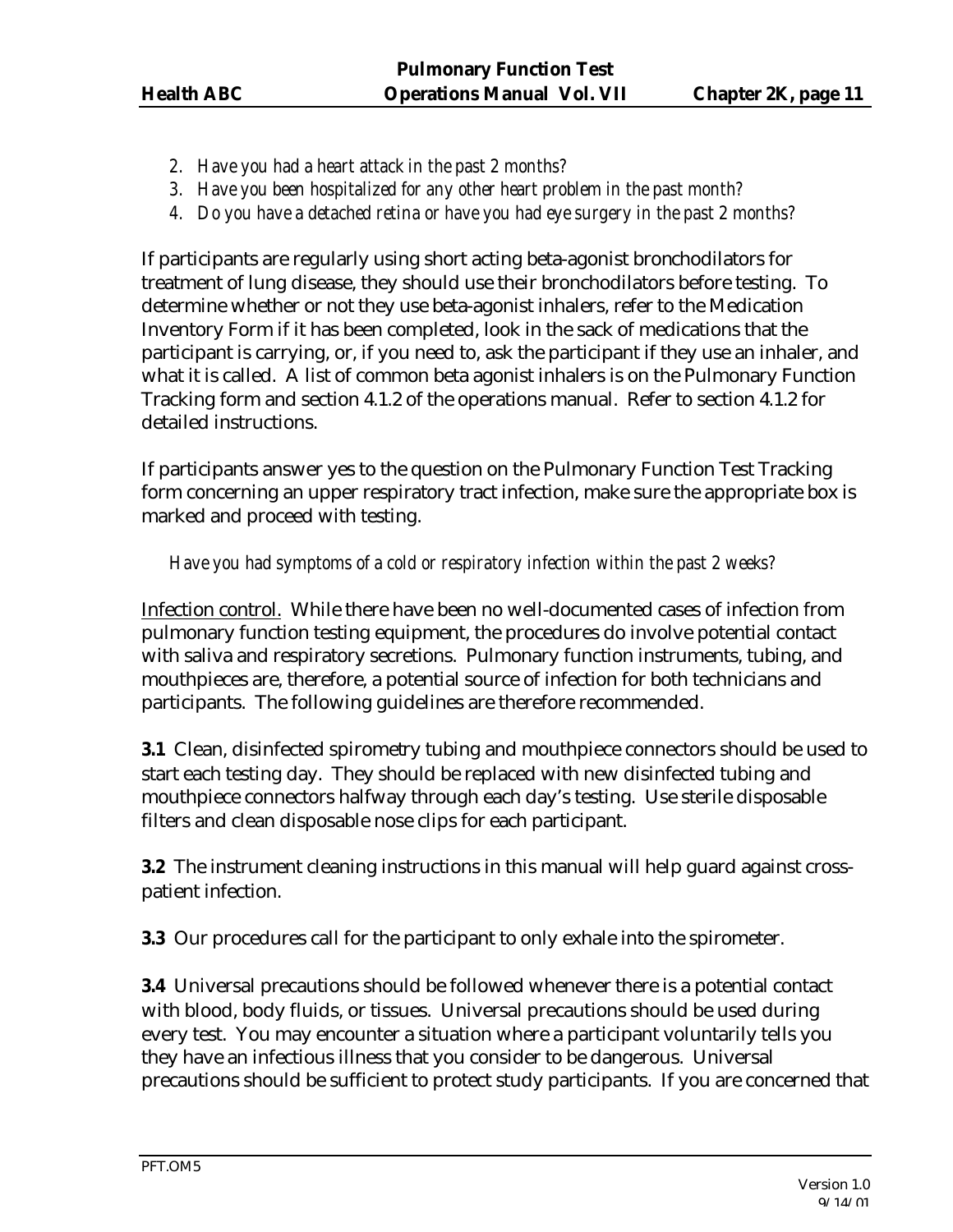- *2. Have you had a heart attack in the past 2 months?*
- *3. Have you been hospitalized for any other heart problem in the past month?*
- *4. Do you have a detached retina or have you had eye surgery in the past 2 months?*

If participants are regularly using short acting beta-agonist bronchodilators for treatment of lung disease, they should use their bronchodilators before testing. To determine whether or not they use beta-agonist inhalers, refer to the Medication Inventory Form if it has been completed, look in the sack of medications that the participant is carrying, or, if you need to, ask the participant if they use an inhaler, and what it is called. A list of common beta agonist inhalers is on the Pulmonary Function Tracking form and section 4.1.2 of the operations manual. Refer to section 4.1.2 for detailed instructions.

If participants answer yes to the question on the Pulmonary Function Test Tracking form concerning an upper respiratory tract infection, make sure the appropriate box is marked and proceed with testing.

## *Have you had symptoms of a cold or respiratory infection within the past 2 weeks?*

Infection control. While there have been no well-documented cases of infection from pulmonary function testing equipment, the procedures do involve potential contact with saliva and respiratory secretions. Pulmonary function instruments, tubing, and mouthpieces are, therefore, a potential source of infection for both technicians and participants. The following guidelines are therefore recommended.

**3.1** Clean, disinfected spirometry tubing and mouthpiece connectors should be used to start each testing day. They should be replaced with new disinfected tubing and mouthpiece connectors halfway through each day's testing. Use sterile disposable filters and clean disposable nose clips for each participant.

**3.2** The instrument cleaning instructions in this manual will help guard against crosspatient infection.

**3.3** Our procedures call for the participant to only exhale into the spirometer.

**3.4** Universal precautions should be followed whenever there is a potential contact with blood, body fluids, or tissues. Universal precautions should be used during every test. You may encounter a situation where a participant voluntarily tells you they have an infectious illness that you consider to be dangerous. Universal precautions should be sufficient to protect study participants. If you are concerned that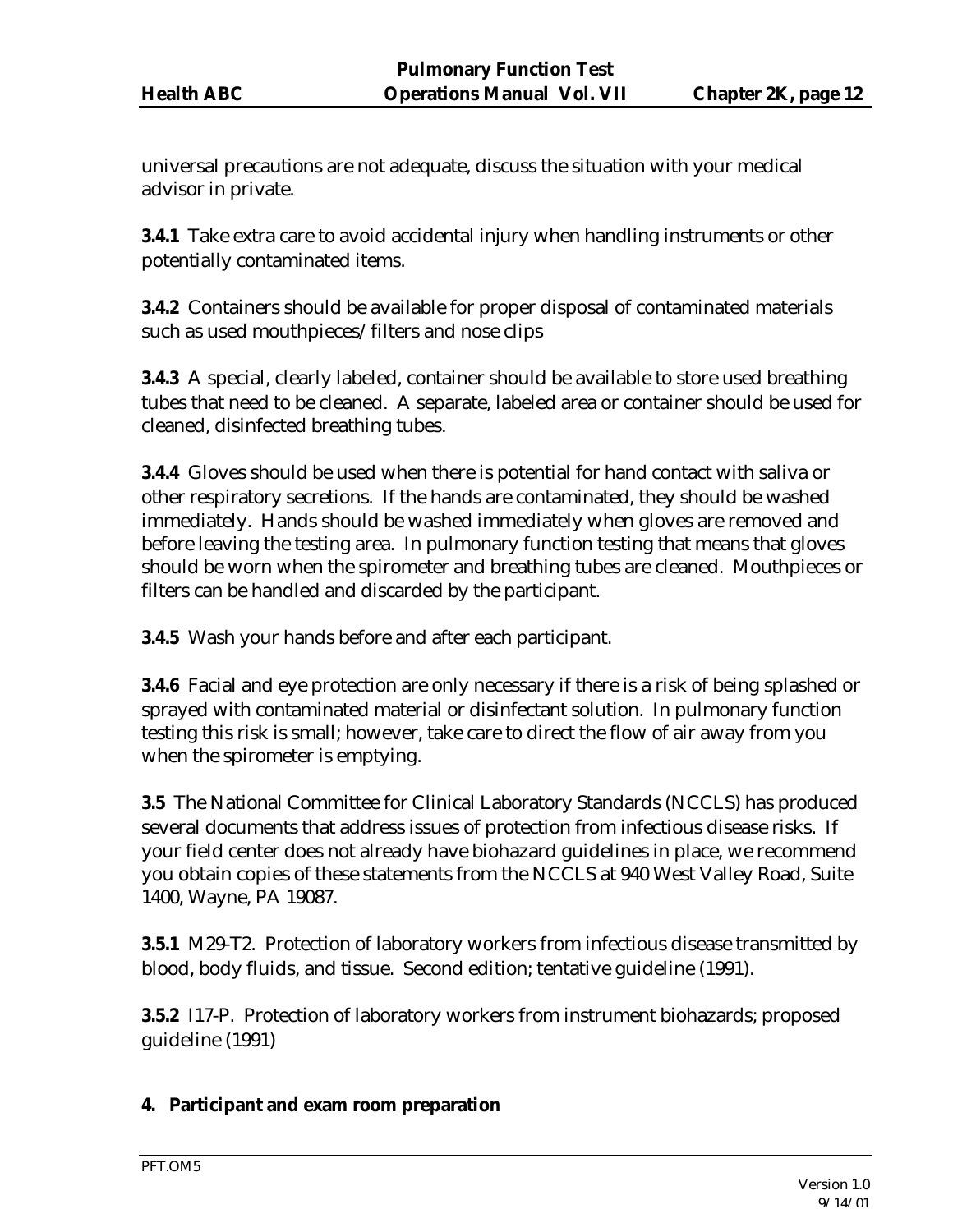universal precautions are not adequate, discuss the situation with your medical advisor in private.

**3.4.1** Take extra care to avoid accidental injury when handling instruments or other potentially contaminated items.

**3.4.2** Containers should be available for proper disposal of contaminated materials such as used mouthpieces/filters and nose clips

**3.4.3** A special, clearly labeled, container should be available to store used breathing tubes that need to be cleaned. A separate, labeled area or container should be used for cleaned, disinfected breathing tubes.

**3.4.4** Gloves should be used when there is potential for hand contact with saliva or other respiratory secretions. If the hands are contaminated, they should be washed immediately. Hands should be washed immediately when gloves are removed and before leaving the testing area. In pulmonary function testing that means that gloves should be worn when the spirometer and breathing tubes are cleaned. Mouthpieces or filters can be handled and discarded by the participant.

**3.4.5** Wash your hands before and after each participant.

**3.4.6** Facial and eye protection are only necessary if there is a risk of being splashed or sprayed with contaminated material or disinfectant solution. In pulmonary function testing this risk is small; however, take care to direct the flow of air away from you when the spirometer is emptying.

**3.5** The National Committee for Clinical Laboratory Standards (NCCLS) has produced several documents that address issues of protection from infectious disease risks. If your field center does not already have biohazard guidelines in place, we recommend you obtain copies of these statements from the NCCLS at 940 West Valley Road, Suite 1400, Wayne, PA 19087.

**3.5.1** M29-T2. Protection of laboratory workers from infectious disease transmitted by blood, body fluids, and tissue. Second edition; tentative guideline (1991).

**3.5.2** I17-P. Protection of laboratory workers from instrument biohazards; proposed guideline (1991)

#### **4. Participant and exam room preparation**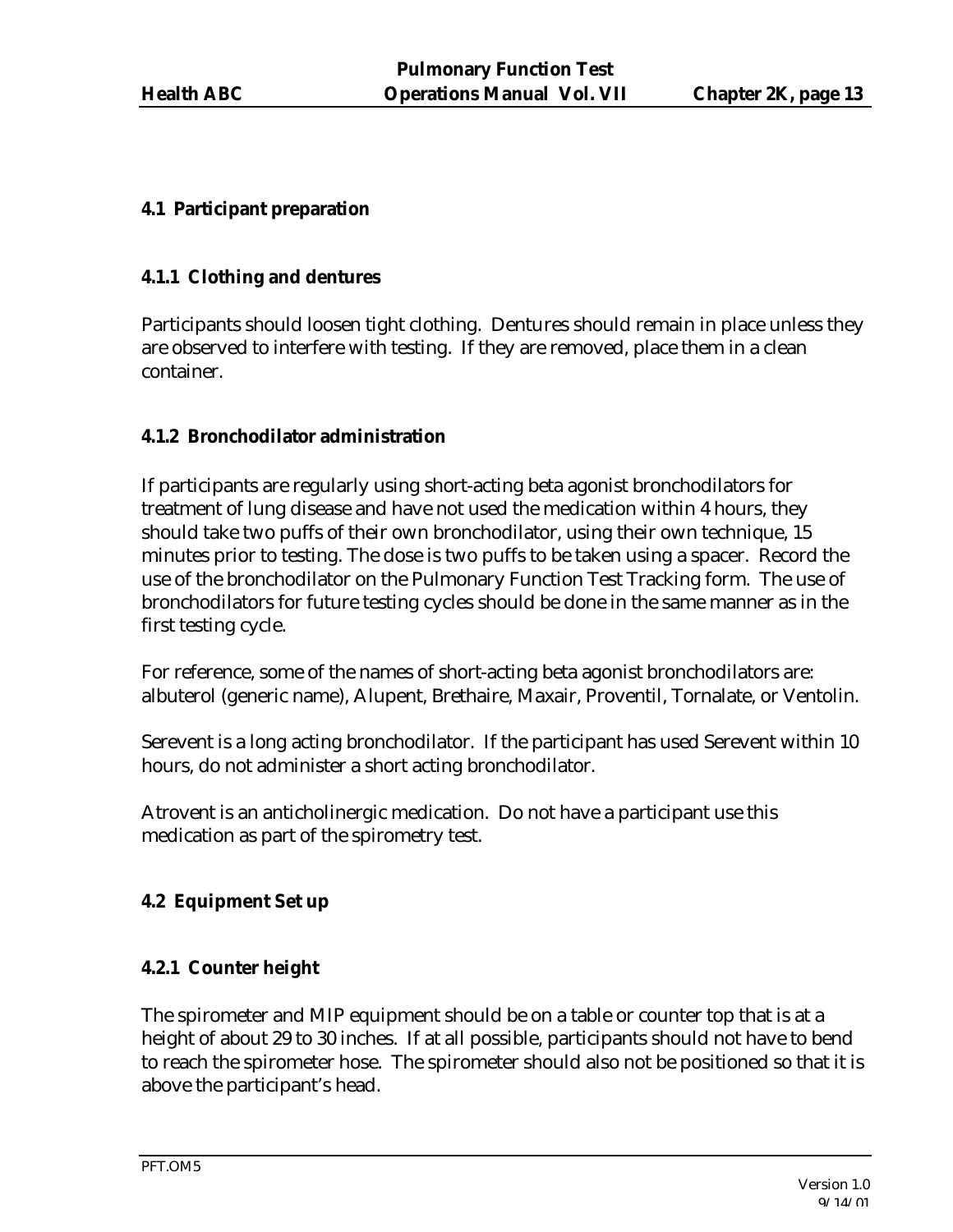## **4.1 Participant preparation**

### **4.1.1 Clothing and dentures**

Participants should loosen tight clothing. Dentures should remain in place unless they are observed to interfere with testing. If they are removed, place them in a clean container.

## **4.1.2 Bronchodilator administration**

If participants are regularly using short-acting beta agonist bronchodilators for treatment of lung disease and have not used the medication within 4 hours, they should take two puffs of their own bronchodilator, using their own technique, 15 minutes prior to testing. The dose is two puffs to be taken using a spacer. Record the use of the bronchodilator on the Pulmonary Function Test Tracking form. The use of bronchodilators for future testing cycles should be done in the same manner as in the first testing cycle.

For reference, some of the names of short-acting beta agonist bronchodilators are: albuterol (generic name), Alupent, Brethaire, Maxair, Proventil, Tornalate, or Ventolin.

Serevent is a long acting bronchodilator. If the participant has used Serevent within 10 hours, do not administer a short acting bronchodilator.

Atrovent is an anticholinergic medication. Do not have a participant use this medication as part of the spirometry test.

## **4.2 Equipment Set up**

## **4.2.1 Counter height**

The spirometer and MIP equipment should be on a table or counter top that is at a height of about 29 to 30 inches. If at all possible, participants should not have to bend to reach the spirometer hose. The spirometer should also not be positioned so that it is above the participant's head.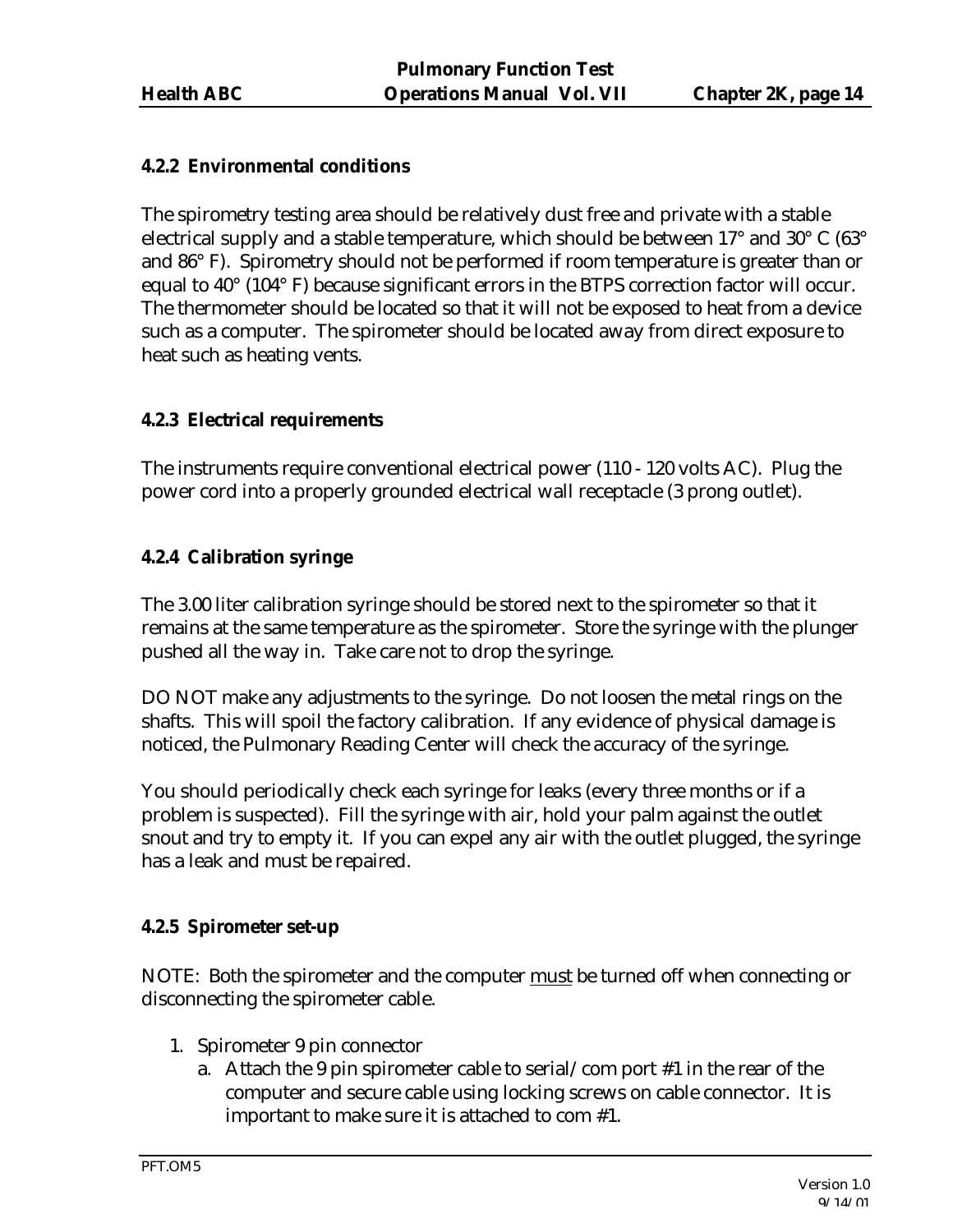## **4.2.2 Environmental conditions**

The spirometry testing area should be relatively dust free and private with a stable electrical supply and a stable temperature, which should be between 17 $\degree$  and 30 $\degree$  C (63 $\degree$ and 86° F). Spirometry should not be performed if room temperature is greater than or equal to 40° (104° F) because significant errors in the BTPS correction factor will occur. The thermometer should be located so that it will not be exposed to heat from a device such as a computer. The spirometer should be located away from direct exposure to heat such as heating vents.

## **4.2.3 Electrical requirements**

The instruments require conventional electrical power (110 - 120 volts AC). Plug the power cord into a properly grounded electrical wall receptacle (3 prong outlet).

## **4.2.4 Calibration syringe**

The 3.00 liter calibration syringe should be stored next to the spirometer so that it remains at the same temperature as the spirometer. Store the syringe with the plunger pushed all the way in. Take care not to drop the syringe.

DO NOT make any adjustments to the syringe. Do not loosen the metal rings on the shafts. This will spoil the factory calibration. If any evidence of physical damage is noticed, the Pulmonary Reading Center will check the accuracy of the syringe.

You should periodically check each syringe for leaks (every three months or if a problem is suspected). Fill the syringe with air, hold your palm against the outlet snout and try to empty it. If you can expel any air with the outlet plugged, the syringe has a leak and must be repaired.

#### **4.2.5 Spirometer set-up**

NOTE: Both the spirometer and the computer must be turned off when connecting or disconnecting the spirometer cable.

- 1. Spirometer 9 pin connector
	- a. Attach the 9 pin spirometer cable to serial/com port #1 in the rear of the computer and secure cable using locking screws on cable connector. It is important to make sure it is attached to com #1.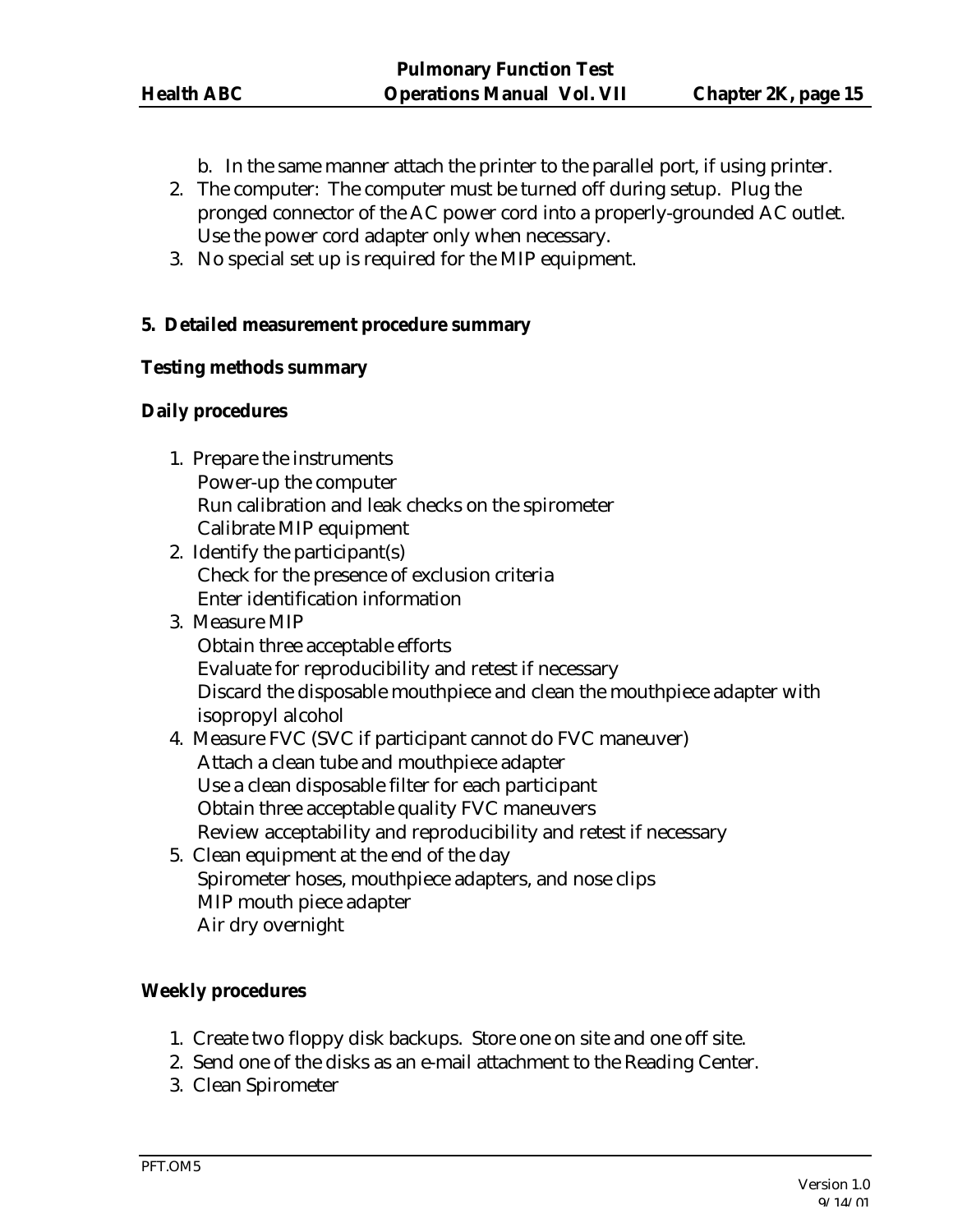- b. In the same manner attach the printer to the parallel port, if using printer.
- 2. The computer: The computer must be turned off during setup. Plug the pronged connector of the AC power cord into a properly-grounded AC outlet. Use the power cord adapter only when necessary.
- 3. No special set up is required for the MIP equipment.

#### **5. Detailed measurement procedure summary**

#### **Testing methods summary**

#### **Daily procedures**

- 1. Prepare the instruments Power-up the computer Run calibration and leak checks on the spirometer Calibrate MIP equipment
- 2. Identify the participant(s) Check for the presence of exclusion criteria Enter identification information
- 3. Measure MIP Obtain three acceptable efforts Evaluate for reproducibility and retest if necessary Discard the disposable mouthpiece and clean the mouthpiece adapter with isopropyl alcohol
- 4. Measure FVC (SVC if participant cannot do FVC maneuver) Attach a clean tube and mouthpiece adapter Use a clean disposable filter for each participant Obtain three acceptable quality FVC maneuvers Review acceptability and reproducibility and retest if necessary
- 5. Clean equipment at the end of the day Spirometer hoses, mouthpiece adapters, and nose clips MIP mouth piece adapter Air dry overnight

#### **Weekly procedures**

- 1. Create two floppy disk backups. Store one on site and one off site.
- 2. Send one of the disks as an e-mail attachment to the Reading Center.
- 3. Clean Spirometer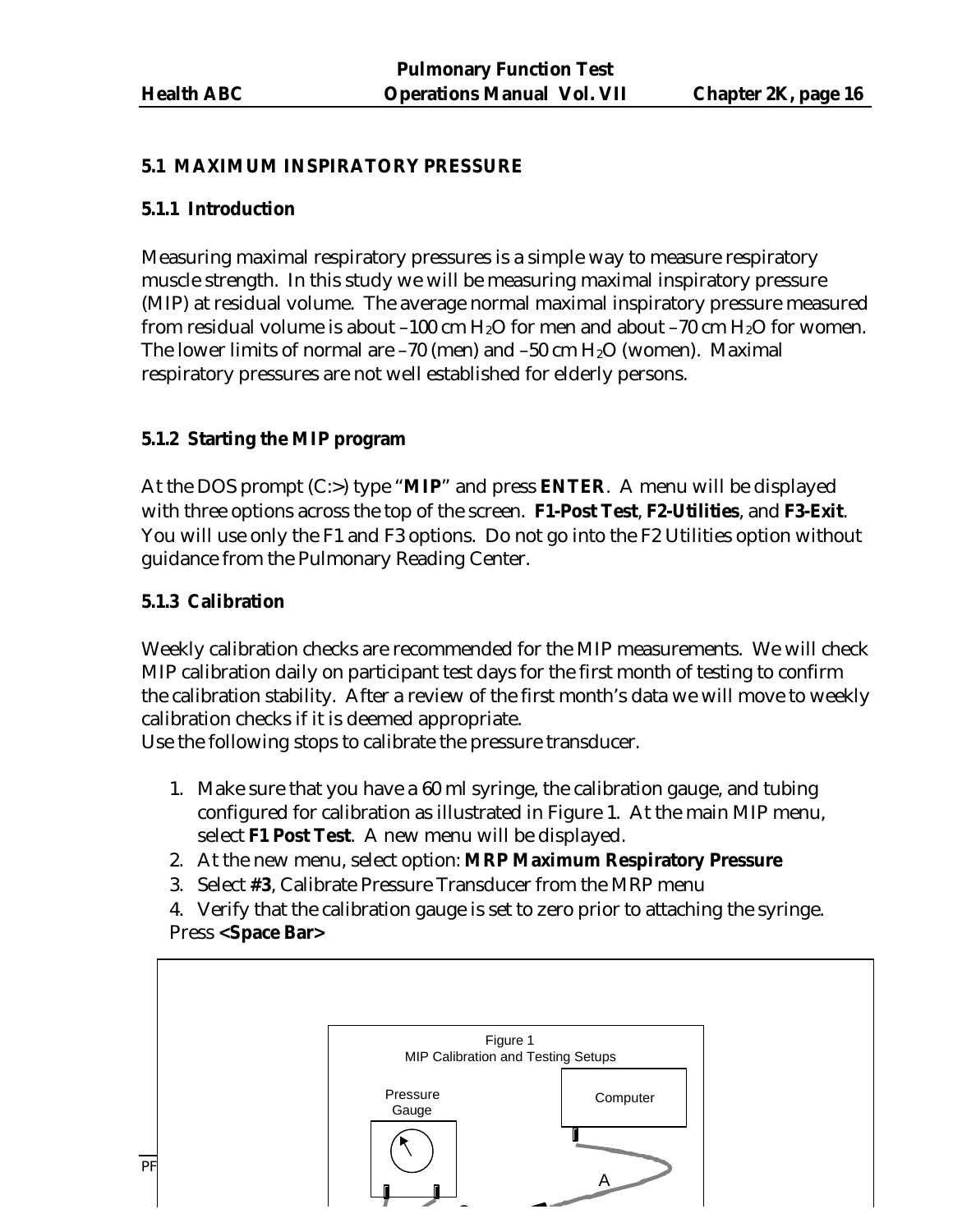### **5.1 MAXIMUM INSPIRATORY PRESSURE**

#### **5.1.1 Introduction**

Measuring maximal respiratory pressures is a simple way to measure respiratory muscle strength. In this study we will be measuring maximal inspiratory pressure (MIP) at residual volume. The average normal maximal inspiratory pressure measured from residual volume is about –100 cm  $H_2O$  for men and about –70 cm  $H_2O$  for women. The lower limits of normal are  $-70$  (men) and  $-50$  cm  $H<sub>2</sub>O$  (women). Maximal respiratory pressures are not well established for elderly persons.

#### **5.1.2 Starting the MIP program**

At the DOS prompt (C:>) type "**MIP**" and press **ENTER**. A menu will be displayed with three options across the top of the screen. **F1-Post Test**, **F2-Utilities**, and **F3-Exit**. You will use only the F1 and F3 options. Do not go into the F2 Utilities option without guidance from the Pulmonary Reading Center.

#### **5.1.3 Calibration**

Weekly calibration checks are recommended for the MIP measurements. We will check MIP calibration daily on participant test days for the first month of testing to confirm the calibration stability. After a review of the first month's data we will move to weekly calibration checks if it is deemed appropriate.

Use the following stops to calibrate the pressure transducer.

- 1. Make sure that you have a 60 ml syringe, the calibration gauge, and tubing configured for calibration as illustrated in Figure 1. At the main MIP menu, select **F1 Post Test**. A new menu will be displayed.
- 2. At the new menu, select option: **MRP Maximum Respiratory Pressure**
- 3. Select **#3**, Calibrate Pressure Transducer from the MRP menu

4. Verify that the calibration gauge is set to zero prior to attaching the syringe. Press **<Space Bar>**

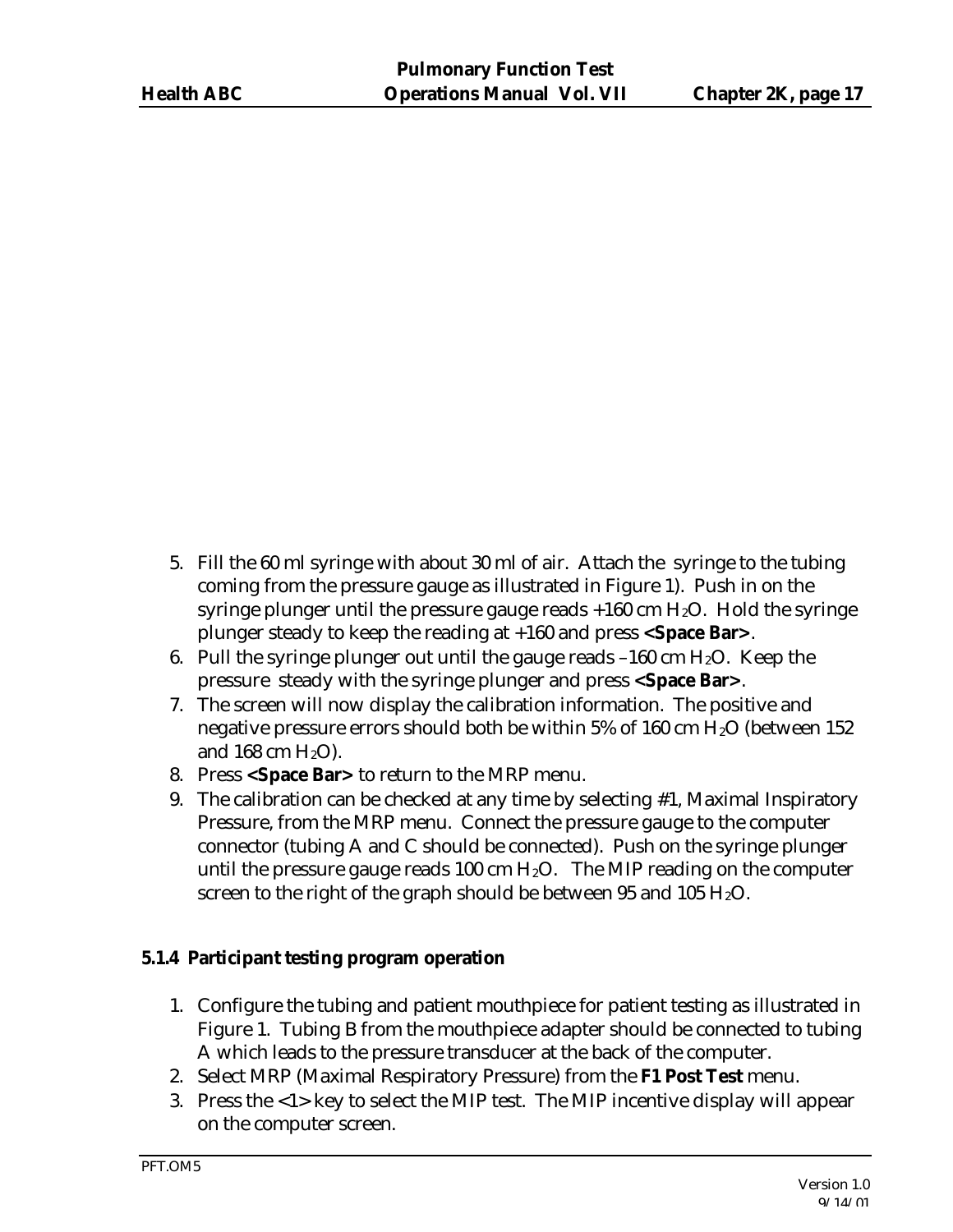- 5. Fill the 60 ml syringe with about 30 ml of air. Attach the syringe to the tubing coming from the pressure gauge as illustrated in Figure 1). Push in on the syringe plunger until the pressure gauge reads  $+160$  cm  $H<sub>2</sub>O$ . Hold the syringe plunger steady to keep the reading at +160 and press **<Space Bar>**.
- 6. Pull the syringe plunger out until the gauge reads  $-160$  cm  $H<sub>2</sub>O$ . Keep the pressure steady with the syringe plunger and press **<Space Bar>**.
- 7. The screen will now display the calibration information. The positive and negative pressure errors should both be within 5% of 160 cm H<sub>2</sub>O (between 152 and 168 cm  $H<sub>2</sub>O$ ).
- 8. Press **<Space Bar>** to return to the MRP menu.
- 9. The calibration can be checked at any time by selecting #1, Maximal Inspiratory Pressure, from the MRP menu. Connect the pressure gauge to the computer connector (tubing A and C should be connected). Push on the syringe plunger until the pressure gauge reads 100 cm  $H_2O$ . The MIP reading on the computer screen to the right of the graph should be between 95 and 105  $H_2O$ .

#### **5.1.4 Participant testing program operation**

- 1. Configure the tubing and patient mouthpiece for patient testing as illustrated in Figure 1. Tubing B from the mouthpiece adapter should be connected to tubing A which leads to the pressure transducer at the back of the computer.
- 2. Select MRP (Maximal Respiratory Pressure) from the **F1 Post Test** menu.
- 3. Press the <1> key to select the MIP test. The MIP incentive display will appear on the computer screen.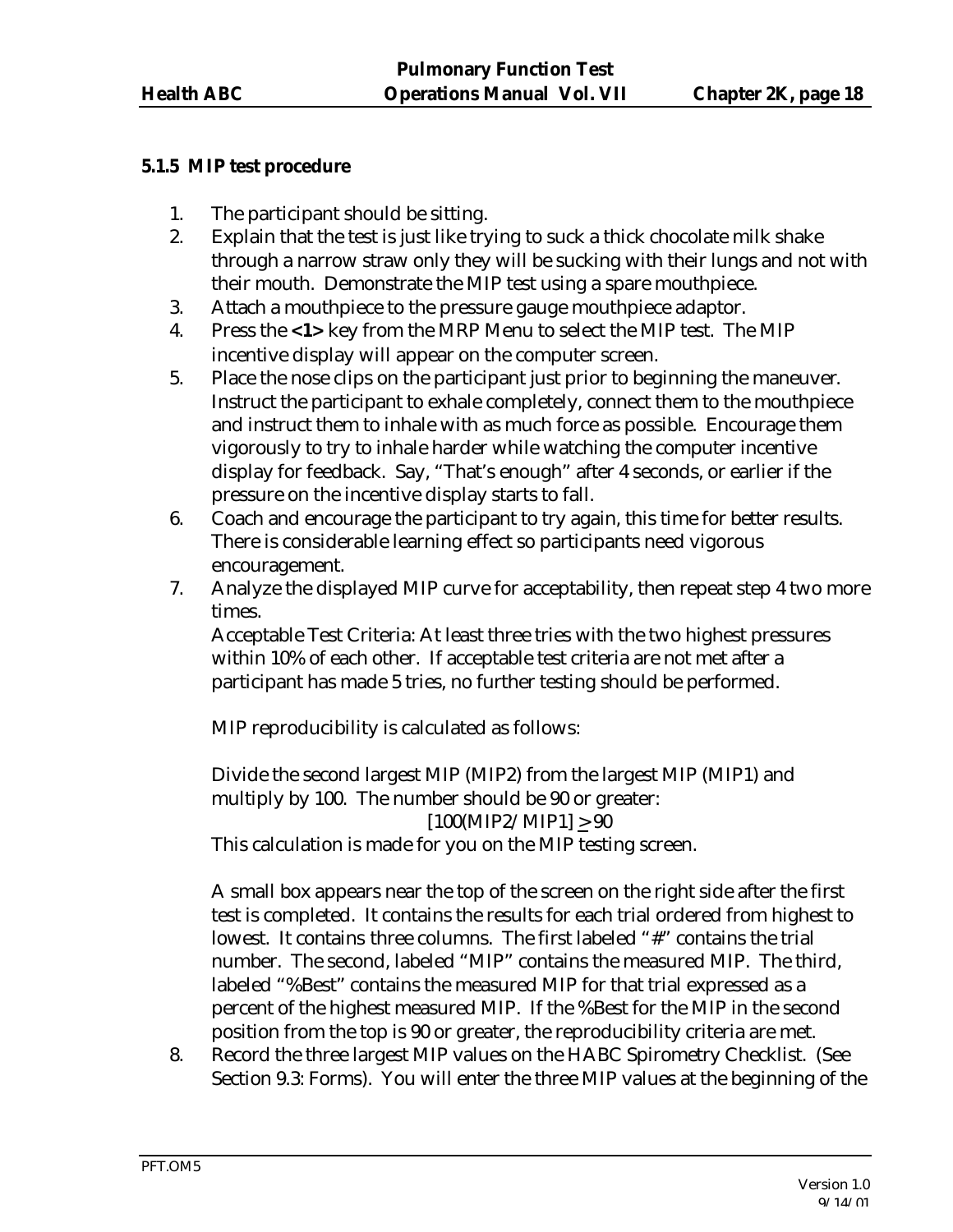## **5.1.5 MIP test procedure**

- 1. The participant should be sitting.
- 2. Explain that the test is just like trying to suck a thick chocolate milk shake through a narrow straw only they will be sucking with their lungs and not with their mouth. Demonstrate the MIP test using a spare mouthpiece.
- 3. Attach a mouthpiece to the pressure gauge mouthpiece adaptor.
- 4. Press the **<1>** key from the MRP Menu to select the MIP test. The MIP incentive display will appear on the computer screen.
- 5. Place the nose clips on the participant just prior to beginning the maneuver. Instruct the participant to exhale completely, connect them to the mouthpiece and instruct them to inhale with as much force as possible. Encourage them vigorously to try to inhale harder while watching the computer incentive display for feedback. Say, "That's enough" after 4 seconds, or earlier if the pressure on the incentive display starts to fall.
- 6. Coach and encourage the participant to try again, this time for better results. There is considerable learning effect so participants need vigorous encouragement.
- 7. Analyze the displayed MIP curve for acceptability, then repeat step 4 two more times.

Acceptable Test Criteria: At least three tries with the two highest pressures within 10% of each other. If acceptable test criteria are not met after a participant has made 5 tries, no further testing should be performed.

MIP reproducibility is calculated as follows:

Divide the second largest MIP (MIP2) from the largest MIP (MIP1) and multiply by 100. The number should be 90 or greater:  $[100(MIP2/MIP1] > 90$ 

This calculation is made for you on the MIP testing screen.

A small box appears near the top of the screen on the right side after the first test is completed. It contains the results for each trial ordered from highest to lowest. It contains three columns. The first labeled "#" contains the trial number. The second, labeled "MIP" contains the measured MIP. The third, labeled "%Best" contains the measured MIP for that trial expressed as a percent of the highest measured MIP. If the %Best for the MIP in the second position from the top is 90 or greater, the reproducibility criteria are met.

8. Record the three largest MIP values on the HABC Spirometry Checklist. (See Section 9.3: Forms). You will enter the three MIP values at the beginning of the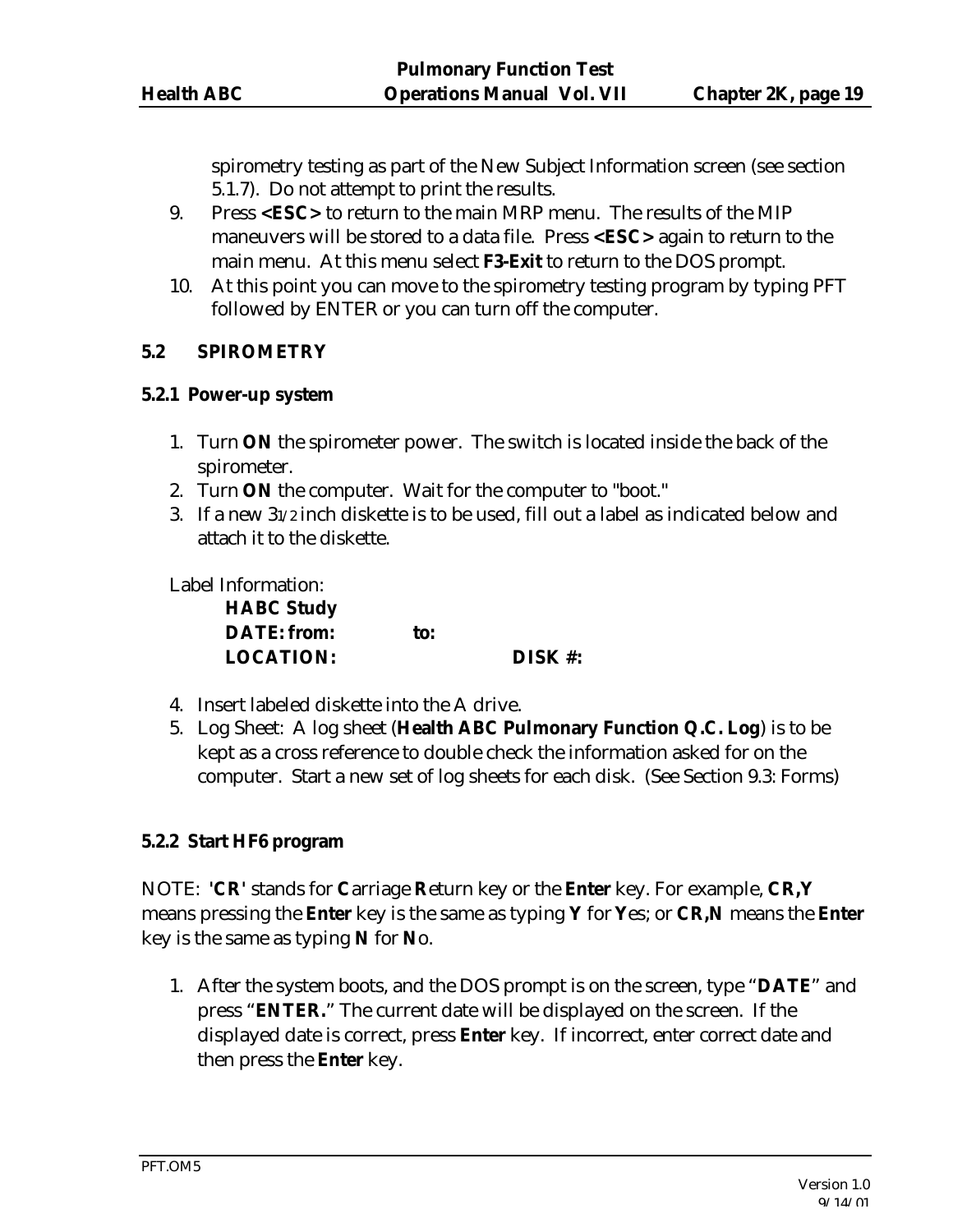spirometry testing as part of the New Subject Information screen (see section 5.1.7). Do not attempt to print the results.

- 9. Press **<ESC>** to return to the main MRP menu. The results of the MIP maneuvers will be stored to a data file. Press **<ESC>** again to return to the main menu. At this menu select **F3-Exit** to return to the DOS prompt.
- 10. At this point you can move to the spirometry testing program by typing PFT followed by ENTER or you can turn off the computer.

#### **5.2 SPIROMETRY**

#### **5.2.1 Power-up system**

- 1. Turn **ON** the spirometer power. The switch is located inside the back of the spirometer.
- 2. Turn **ON** the computer. Wait for the computer to "boot."
- 3. If a new 31/2 inch diskette is to be used, fill out a label as indicated below and attach it to the diskette.

Label Information:

| <b>HABC Study</b>  |     |        |
|--------------------|-----|--------|
| <b>DATE:</b> from: | to: |        |
| <b>LOCATION:</b>   |     | DISK#: |

- 4. Insert labeled diskette into the A drive.
- 5. Log Sheet: A log sheet (**Health ABC Pulmonary Function Q.C. Log**) is to be kept as a cross reference to double check the information asked for on the computer. Start a new set of log sheets for each disk. (See Section 9.3: Forms)

#### **5.2.2 Start HF6 program**

NOTE: **'CR'** stands for **C**arriage **R**eturn key or the **Enter** key. For example, **CR,Y** means pressing the **Enter** key is the same as typing **Y** for **Y**es; or **CR,N** means the **Enter** key is the same as typing **N** for **N**o.

1. After the system boots, and the DOS prompt is on the screen, type "**DATE**" and press "**ENTER.**" The current date will be displayed on the screen. If the displayed date is correct, press **Enter** key. If incorrect, enter correct date and then press the **Enter** key.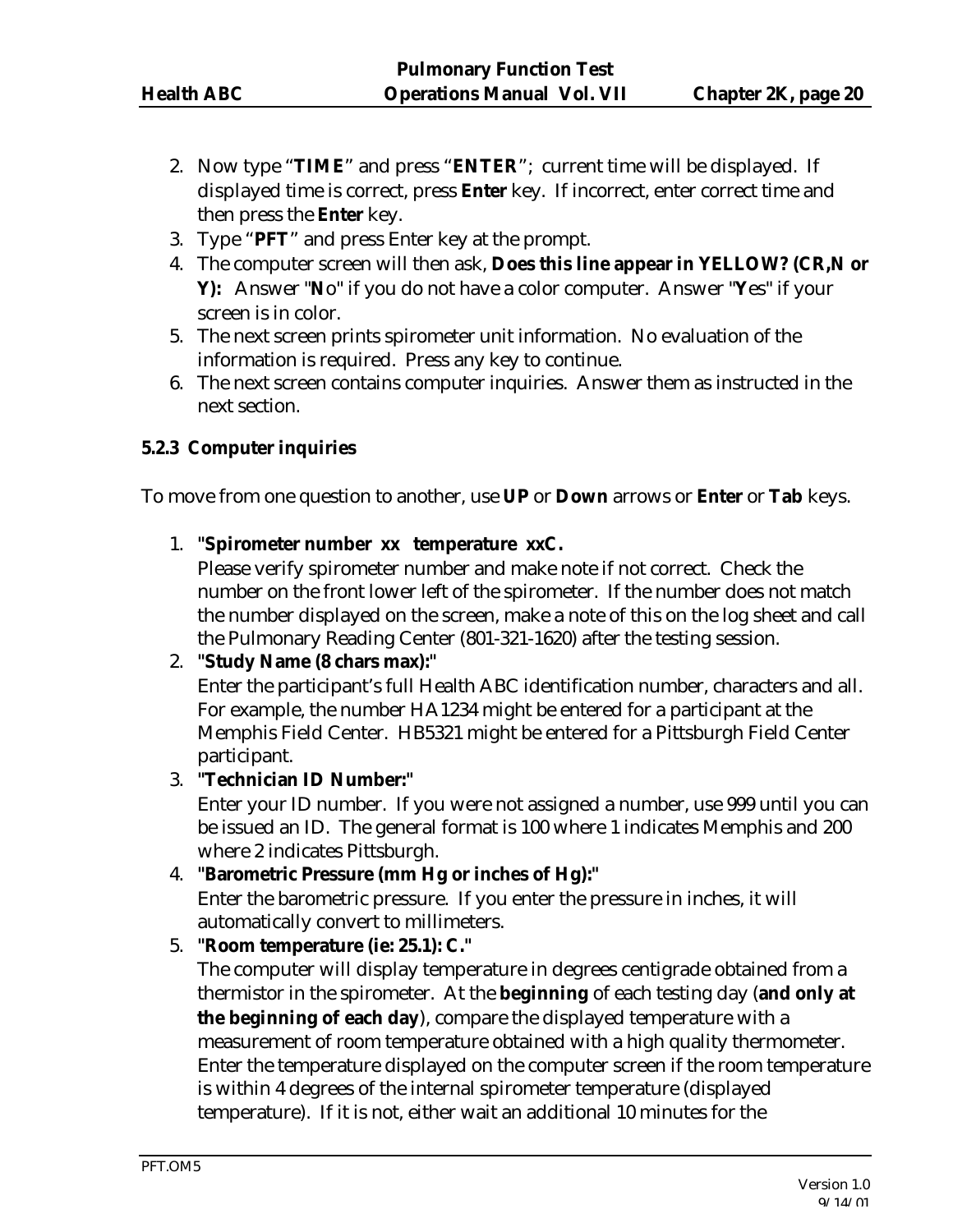- 2. Now type "**TIME**" and press "**ENTER**"; current time will be displayed. If displayed time is correct, press **Enter** key. If incorrect, enter correct time and then press the **Enter** key.
- 3. Type "**PFT**" and press Enter key at the prompt.
- 4. The computer screen will then ask, **Does this line appear in YELLOW? (CR,N or Y):** Answer "**N**o" if you do not have a color computer. Answer "**Y**es" if your screen is in color.
- 5. The next screen prints spirometer unit information. No evaluation of the information is required. Press any key to continue.
- 6. The next screen contains computer inquiries. Answer them as instructed in the next section.

## **5.2.3 Computer inquiries**

To move from one question to another, use **UP** or **Down** arrows or **Enter** or **Tab** keys.

1. **"Spirometer number xx temperature xxC.**

Please verify spirometer number and make note if not correct. Check the number on the front lower left of the spirometer. If the number does not match the number displayed on the screen, make a note of this on the log sheet and call the Pulmonary Reading Center (801-321-1620) after the testing session.

#### 2. **"Study Name (8 chars max):"**

Enter the participant's full Health ABC identification number, characters and all. For example, the number HA1234 might be entered for a participant at the Memphis Field Center. HB5321 might be entered for a Pittsburgh Field Center participant.

3. **"Technician ID Number:"** 

Enter your ID number. If you were not assigned a number, use 999 until you can be issued an ID. The general format is 100 where 1 indicates Memphis and 200 where 2 indicates Pittsburgh.

#### 4. **"Barometric Pressure (mm Hg or inches of Hg):"**

Enter the barometric pressure. If you enter the pressure in inches, it will automatically convert to millimeters.

#### 5. **"Room temperature (ie: 25.1): C."**

The computer will display temperature in degrees centigrade obtained from a thermistor in the spirometer. At the **beginning** of each testing day (**and only at the beginning of each day**), compare the displayed temperature with a measurement of room temperature obtained with a high quality thermometer. Enter the temperature displayed on the computer screen if the room temperature is within 4 degrees of the internal spirometer temperature (displayed temperature). If it is not, either wait an additional 10 minutes for the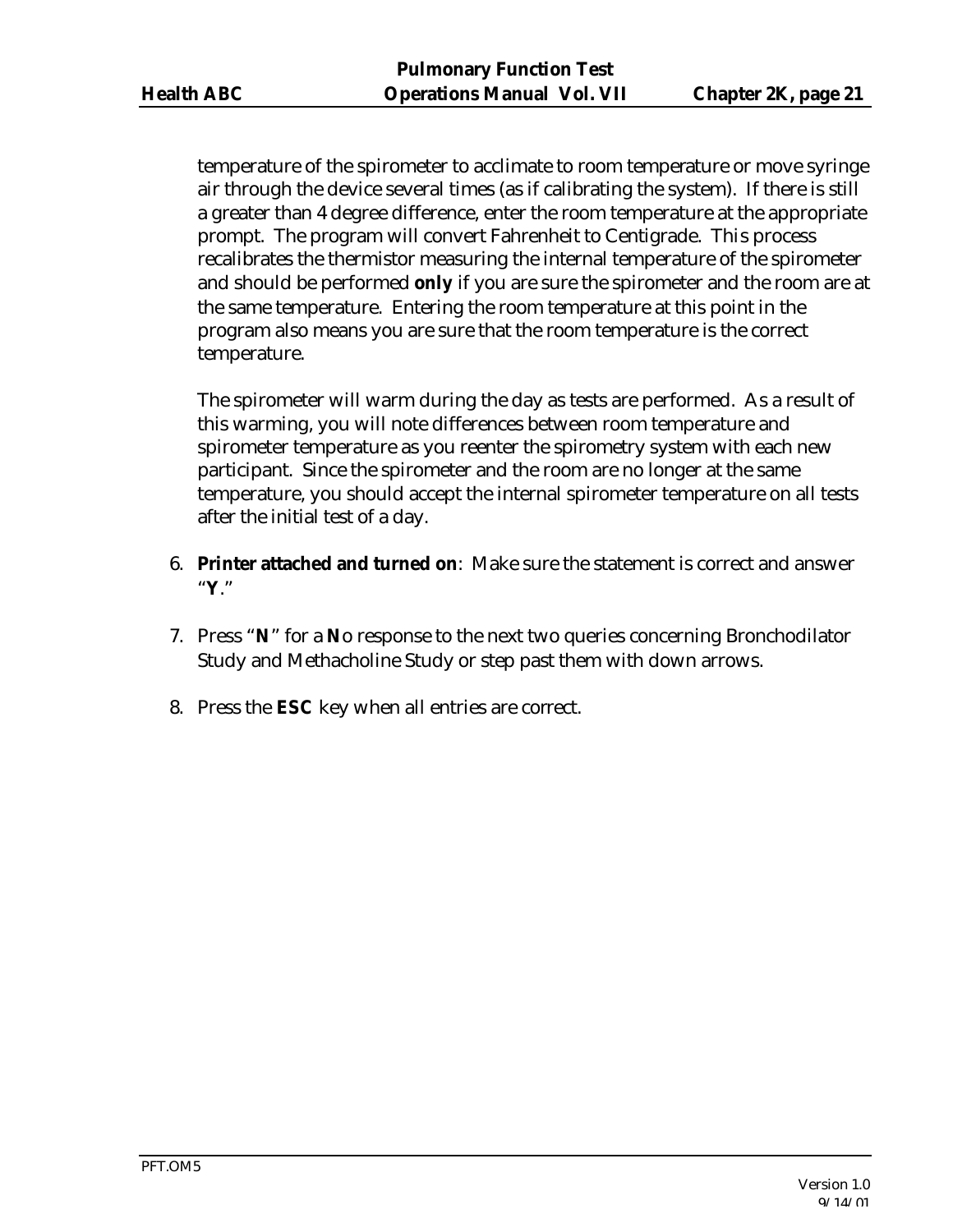temperature of the spirometer to acclimate to room temperature or move syringe air through the device several times (as if calibrating the system). If there is still a greater than 4 degree difference, enter the room temperature at the appropriate prompt. The program will convert Fahrenheit to Centigrade. This process recalibrates the thermistor measuring the internal temperature of the spirometer and should be performed **only** if you are sure the spirometer and the room are at the same temperature. Entering the room temperature at this point in the program also means you are sure that the room temperature is the correct temperature.

The spirometer will warm during the day as tests are performed. As a result of this warming, you will note differences between room temperature and spirometer temperature as you reenter the spirometry system with each new participant. Since the spirometer and the room are no longer at the same temperature, you should accept the internal spirometer temperature on all tests after the initial test of a day.

- 6. **Printer attached and turned on**: Make sure the statement is correct and answer "**Y**."
- 7. Press "**N**" for a **N**o response to the next two queries concerning Bronchodilator Study and Methacholine Study or step past them with down arrows.
- 8. Press the **ESC** key when all entries are correct.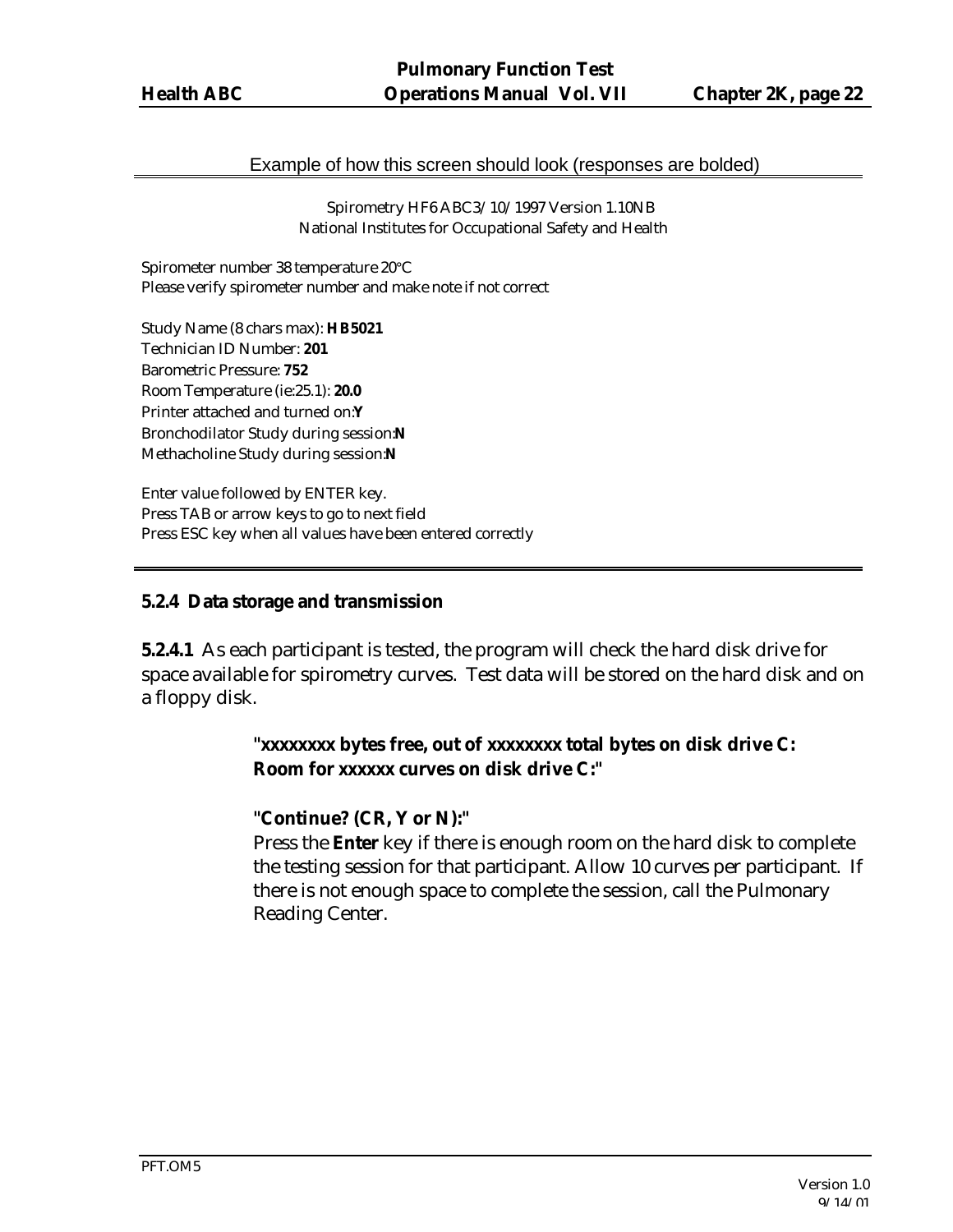#### Example of how this screen should look (responses are bolded)

 Spirometry HF6 ABC3/10/1997 Version 1.10NB National Institutes for Occupational Safety and Health

Spirometer number 38 temperature 20°C Please verify spirometer number and make note if not correct

Study Name (8 chars max): **HB5021** Technician ID Number: **201** Barometric Pressure: **752** Room Temperature (ie:25.1): **20.0** Printer attached and turned on:**Y** Bronchodilator Study during session:**N** Methacholine Study during session:**N**

Enter value followed by ENTER key. Press TAB or arrow keys to go to next field Press ESC key when all values have been entered correctly

#### **5.2.4 Data storage and transmission**

**5.2.4.1** As each participant is tested, the program will check the hard disk drive for space available for spirometry curves. Test data will be stored on the hard disk and on a floppy disk.

## **"xxxxxxxx bytes free, out of xxxxxxxx total bytes on disk drive C: Room for xxxxxx curves on disk drive C:"**

#### **"Continue? (CR, Y or N):"**

Press the **Enter** key if there is enough room on the hard disk to complete the testing session for that participant. Allow 10 curves per participant. If there is not enough space to complete the session, call the Pulmonary Reading Center.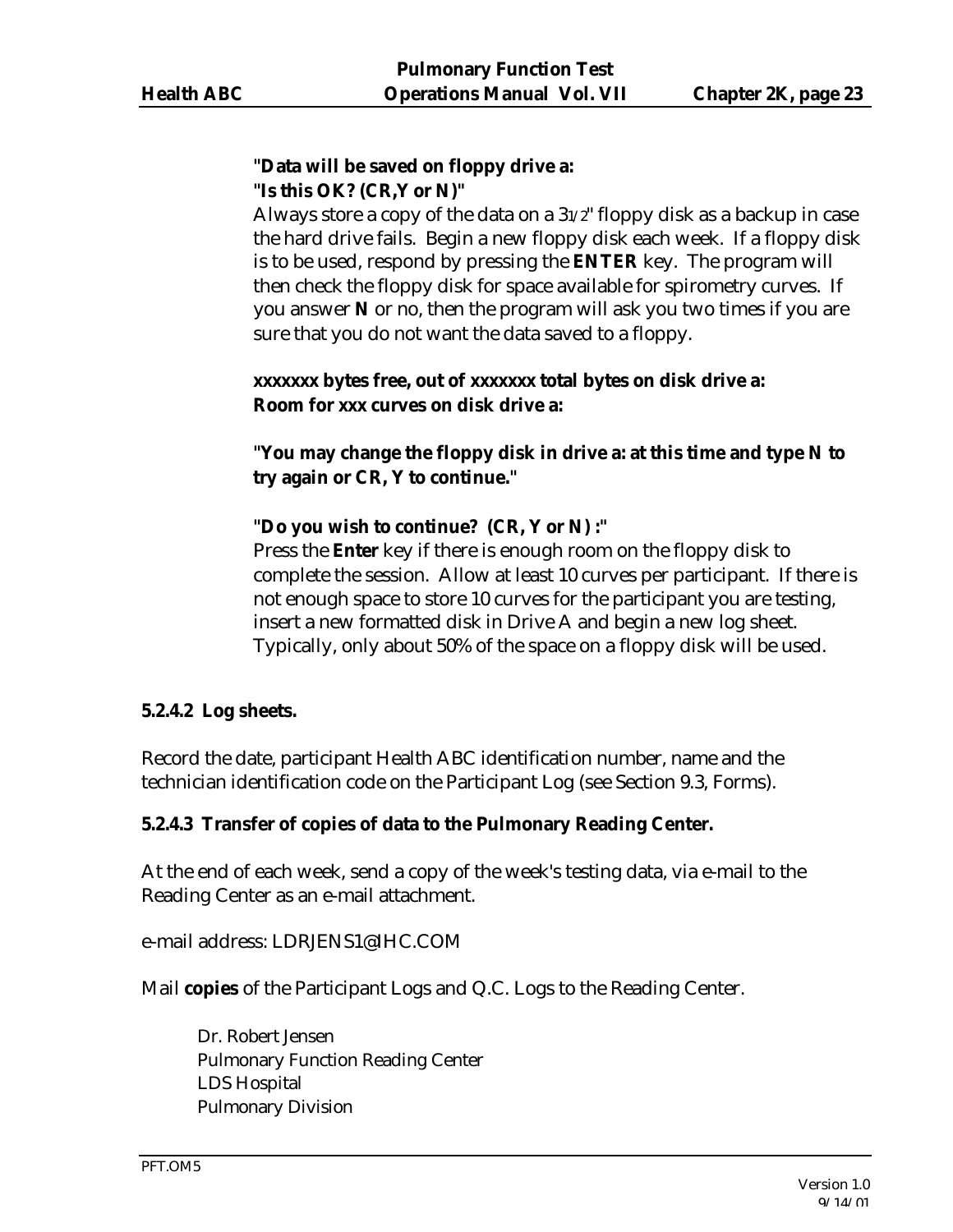## **"Data will be saved on floppy drive a: "Is this OK? (CR,Y or N)"**

Always store a copy of the data on a 31/2" floppy disk as a backup in case the hard drive fails. Begin a new floppy disk each week. If a floppy disk is to be used, respond by pressing the **ENTER** key. The program will then check the floppy disk for space available for spirometry curves. If you answer **N** or no, then the program will ask you two times if you are sure that you do not want the data saved to a floppy.

## **xxxxxxx bytes free, out of xxxxxxx total bytes on disk drive a: Room for xxx curves on disk drive a:**

**"You may change the floppy disk in drive a: at this time and type N to try again or CR, Y to continue."**

## **"Do you wish to continue? (CR, Y or N) :"**

Press the **Enter** key if there is enough room on the floppy disk to complete the session. Allow at least 10 curves per participant. If there is not enough space to store 10 curves for the participant you are testing, insert a new formatted disk in Drive A and begin a new log sheet. Typically, only about 50% of the space on a floppy disk will be used.

#### **5.2.4.2 Log sheets.**

Record the date, participant Health ABC identification number, name and the technician identification code on the Participant Log (see Section 9.3, Forms).

#### **5.2.4.3 Transfer of copies of data to the Pulmonary Reading Center.**

At the end of each week, send a copy of the week's testing data, via e-mail to the Reading Center as an e-mail attachment.

e-mail address: LDRJENS1@IHC.COM

Mail **copies** of the Participant Logs and Q.C. Logs to the Reading Center.

Dr. Robert Jensen Pulmonary Function Reading Center LDS Hospital Pulmonary Division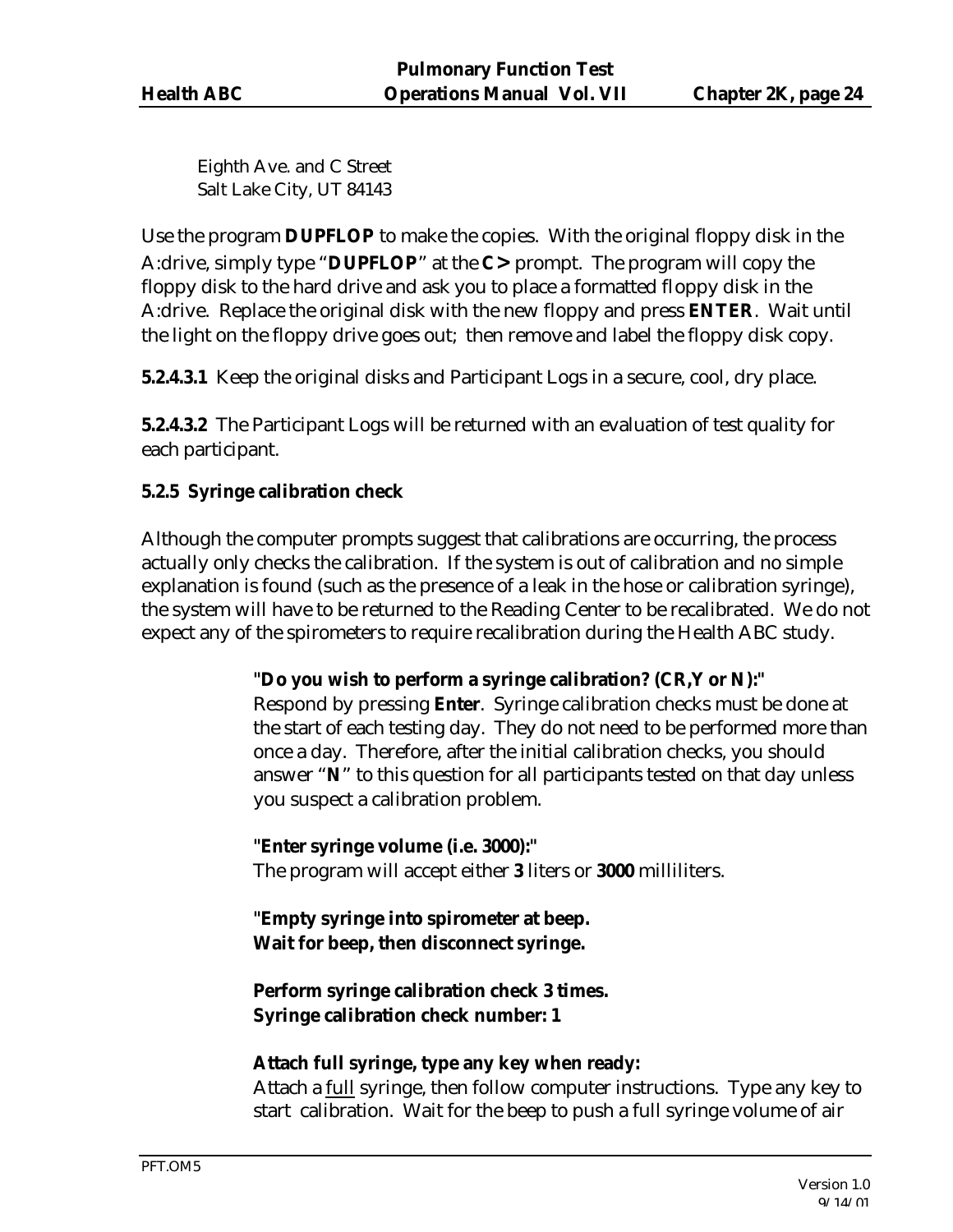Eighth Ave. and C Street Salt Lake City, UT 84143

Use the program **DUPFLOP** to make the copies. With the original floppy disk in the A:drive, simply type "**DUPFLOP**" at the **C>** prompt. The program will copy the floppy disk to the hard drive and ask you to place a formatted floppy disk in the A:drive. Replace the original disk with the new floppy and press **ENTER**. Wait until the light on the floppy drive goes out; then remove and label the floppy disk copy.

**5.2.4.3.1** Keep the original disks and Participant Logs in a secure, cool, dry place.

**5.2.4.3.2** The Participant Logs will be returned with an evaluation of test quality for each participant.

## **5.2.5 Syringe calibration check**

Although the computer prompts suggest that calibrations are occurring, the process actually only checks the calibration. If the system is out of calibration and no simple explanation is found (such as the presence of a leak in the hose or calibration syringe), the system will have to be returned to the Reading Center to be recalibrated. We do not expect any of the spirometers to require recalibration during the Health ABC study.

#### **"Do you wish to perform a syringe calibration? (CR,Y or N):"**

Respond by pressing **Enter**. Syringe calibration checks must be done at the start of each testing day. They do not need to be performed more than once a day. Therefore, after the initial calibration checks, you should answer "**N**" to this question for all participants tested on that day unless you suspect a calibration problem.

**"Enter syringe volume (i.e. 3000):"** The program will accept either **3** liters or **3000** milliliters.

**"Empty syringe into spirometer at beep. Wait for beep, then disconnect syringe.**

**Perform syringe calibration check 3 times. Syringe calibration check number: 1**

#### **Attach full syringe, type any key when ready:**

Attach a full syringe, then follow computer instructions. Type any key to start calibration. Wait for the beep to push a full syringe volume of air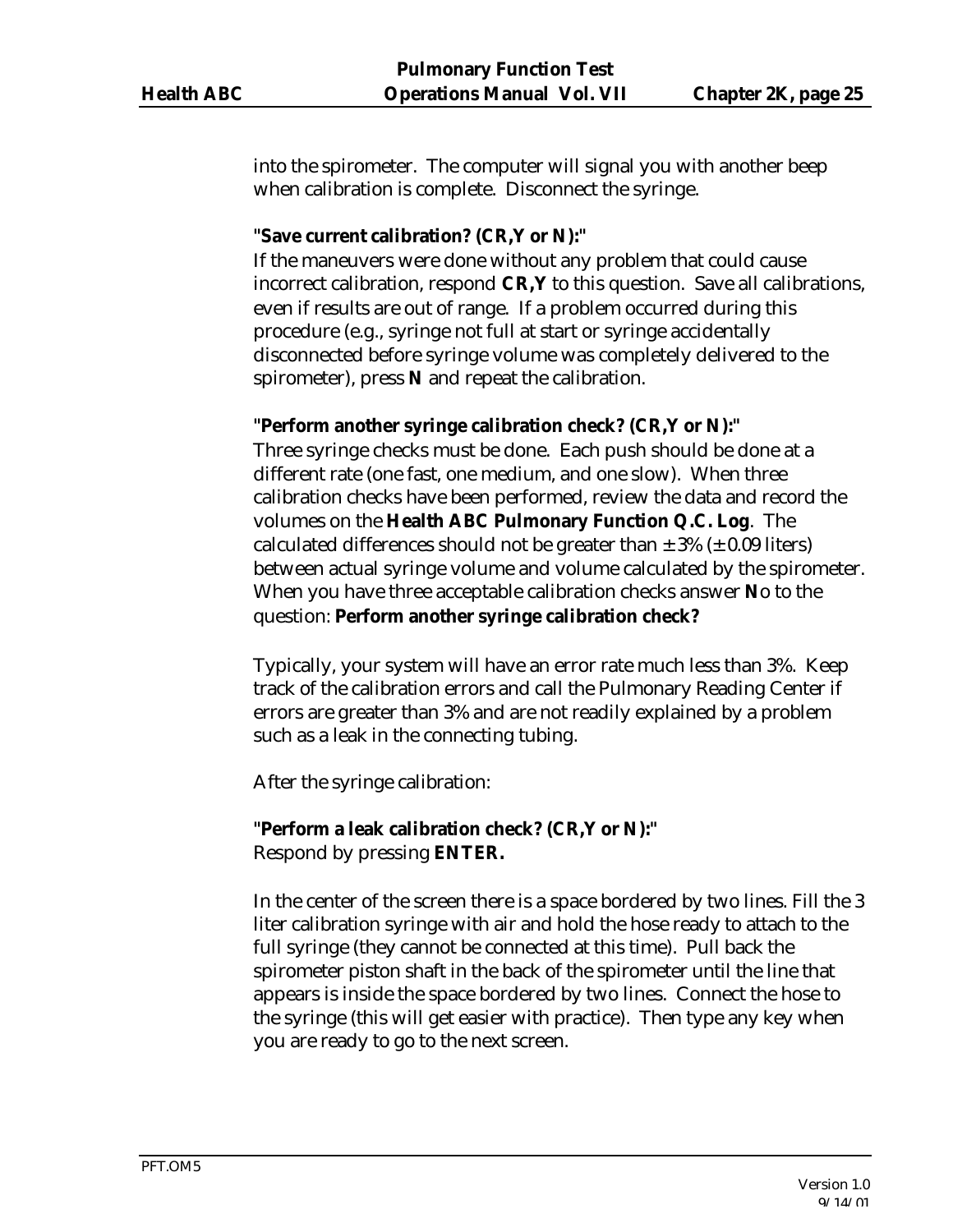into the spirometer. The computer will signal you with another beep when calibration is complete. Disconnect the syringe.

#### **"Save current calibration? (CR,Y or N):"**

If the maneuvers were done without any problem that could cause incorrect calibration, respond **CR,Y** to this question. Save all calibrations, even if results are out of range. If a problem occurred during this procedure (e.g., syringe not full at start or syringe accidentally disconnected before syringe volume was completely delivered to the spirometer), press **N** and repeat the calibration.

#### **"Perform another syringe calibration check? (CR,Y or N):"**

Three syringe checks must be done. Each push should be done at a different rate (one fast, one medium, and one slow). When three calibration checks have been performed, review the data and record the volumes on the **Health ABC Pulmonary Function Q.C. Log**. The calculated differences should not be greater than  $\pm$  3% ( $\pm$  0.09 liters) between actual syringe volume and volume calculated by the spirometer. When you have three acceptable calibration checks answer **N**o to the question: **Perform another syringe calibration check?**

Typically, your system will have an error rate much less than 3%. Keep track of the calibration errors and call the Pulmonary Reading Center if errors are greater than 3% and are not readily explained by a problem such as a leak in the connecting tubing.

After the syringe calibration:

# **"Perform a leak calibration check? (CR,Y or N):"**

Respond by pressing **ENTER.**

In the center of the screen there is a space bordered by two lines. Fill the 3 liter calibration syringe with air and hold the hose ready to attach to the full syringe (they cannot be connected at this time). Pull back the spirometer piston shaft in the back of the spirometer until the line that appears is inside the space bordered by two lines. Connect the hose to the syringe (this will get easier with practice). Then type any key when you are ready to go to the next screen.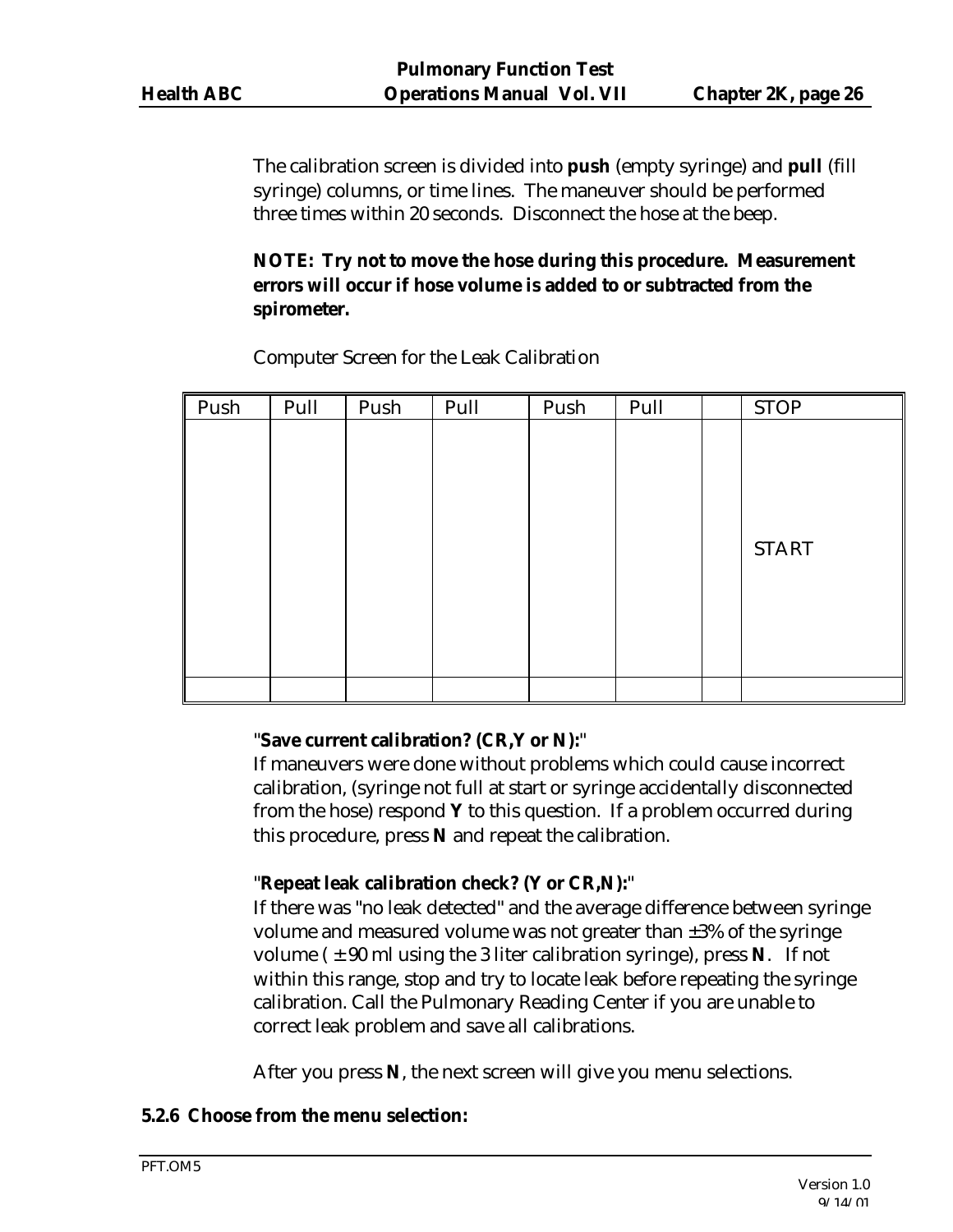The calibration screen is divided into **push** (empty syringe) and **pull** (fill syringe) columns, or time lines. The maneuver should be performed three times within 20 seconds. Disconnect the hose at the beep.

## **NOTE: Try not to move the hose during this procedure. Measurement errors will occur if hose volume is added to or subtracted from the spirometer.**

| Push | Pull | Push | Pull | Push | Pull | <b>STOP</b>  |
|------|------|------|------|------|------|--------------|
|      |      |      |      |      |      |              |
|      |      |      |      |      |      |              |
|      |      |      |      |      |      |              |
|      |      |      |      |      |      |              |
|      |      |      |      |      |      | <b>START</b> |
|      |      |      |      |      |      |              |
|      |      |      |      |      |      |              |
|      |      |      |      |      |      |              |
|      |      |      |      |      |      |              |
|      |      |      |      |      |      |              |

Computer Screen for the Leak Calibration

## "**Save current calibration? (CR,Y or N):**"

If maneuvers were done without problems which could cause incorrect calibration, (syringe not full at start or syringe accidentally disconnected from the hose) respond **Y** to this question. If a problem occurred during this procedure, press **N** and repeat the calibration.

## "**Repeat leak calibration check? (Y or CR,N):**"

If there was "no leak detected" and the average difference between syringe volume and measured volume was not greater than ±3% of the syringe volume  $(\pm 90 \text{ ml} \text{ using the 3 liter calibration syringe})$ , press **N**. If not within this range, stop and try to locate leak before repeating the syringe calibration. Call the Pulmonary Reading Center if you are unable to correct leak problem and save all calibrations.

After you press **N**, the next screen will give you menu selections.

## **5.2.6 Choose from the menu selection:**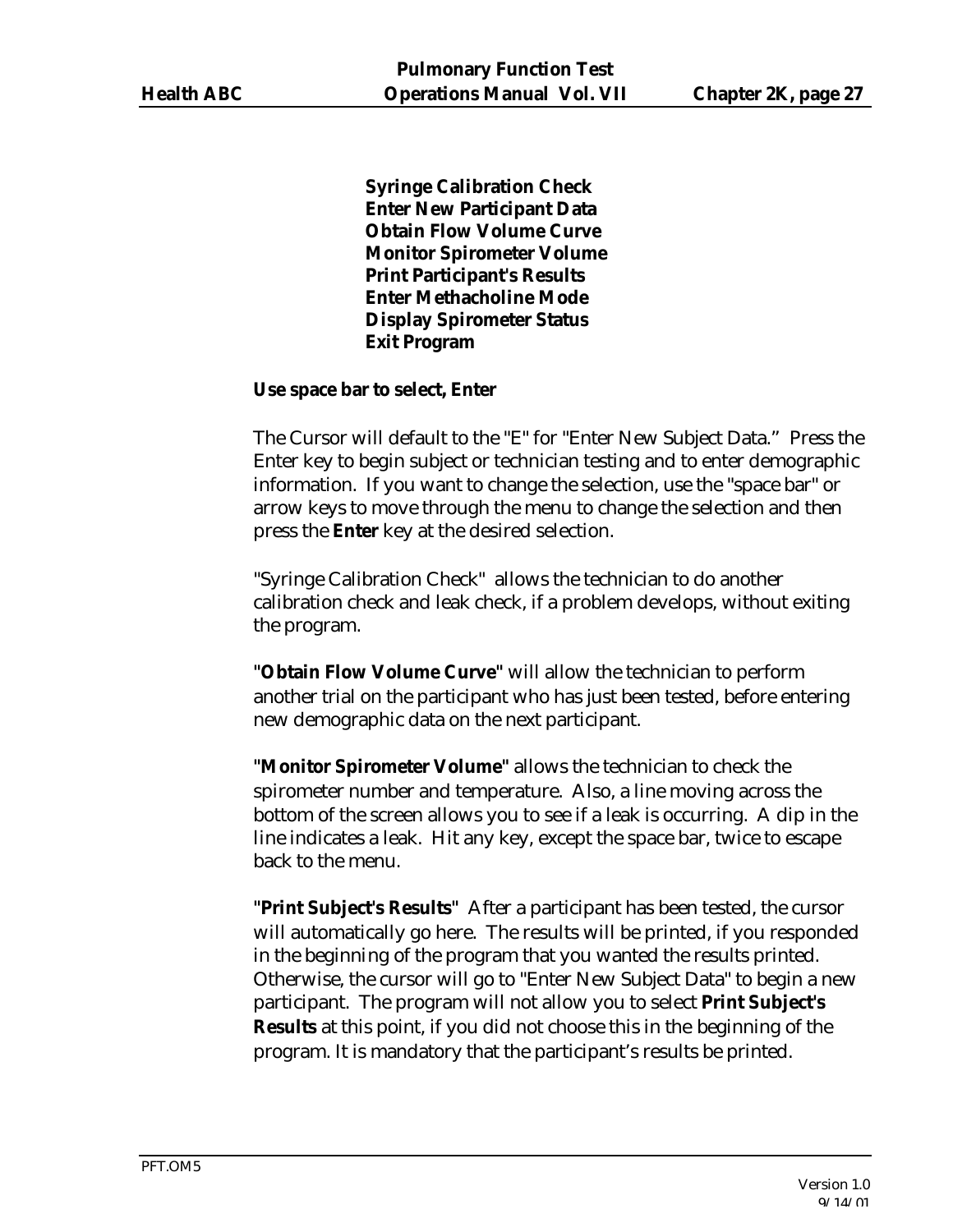**Syringe Calibration Check Enter New Participant Data Obtain Flow Volume Curve Monitor Spirometer Volume Print Participant's Results Enter Methacholine Mode Display Spirometer Status Exit Program**

#### **Use space bar to select, Enter**

The Cursor will default to the "E" for "Enter New Subject Data." Press the Enter key to begin subject or technician testing and to enter demographic information. If you want to change the selection, use the "space bar" or arrow keys to move through the menu to change the selection and then press the **Enter** key at the desired selection.

"Syringe Calibration Check" allows the technician to do another calibration check and leak check, if a problem develops, without exiting the program.

**"Obtain Flow Volume Curve"** will allow the technician to perform another trial on the participant who has just been tested, before entering new demographic data on the next participant.

**"Monitor Spirometer Volume"** allows the technician to check the spirometer number and temperature. Also, a line moving across the bottom of the screen allows you to see if a leak is occurring. A dip in the line indicates a leak. Hit any key, except the space bar, twice to escape back to the menu.

**"Print Subject's Results"** After a participant has been tested, the cursor will automatically go here. The results will be printed, if you responded in the beginning of the program that you wanted the results printed. Otherwise, the cursor will go to "Enter New Subject Data" to begin a new participant. The program will not allow you to select **Print Subject's Results** at this point, if you did not choose this in the beginning of the program. It is mandatory that the participant's results be printed.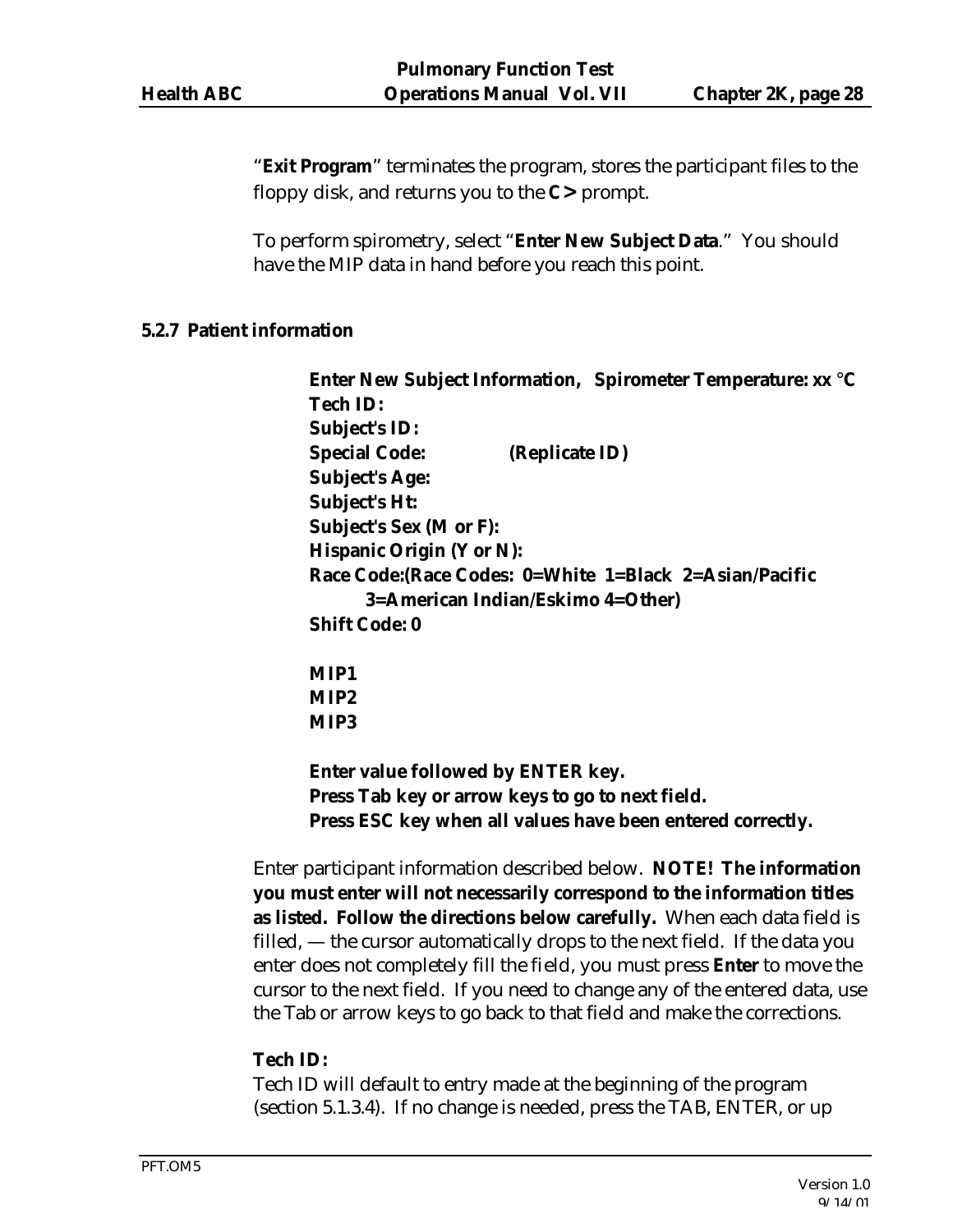"**Exit Program**" terminates the program, stores the participant files to the floppy disk, and returns you to the **C>** prompt.

To perform spirometry, select "**Enter New Subject Data**." You should have the MIP data in hand before you reach this point.

#### **5.2.7 Patient information**

**Enter New Subject Information, Spirometer Temperature: xx** °**C Tech ID: Subject's ID: Special Code: (Replicate ID) Subject's Age: Subject's Ht: Subject's Sex (M or F): Hispanic Origin (Y or N): Race Code:(Race Codes: 0=White 1=Black 2=Asian/Pacific 3=American Indian/Eskimo 4=Other) Shift Code: 0 MIP1 MIP2 MIP3** 

**Enter value followed by ENTER key. Press Tab key or arrow keys to go to next field. Press ESC key when all values have been entered correctly.** 

Enter participant information described below. **NOTE! The information you must enter will not necessarily correspond to the information titles as listed. Follow the directions below carefully.** When each data field is filled, — the cursor automatically drops to the next field. If the data you enter does not completely fill the field, you must press **Enter** to move the cursor to the next field. If you need to change any of the entered data, use the Tab or arrow keys to go back to that field and make the corrections.

## **Tech ID:**

Tech ID will default to entry made at the beginning of the program (section 5.1.3.4). If no change is needed, press the TAB, ENTER, or up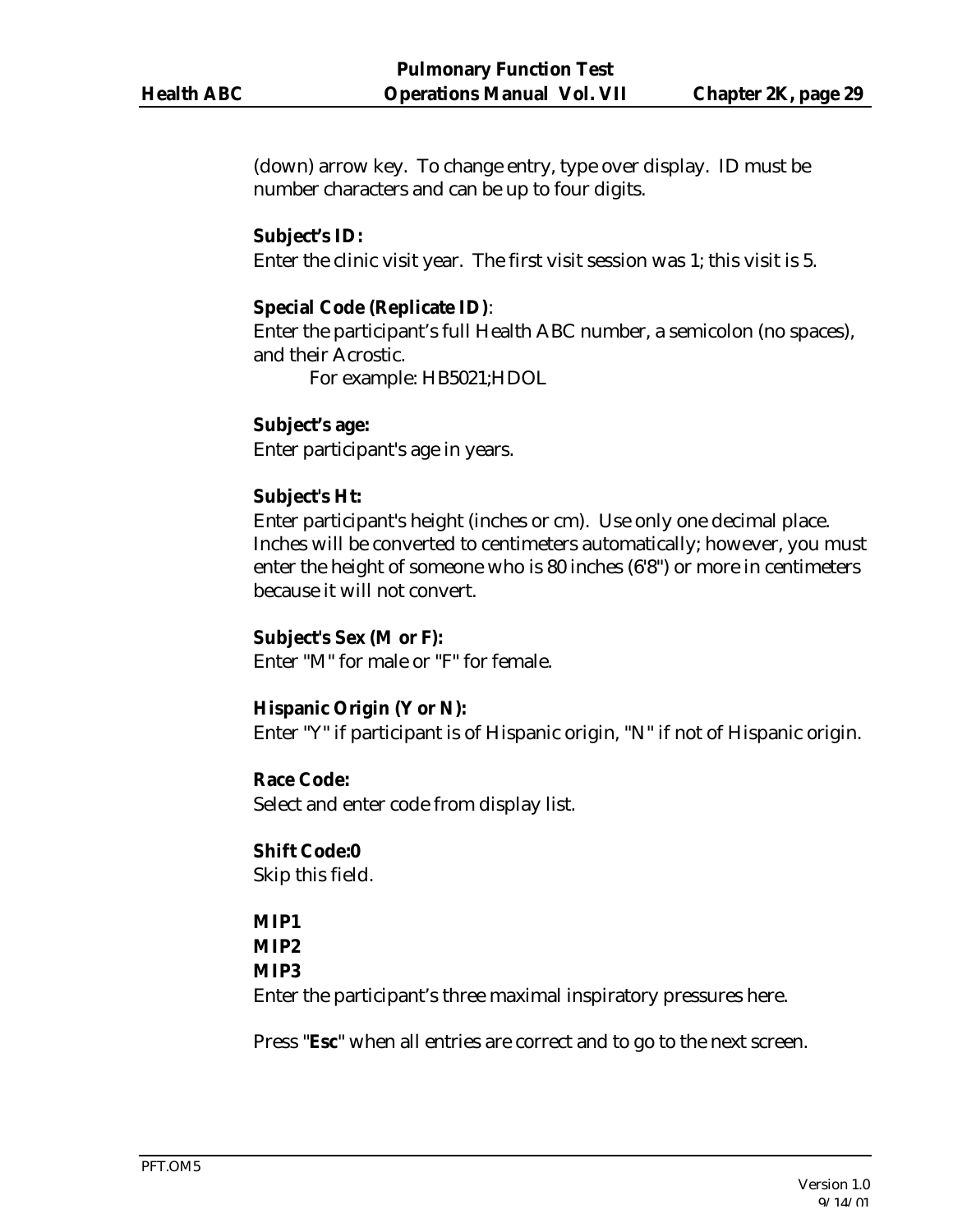(down) arrow key. To change entry, type over display. ID must be number characters and can be up to four digits.

#### **Subject's ID:**

Enter the clinic visit year. The first visit session was 1; this visit is 5.

### **Special Code (Replicate ID)**:

Enter the participant's full Health ABC number, a semicolon (no spaces), and their Acrostic.

For example: HB5021;HDOL

## **Subject's age:**

Enter participant's age in years.

## **Subject's Ht:**

Enter participant's height (inches or cm). Use only one decimal place. Inches will be converted to centimeters automatically; however, you must enter the height of someone who is 80 inches (6'8") or more in centimeters because it will not convert.

#### **Subject's Sex (M or F):**

Enter "M" for male or "F" for female.

#### **Hispanic Origin (Y or N):**

Enter "Y" if participant is of Hispanic origin, "N" if not of Hispanic origin.

#### **Race Code:**

Select and enter code from display list.

#### **Shift Code:0**

Skip this field.

## **MIP1**

## **MIP2**

#### **MIP3**

Enter the participant's three maximal inspiratory pressures here.

Press "**Esc**" when all entries are correct and to go to the next screen.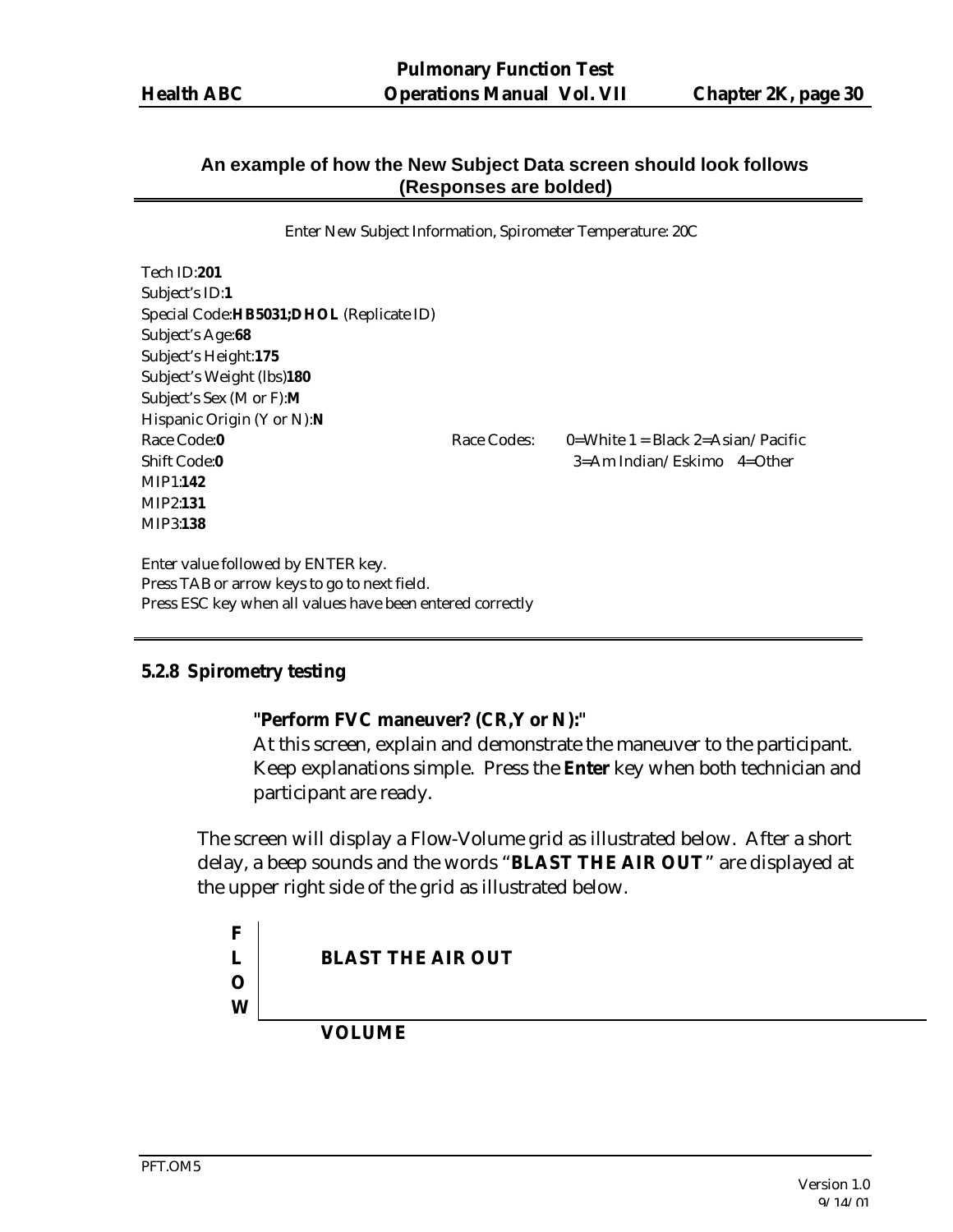## **An example of how the New Subject Data screen should look follows (Responses are bolded)**

Enter New Subject Information, Spirometer Temperature: 20C

Tech ID:**201** Subject's ID:**1** Special Code:**HB5031;DHOL** (Replicate ID) Subject's Age:**68** Subject's Height:**175** Subject's Weight (lbs)**180** Subject's Sex (M or F):**M** Hispanic Origin (Y or N):**N** Race Code:**0** Race Codes: 0=White 1 = Black 2=Asian/Pacific Shift Code:**0** 3=Am Indian/Eskimo 4=Other MIP1:**142** MIP2:**131** MIP3:**138**

Enter value followed by ENTER key. Press TAB or arrow keys to go to next field. Press ESC key when all values have been entered correctly

#### **5.2.8 Spirometry testing**

#### **"Perform FVC maneuver? (CR,Y or N):"**

At this screen, explain and demonstrate the maneuver to the participant. Keep explanations simple. Press the **Enter** key when both technician and participant are ready.

The screen will display a Flow-Volume grid as illustrated below. After a short delay, a beep sounds and the words "**BLAST THE AIR OUT**" are displayed at the upper right side of the grid as illustrated below.

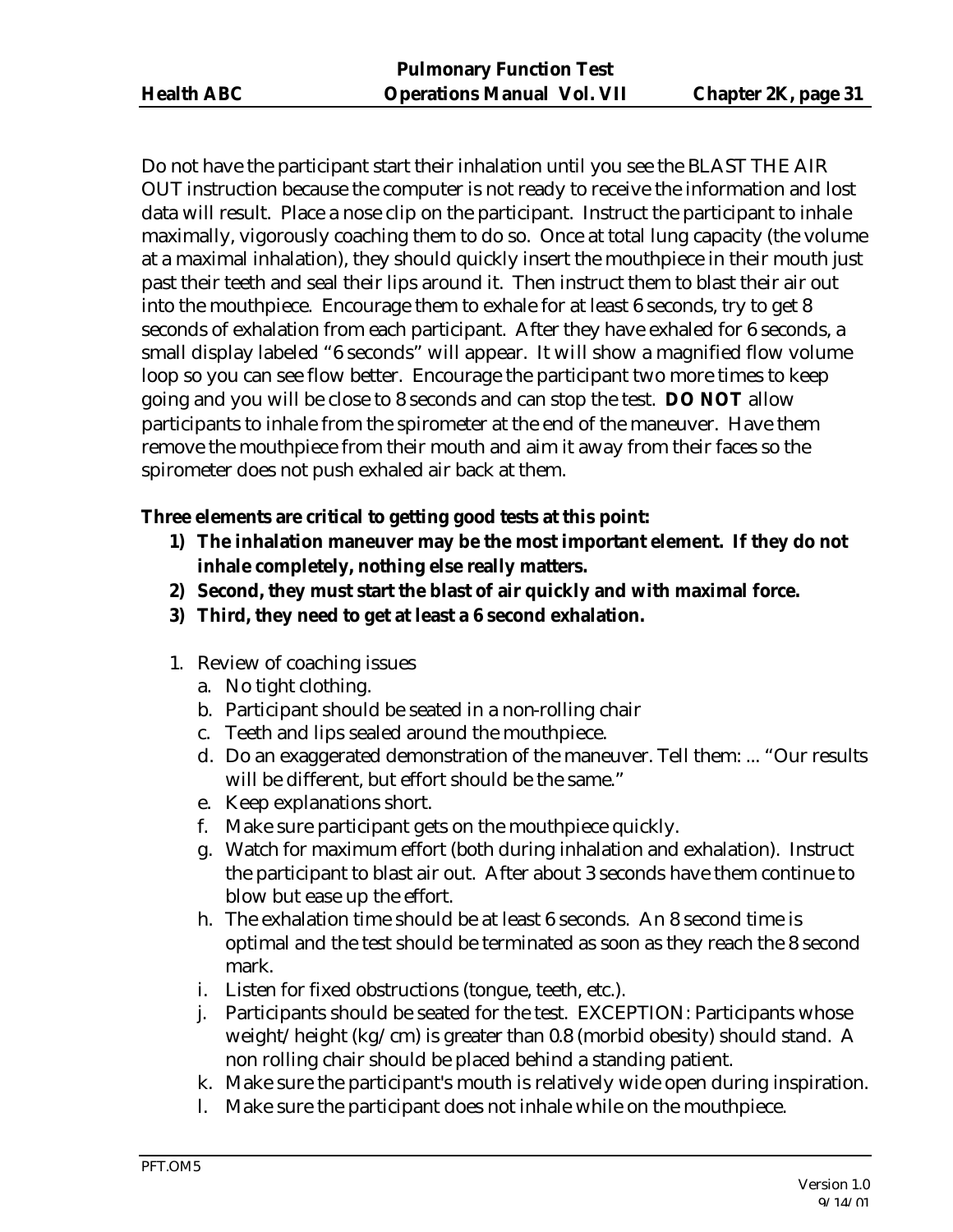Do not have the participant start their inhalation until you see the BLAST THE AIR OUT instruction because the computer is not ready to receive the information and lost data will result. Place a nose clip on the participant. Instruct the participant to inhale maximally, vigorously coaching them to do so. Once at total lung capacity (the volume at a maximal inhalation), they should quickly insert the mouthpiece in their mouth just past their teeth and seal their lips around it. Then instruct them to blast their air out into the mouthpiece. Encourage them to exhale for at least 6 seconds, try to get 8 seconds of exhalation from each participant. After they have exhaled for 6 seconds, a small display labeled "6 seconds" will appear. It will show a magnified flow volume loop so you can see flow better. Encourage the participant two more times to keep going and you will be close to 8 seconds and can stop the test. **DO NOT** allow participants to inhale from the spirometer at the end of the maneuver. Have them remove the mouthpiece from their mouth and aim it away from their faces so the spirometer does not push exhaled air back at them.

## **Three elements are critical to getting good tests at this point:**

- **1) The inhalation maneuver may be the most important element. If they do not inhale completely, nothing else really matters.**
- **2) Second, they must start the blast of air quickly and with maximal force.**
- **3) Third, they need to get at least a 6 second exhalation.**
- 1. Review of coaching issues
	- a. No tight clothing.
	- b. Participant should be seated in a non-rolling chair
	- c. Teeth and lips sealed around the mouthpiece.
	- d. Do an exaggerated demonstration of the maneuver. Tell them: ... "Our results will be different, but effort should be the same."
	- e. Keep explanations short.
	- f. Make sure participant gets on the mouthpiece quickly.
	- g. Watch for maximum effort (both during inhalation and exhalation). Instruct the participant to blast air out. After about 3 seconds have them continue to blow but ease up the effort.
	- h. The exhalation time should be at least 6 seconds. An 8 second time is optimal and the test should be terminated as soon as they reach the 8 second mark.
	- i. Listen for fixed obstructions (tongue, teeth, etc.).
	- j. Participants should be seated for the test. EXCEPTION: Participants whose weight/height (kg/cm) is greater than 0.8 (morbid obesity) should stand. A non rolling chair should be placed behind a standing patient.
	- k. Make sure the participant's mouth is relatively wide open during inspiration.
	- l. Make sure the participant does not inhale while on the mouthpiece.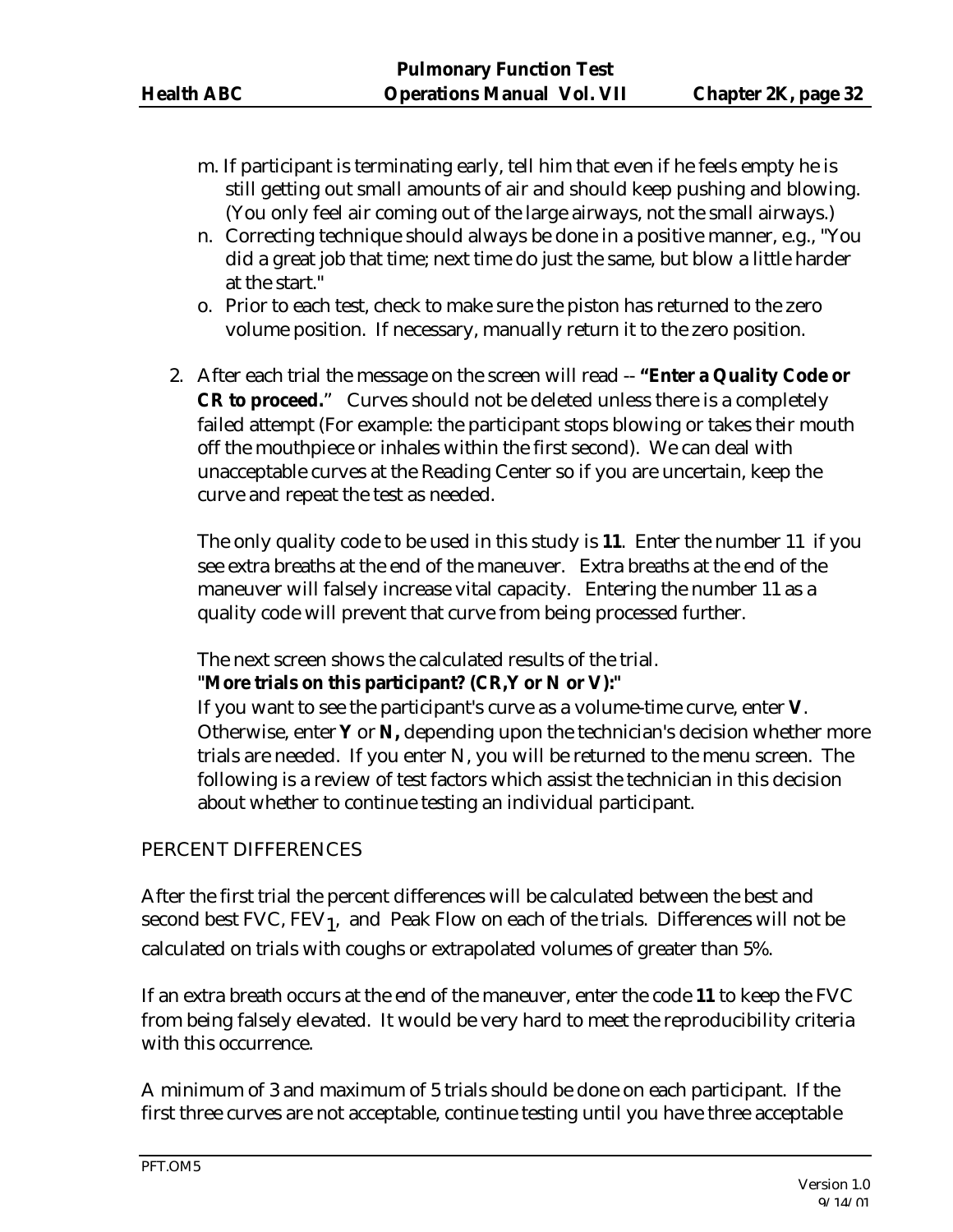- m. If participant is terminating early, tell him that even if he feels empty he is still getting out small amounts of air and should keep pushing and blowing. (You only feel air coming out of the large airways, not the small airways.)
- n. Correcting technique should always be done in a positive manner, e.g., "You did a great job that time; next time do just the same, but blow a little harder at the start."
- o. Prior to each test, check to make sure the piston has returned to the zero volume position. If necessary, manually return it to the zero position.
- 2. After each trial the message on the screen will read -- **"Enter a Quality Code or CR to proceed.**" Curves should not be deleted unless there is a completely failed attempt (For example: the participant stops blowing or takes their mouth off the mouthpiece or inhales within the first second). We can deal with unacceptable curves at the Reading Center so if you are uncertain, keep the curve and repeat the test as needed.

The only quality code to be used in this study is **11**. Enter the number 11 if you see extra breaths at the end of the maneuver. Extra breaths at the end of the maneuver will falsely increase vital capacity. Entering the number 11 as a quality code will prevent that curve from being processed further.

The next screen shows the calculated results of the trial.

#### **"More trials on this participant? (CR,Y or N or V):"**

If you want to see the participant's curve as a volume-time curve, enter **V**. Otherwise, enter **Y** or **N,** depending upon the technician's decision whether more trials are needed. If you enter N, you will be returned to the menu screen. The following is a review of test factors which assist the technician in this decision about whether to continue testing an individual participant.

## PERCENT DIFFERENCES

After the first trial the percent differences will be calculated between the best and second best FVC,  ${\rm FEV}_1$ , and Peak Flow on each of the trials. Differences will not be calculated on trials with coughs or extrapolated volumes of greater than 5%.

If an extra breath occurs at the end of the maneuver, enter the code **11** to keep the FVC from being falsely elevated. It would be very hard to meet the reproducibility criteria with this occurrence.

A minimum of 3 and maximum of 5 trials should be done on each participant. If the first three curves are not acceptable, continue testing until you have three acceptable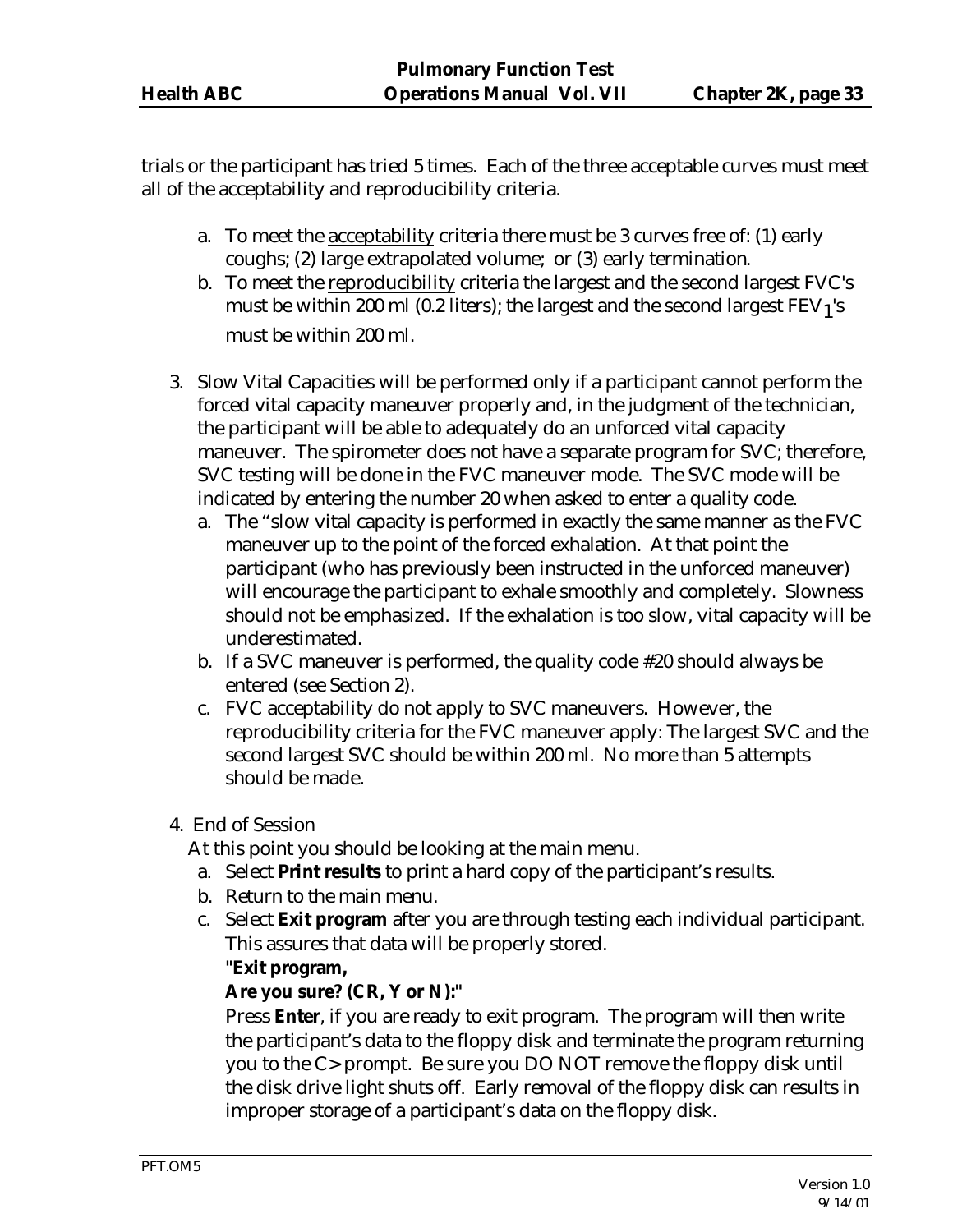trials or the participant has tried 5 times. Each of the three acceptable curves must meet all of the acceptability and reproducibility criteria.

- a. To meet the acceptability criteria there must be 3 curves free of: (1) early coughs; (2) large extrapolated volume; or (3) early termination.
- b. To meet the reproducibility criteria the largest and the second largest FVC's must be within 200 ml (0.2 liters); the largest and the second largest  $\rm{FEV_1's}$ must be within 200 ml.
- 3. Slow Vital Capacities will be performed only if a participant cannot perform the forced vital capacity maneuver properly and, in the judgment of the technician, the participant will be able to adequately do an unforced vital capacity maneuver. The spirometer does not have a separate program for SVC; therefore, SVC testing will be done in the FVC maneuver mode. The SVC mode will be indicated by entering the number 20 when asked to enter a quality code.
	- a. The "slow vital capacity is performed in exactly the same manner as the FVC maneuver up to the point of the forced exhalation. At that point the participant (who has previously been instructed in the unforced maneuver) will encourage the participant to exhale smoothly and completely. Slowness should not be emphasized. If the exhalation is too slow, vital capacity will be underestimated.
	- b. If a SVC maneuver is performed, the quality code #20 should always be entered (see Section 2).
	- c. FVC acceptability do not apply to SVC maneuvers. However, the reproducibility criteria for the FVC maneuver apply: The largest SVC and the second largest SVC should be within 200 ml. No more than 5 attempts should be made.
- 4. End of Session

At this point you should be looking at the main menu.

- a. Select **Print results** to print a hard copy of the participant's results.
- b. Return to the main menu.
- c. Select **Exit program** after you are through testing each individual participant. This assures that data will be properly stored.

## **"Exit program,**

#### **Are you sure? (CR, Y or N):"**

Press **Enter**, if you are ready to exit program. The program will then write the participant's data to the floppy disk and terminate the program returning you to the C> prompt. Be sure you DO NOT remove the floppy disk until the disk drive light shuts off. Early removal of the floppy disk can results in improper storage of a participant's data on the floppy disk.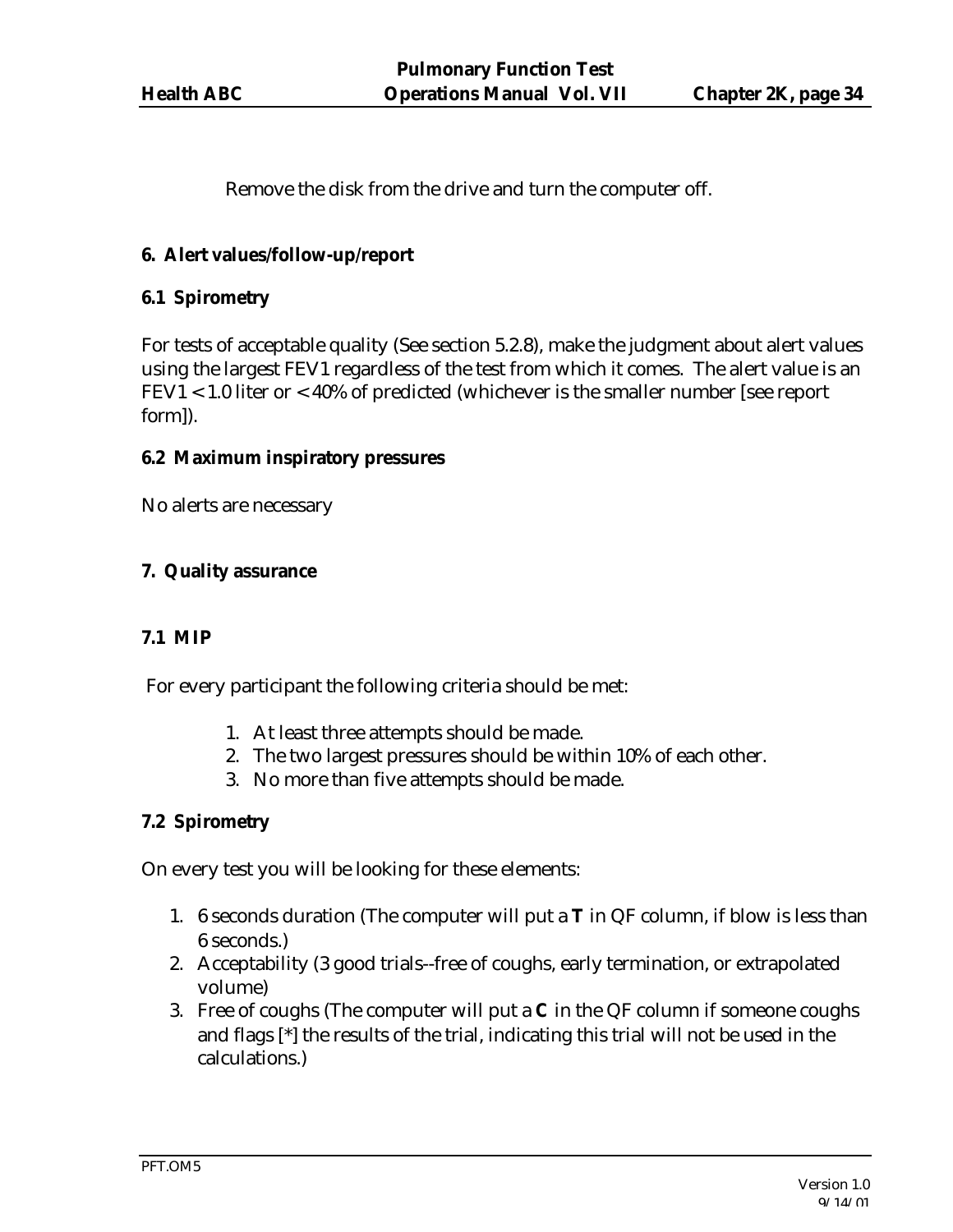Remove the disk from the drive and turn the computer off.

## **6. Alert values/follow-up/report**

## **6.1 Spirometry**

For tests of acceptable quality (See section 5.2.8), make the judgment about alert values using the largest FEV1 regardless of the test from which it comes. The alert value is an FEV1 < 1.0 liter or < 40% of predicted (whichever is the smaller number [see report form]).

## **6.2 Maximum inspiratory pressures**

No alerts are necessary

## **7. Quality assurance**

## **7.1 MIP**

For every participant the following criteria should be met:

- 1. At least three attempts should be made.
- 2. The two largest pressures should be within 10% of each other.
- 3. No more than five attempts should be made.

## **7.2 Spirometry**

On every test you will be looking for these elements:

- 1. 6 seconds duration (The computer will put a **T** in QF column, if blow is less than 6 seconds.)
- 2. Acceptability (3 good trials--free of coughs, early termination, or extrapolated volume)
- 3. Free of coughs (The computer will put a **C** in the QF column if someone coughs and flags [\*] the results of the trial, indicating this trial will not be used in the calculations.)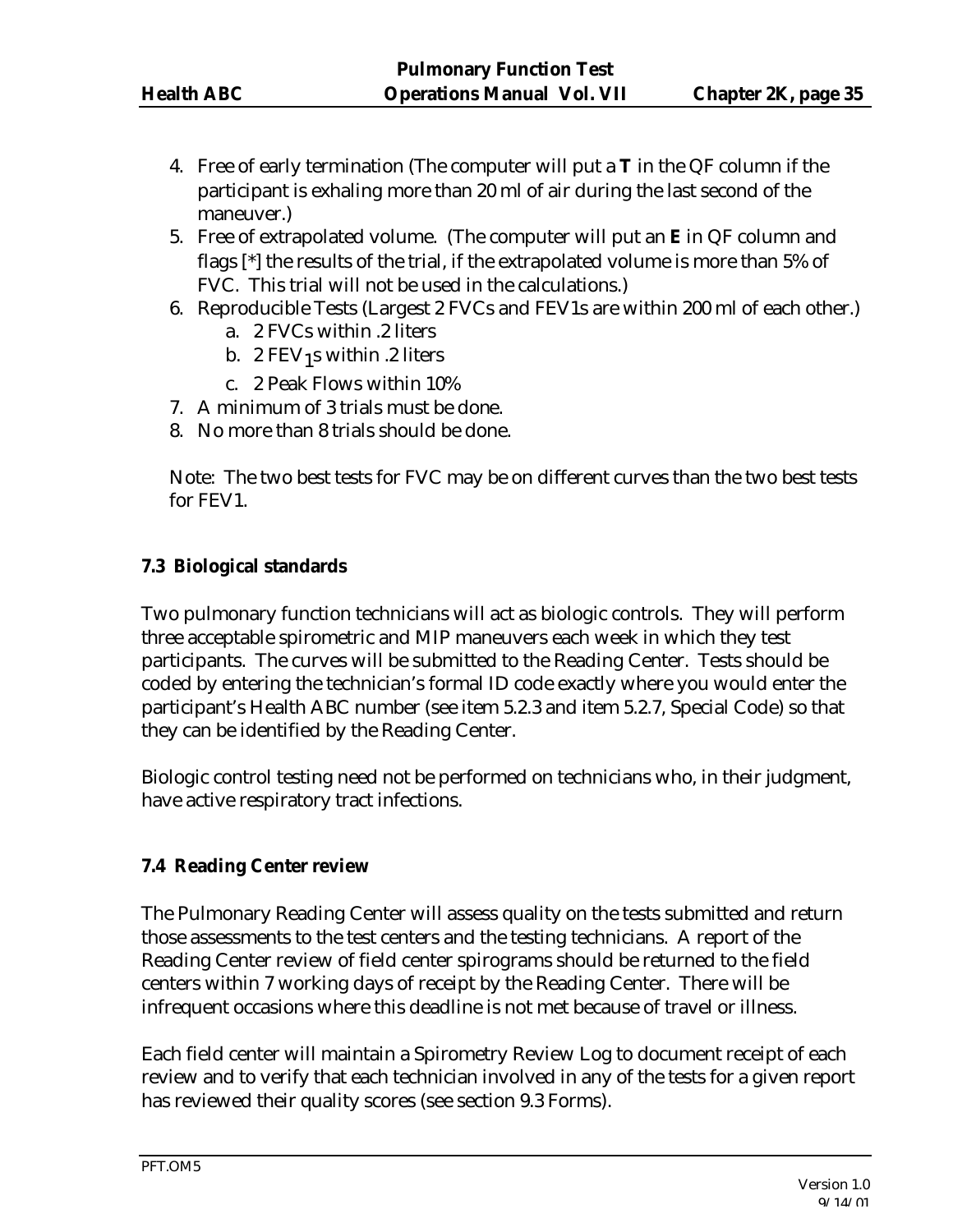- 4. Free of early termination (The computer will put a **T** in the QF column if the participant is exhaling more than 20 ml of air during the last second of the maneuver.)
- 5. Free of extrapolated volume. (The computer will put an **E** in QF column and flags [\*] the results of the trial, if the extrapolated volume is more than 5% of FVC. This trial will not be used in the calculations.)
- 6. Reproducible Tests (Largest 2 FVCs and FEV1s are within 200 ml of each other.)
	- a. 2 FVCs within .2 liters
	- b.  $2$  FEV  $_1$ s within .2 liters
	- c. 2 Peak Flows within 10%
- 7. A minimum of 3 trials must be done.
- 8. No more than 8 trials should be done.

Note: The two best tests for FVC may be on different curves than the two best tests for FEV1.

#### **7.3 Biological standards**

Two pulmonary function technicians will act as biologic controls. They will perform three acceptable spirometric and MIP maneuvers each week in which they test participants. The curves will be submitted to the Reading Center. Tests should be coded by entering the technician's formal ID code exactly where you would enter the participant's Health ABC number (see item 5.2.3 and item 5.2.7, Special Code) so that they can be identified by the Reading Center.

Biologic control testing need not be performed on technicians who, in their judgment, have active respiratory tract infections.

## **7.4 Reading Center review**

The Pulmonary Reading Center will assess quality on the tests submitted and return those assessments to the test centers and the testing technicians. A report of the Reading Center review of field center spirograms should be returned to the field centers within 7 working days of receipt by the Reading Center. There will be infrequent occasions where this deadline is not met because of travel or illness.

Each field center will maintain a Spirometry Review Log to document receipt of each review and to verify that each technician involved in any of the tests for a given report has reviewed their quality scores (see section 9.3 Forms).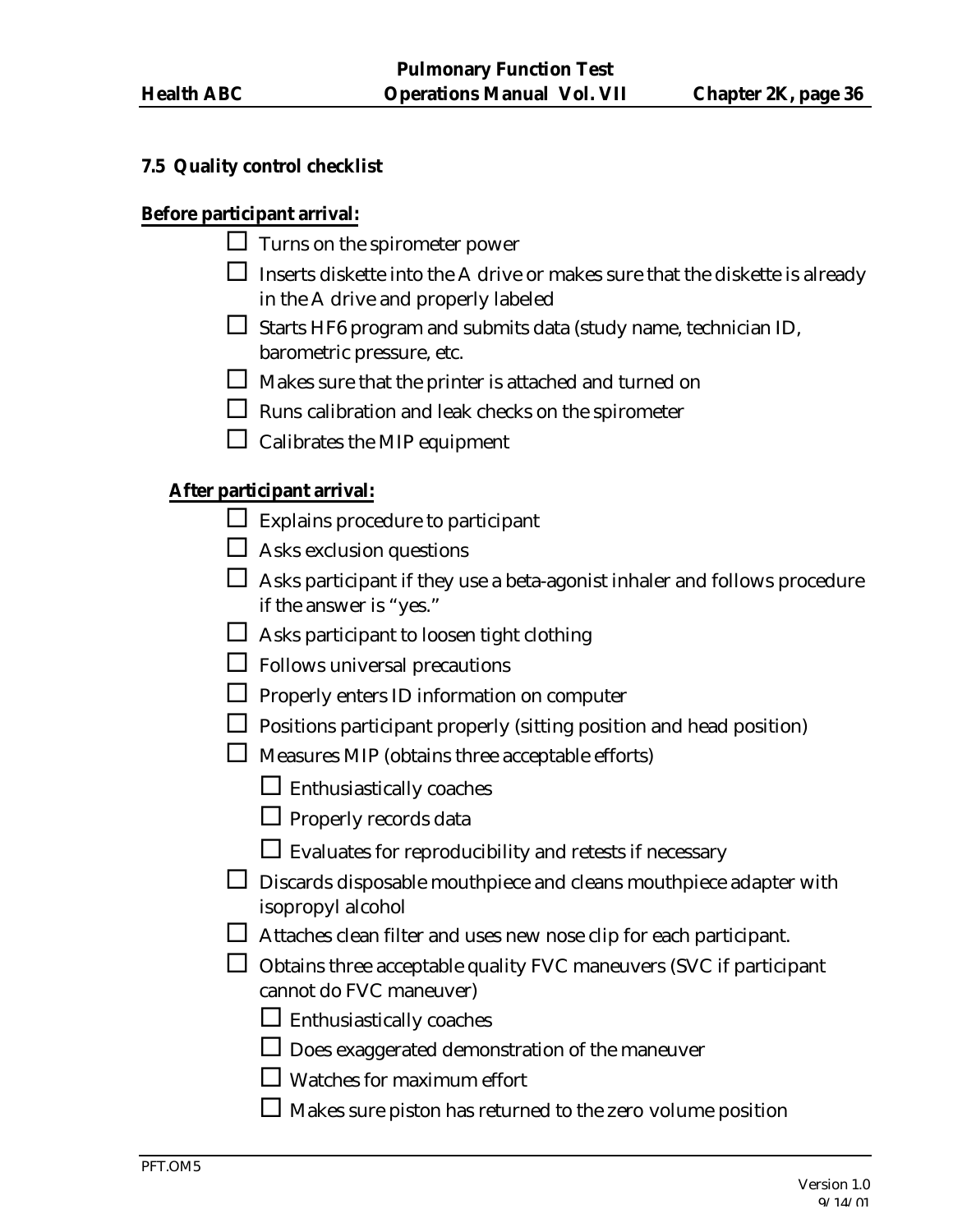#### **7.5 Quality control checklist**

#### **Before participant arrival:**

- $\Box$  Turns on the spirometer power
- $\Box$  Inserts diskette into the A drive or makes sure that the diskette is already in the A drive and properly labeled
- $\square$  Starts HF6 program and submits data (study name, technician ID, barometric pressure, etc.
- $\Box$  Makes sure that the printer is attached and turned on
- $\square$  Runs calibration and leak checks on the spirometer
- $\Box$  Calibrates the MIP equipment

#### **After participant arrival:**

- $\Box$  Explains procedure to participant
- $\Box$  Asks exclusion questions
- $\Box$  Asks participant if they use a beta-agonist inhaler and follows procedure if the answer is "yes."
- $\square$  Asks participant to loosen tight clothing
- $\Box$  Follows universal precautions
- $\Box$  Properly enters ID information on computer
- $\Box$  Positions participant properly (sitting position and head position)
- $\square$  Measures MIP (obtains three acceptable efforts)
	- $\square$  Enthusiastically coaches
	- $\Box$  Properly records data
	- $\square$  Evaluates for reproducibility and retests if necessary
- $\Box$  Discards disposable mouthpiece and cleans mouthpiece adapter with isopropyl alcohol
- $\Box$  Attaches clean filter and uses new nose clip for each participant.
- $\Box$  Obtains three acceptable quality FVC maneuvers (SVC if participant cannot do FVC maneuver)
	- $\Box$  Enthusiastically coaches
	- $\Box$  Does exaggerated demonstration of the maneuver
	- $\Box$  Watches for maximum effort
	- $\Box$  Makes sure piston has returned to the zero volume position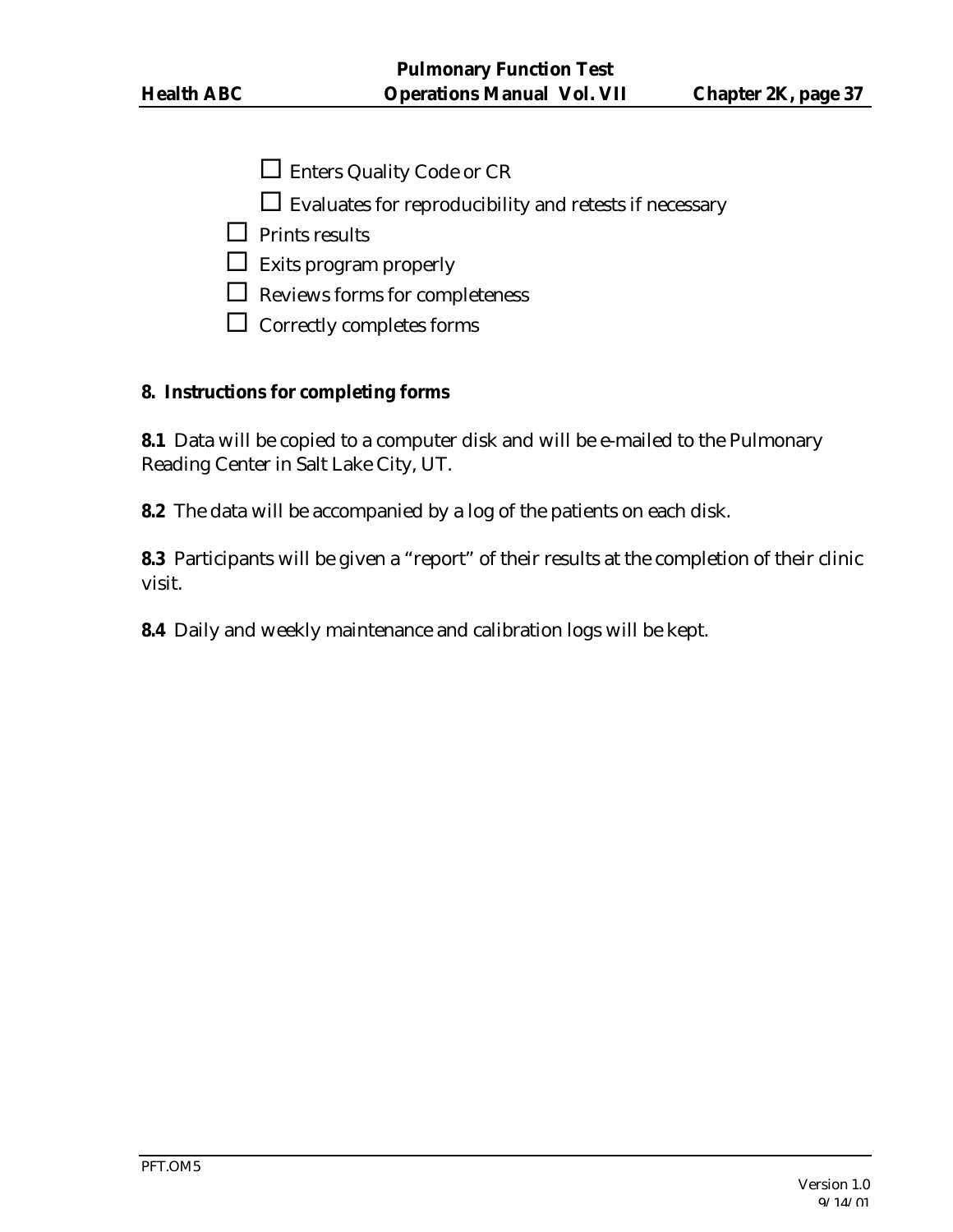- $\Box$  Enters Quality Code or CR
- $\square$  Evaluates for reproducibility and retests if necessary
- $\Box$  Prints results
- $\hfill\Box\ \text{Exists program properly}$
- $\Box$  Reviews forms for completeness
- $\square$  Correctly completes forms

#### **8. Instructions for completing forms**

**8.1** Data will be copied to a computer disk and will be e-mailed to the Pulmonary Reading Center in Salt Lake City, UT.

**8.2** The data will be accompanied by a log of the patients on each disk.

**8.3** Participants will be given a "report" of their results at the completion of their clinic visit.

**8.4** Daily and weekly maintenance and calibration logs will be kept.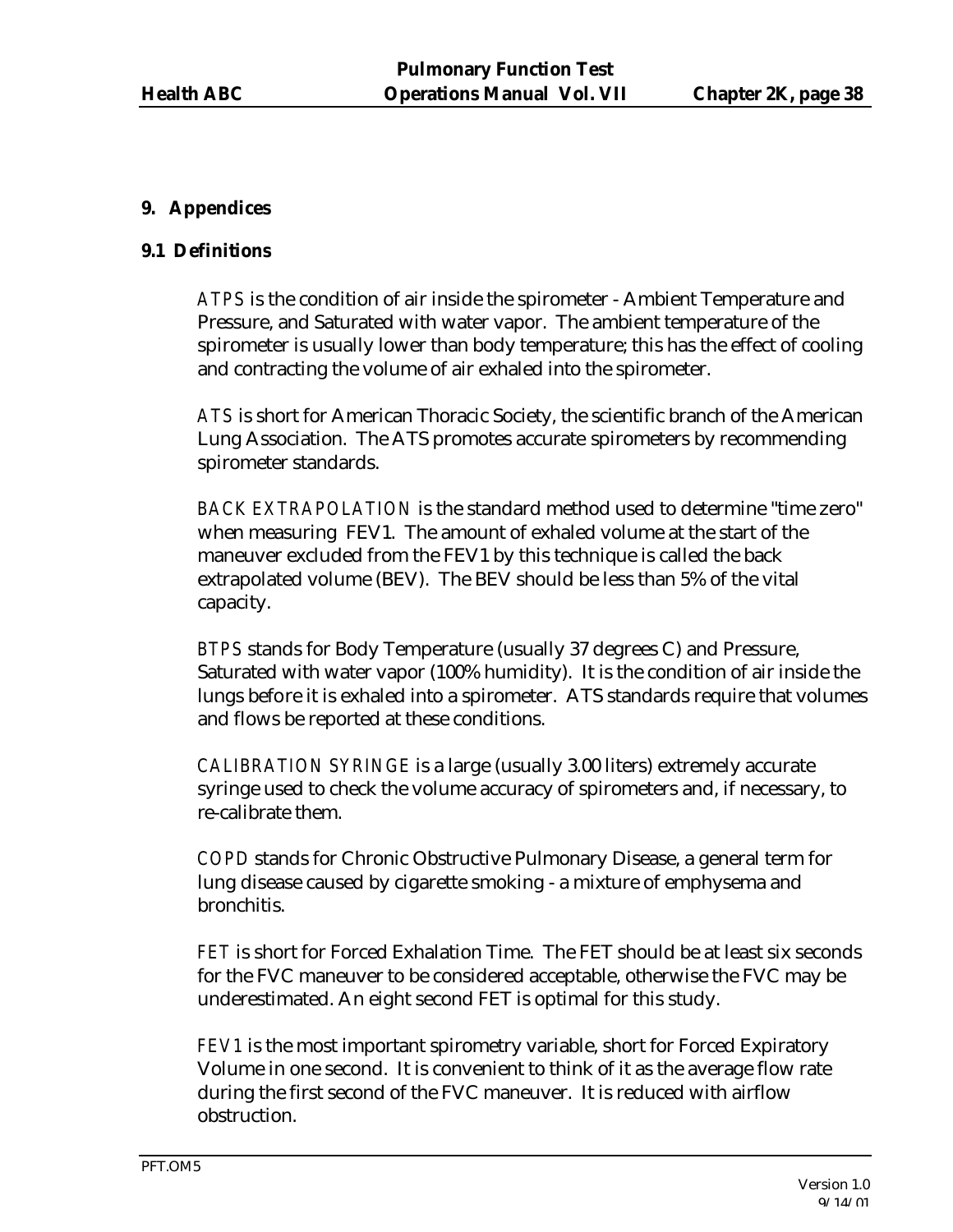## **9. Appendices**

### **9.1 Definitions**

*ATPS* is the condition of air inside the spirometer - Ambient Temperature and Pressure, and Saturated with water vapor. The ambient temperature of the spirometer is usually lower than body temperature; this has the effect of cooling and contracting the volume of air exhaled into the spirometer.

*ATS* is short for American Thoracic Society, the scientific branch of the American Lung Association. The ATS promotes accurate spirometers by recommending spirometer standards.

*BACK EXTRAPOLATION* is the standard method used to determine "time zero" when measuring FEV1. The amount of exhaled volume at the start of the maneuver excluded from the FEV1 by this technique is called the back extrapolated volume (BEV). The BEV should be less than 5% of the vital capacity.

*BTPS* stands for Body Temperature (usually 37 degrees C) and Pressure, Saturated with water vapor (100% humidity). It is the condition of air inside the lungs before it is exhaled into a spirometer. ATS standards require that volumes and flows be reported at these conditions.

*CALIBRATION SYRINGE* is a large (usually 3.00 liters) extremely accurate syringe used to check the volume accuracy of spirometers and, if necessary, to re-calibrate them.

*COPD* stands for Chronic Obstructive Pulmonary Disease, a general term for lung disease caused by cigarette smoking - a mixture of emphysema and bronchitis.

*FET* is short for Forced Exhalation Time. The FET should be at least six seconds for the FVC maneuver to be considered acceptable, otherwise the FVC may be underestimated. An eight second FET is optimal for this study.

*FEV1* is the most important spirometry variable, short for Forced Expiratory Volume in one second. It is convenient to think of it as the average flow rate during the first second of the FVC maneuver. It is reduced with airflow obstruction.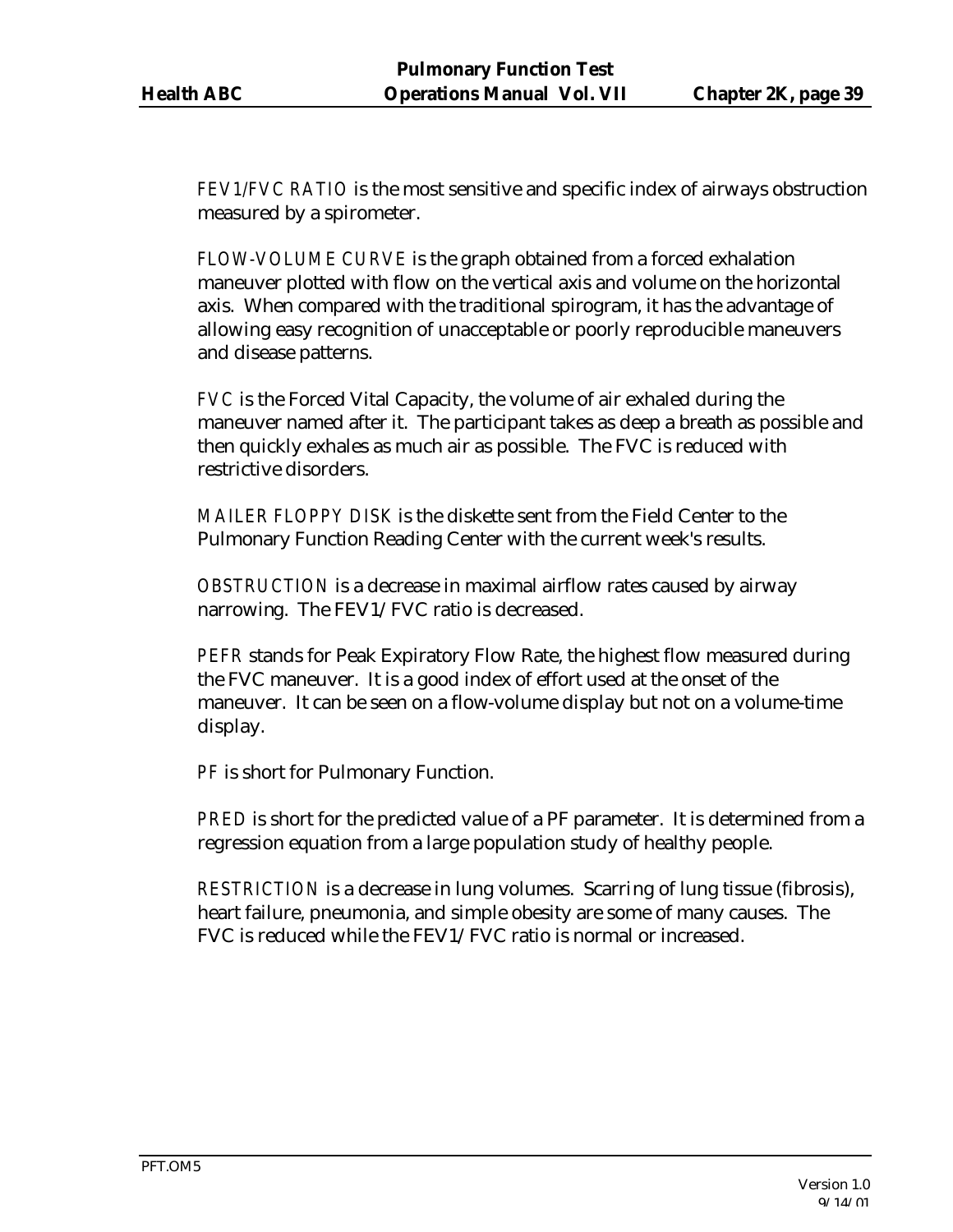*FEV1/FVC RATIO* is the most sensitive and specific index of airways obstruction measured by a spirometer.

*FLOW-VOLUME CURVE* is the graph obtained from a forced exhalation maneuver plotted with flow on the vertical axis and volume on the horizontal axis. When compared with the traditional spirogram, it has the advantage of allowing easy recognition of unacceptable or poorly reproducible maneuvers and disease patterns.

*FVC* is the Forced Vital Capacity, the volume of air exhaled during the maneuver named after it. The participant takes as deep a breath as possible and then quickly exhales as much air as possible. The FVC is reduced with restrictive disorders.

*MAILER FLOPPY DISK* is the diskette sent from the Field Center to the Pulmonary Function Reading Center with the current week's results.

*OBSTRUCTION* is a decrease in maximal airflow rates caused by airway narrowing. The FEV1/FVC ratio is decreased.

*PEFR* stands for Peak Expiratory Flow Rate, the highest flow measured during the FVC maneuver. It is a good index of effort used at the onset of the maneuver. It can be seen on a flow-volume display but not on a volume-time display.

*PF* is short for Pulmonary Function.

*PRED* is short for the predicted value of a PF parameter. It is determined from a regression equation from a large population study of healthy people.

*RESTRICTION* is a decrease in lung volumes. Scarring of lung tissue (fibrosis), heart failure, pneumonia, and simple obesity are some of many causes. The FVC is reduced while the FEV1/FVC ratio is normal or increased.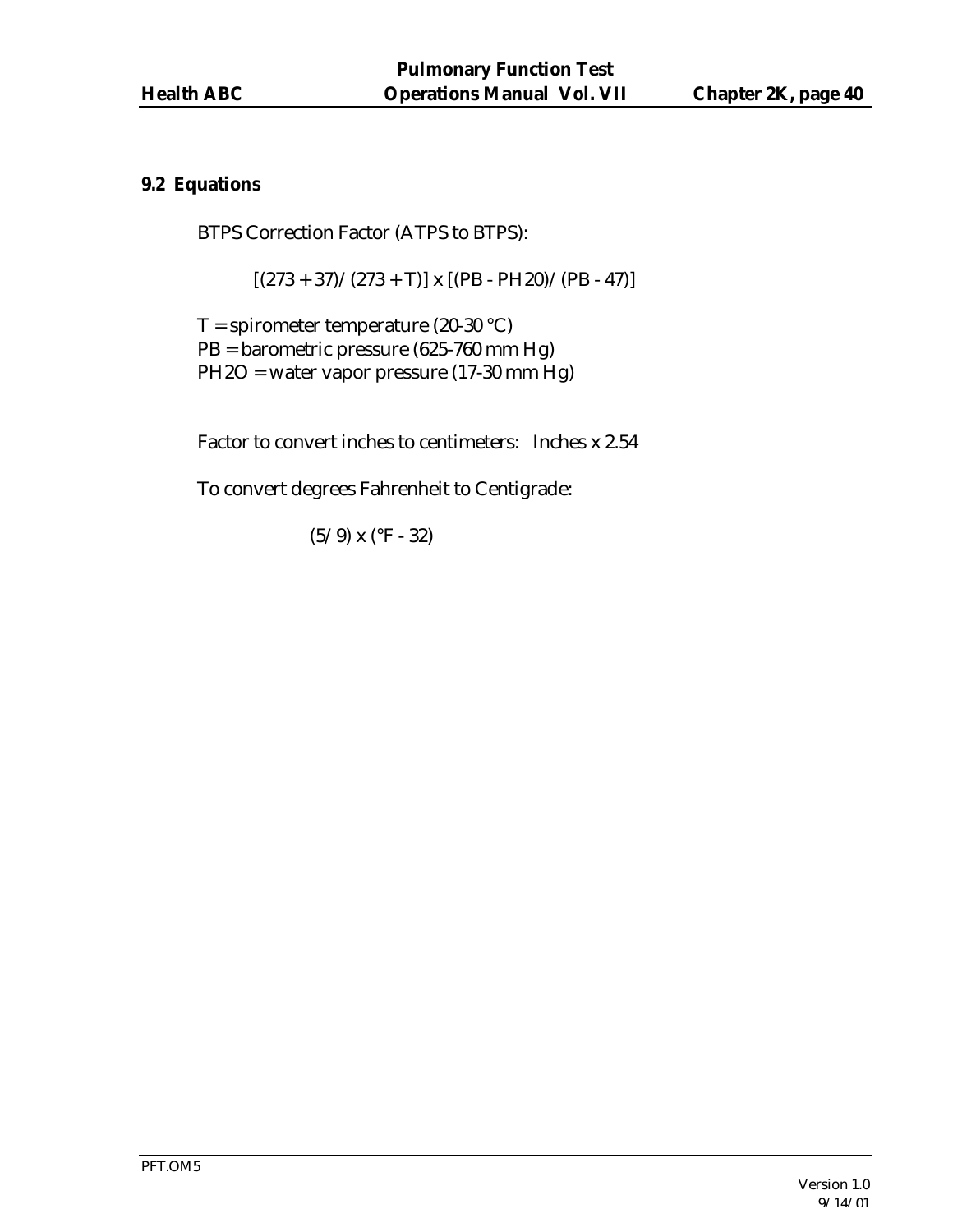### **9.2 Equations**

BTPS Correction Factor (ATPS to BTPS):

 $[(273 + 37)/(273 + T)]$  x  $[(PB - PH20)/(PB - 47)]$ 

 $T =$  spirometer temperature (20-30 °C) PB = barometric pressure (625-760 mm Hg) PH2O = water vapor pressure (17-30 mm Hg)

Factor to convert inches to centimeters: Inches x 2.54

To convert degrees Fahrenheit to Centigrade:

(5/9) x (°F - 32)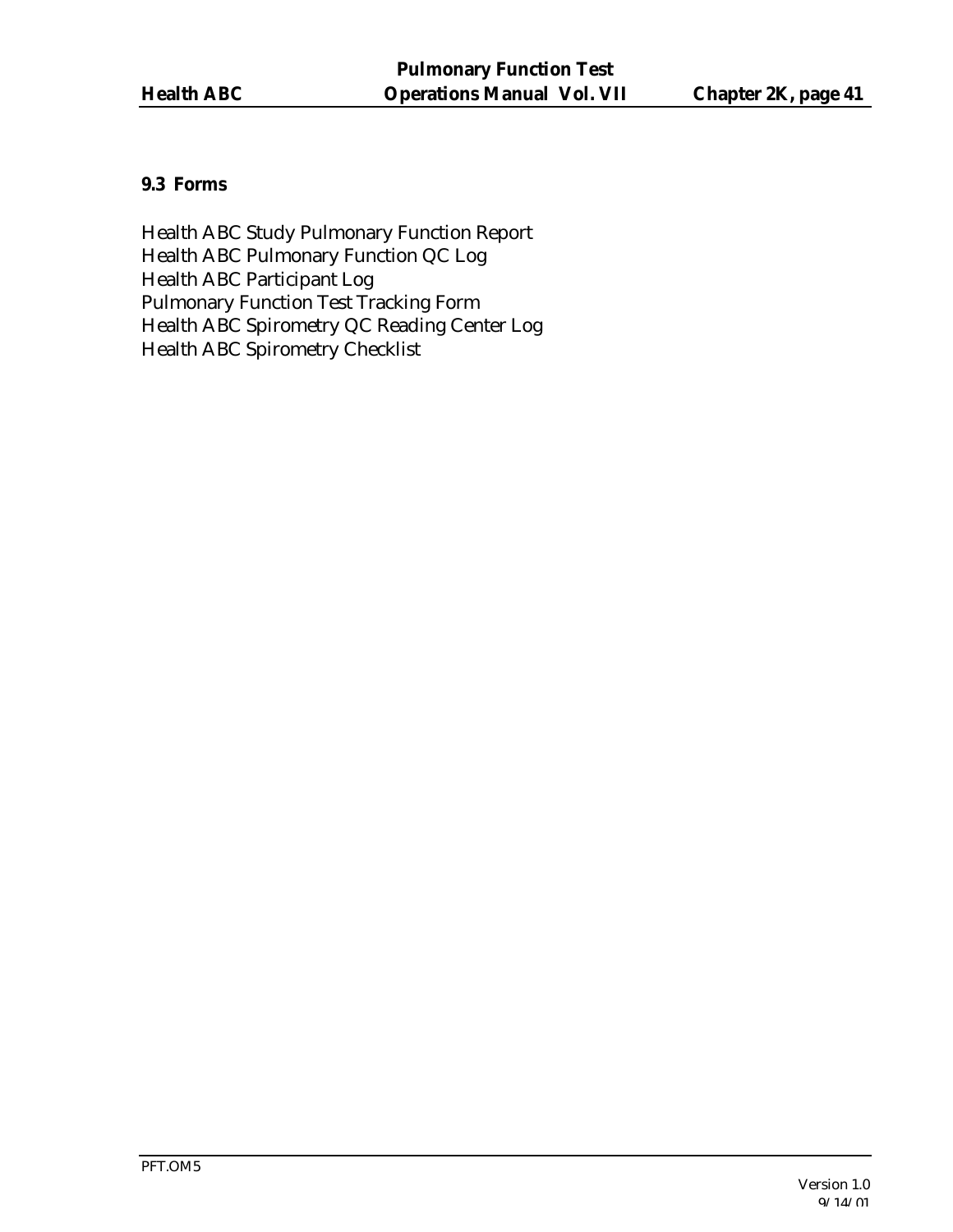## **9.3 Forms**

Health ABC Study Pulmonary Function Report Health ABC Pulmonary Function QC Log Health ABC Participant Log Pulmonary Function Test Tracking Form Health ABC Spirometry QC Reading Center Log Health ABC Spirometry Checklist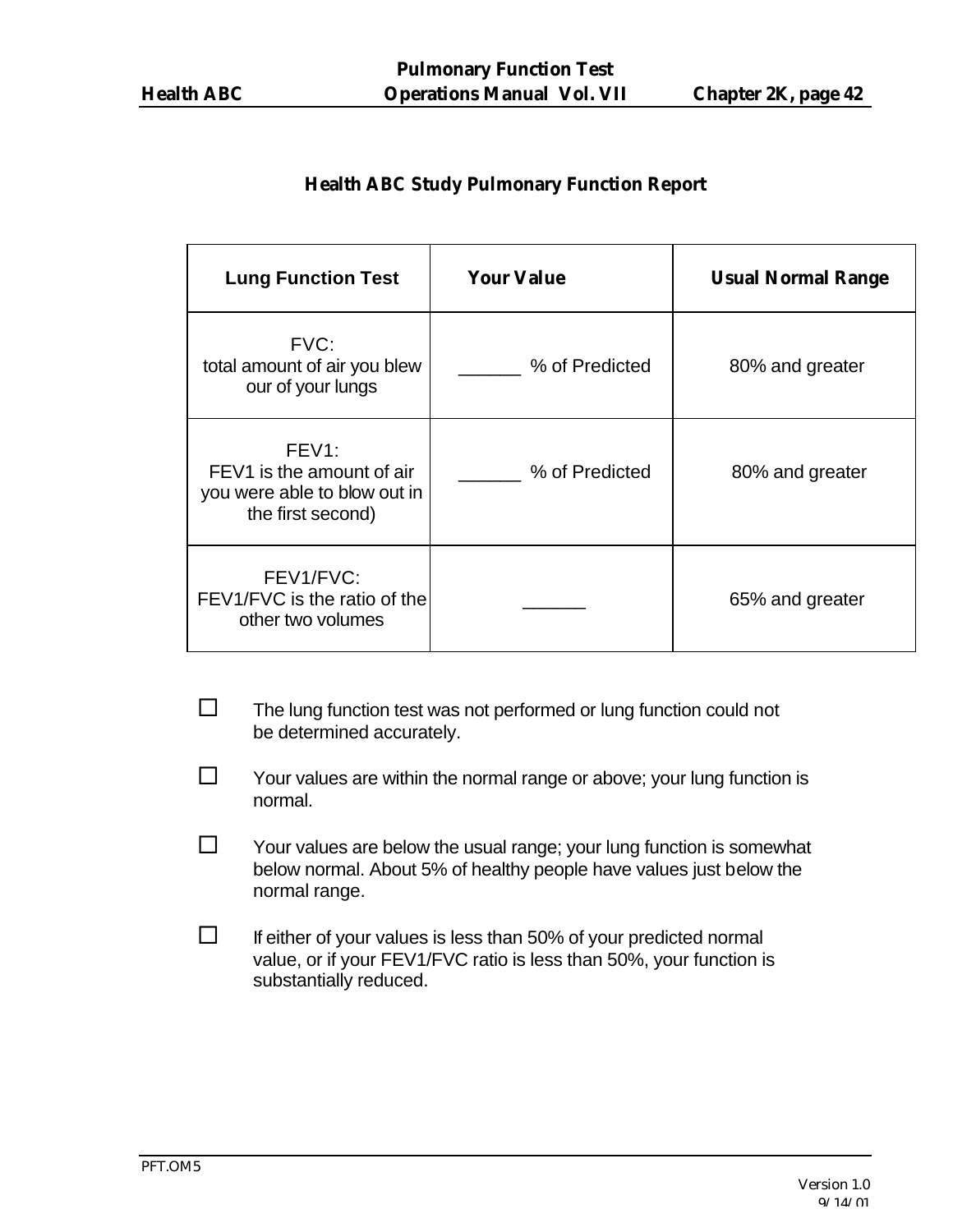## **Health ABC Study Pulmonary Function Report**

| <b>Lung Function Test</b>                                                                            | <b>Your Value</b> | <b>Usual Normal Range</b> |
|------------------------------------------------------------------------------------------------------|-------------------|---------------------------|
| FVC:<br>total amount of air you blew<br>our of your lungs                                            | % of Predicted    | 80% and greater           |
| FEV <sub>1</sub> :<br>FEV1 is the amount of air<br>you were able to blow out in<br>the first second) | % of Predicted    | 80% and greater           |
| FEV1/FVC:<br>FEV1/FVC is the ratio of the<br>other two volumes                                       |                   | 65% and greater           |

- $\square$  The lung function test was not performed or lung function could not be determined accurately.
- $\square$  Your values are within the normal range or above; your lung function is normal.
- $\square$  Your values are below the usual range; your lung function is somewhat below normal. About 5% of healthy people have values just below the normal range.
- $\square$  If either of your values is less than 50% of your predicted normal value, or if your FEV1/FVC ratio is less than 50%, your function is substantially reduced.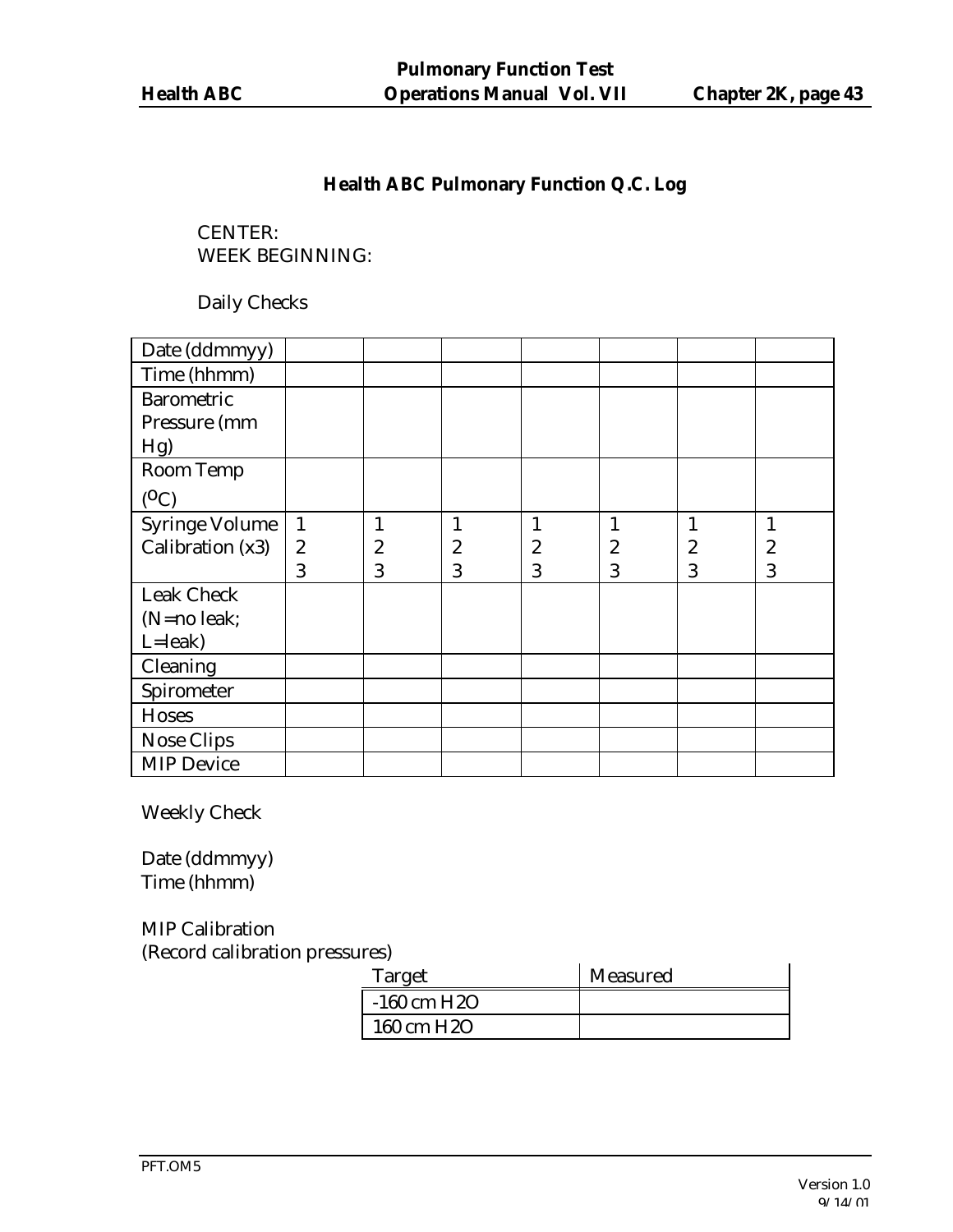## **Health ABC Pulmonary Function Q.C. Log**

CENTER: WEEK BEGINNING:

Daily Checks

| Date (ddmmyy)         |                  |                  |                |                  |                  |   |                  |
|-----------------------|------------------|------------------|----------------|------------------|------------------|---|------------------|
| Time (hhmm)           |                  |                  |                |                  |                  |   |                  |
| <b>Barometric</b>     |                  |                  |                |                  |                  |   |                  |
| Pressure (mm          |                  |                  |                |                  |                  |   |                  |
| Hg                    |                  |                  |                |                  |                  |   |                  |
| Room Temp             |                  |                  |                |                  |                  |   |                  |
| $(^0C)$               |                  |                  |                |                  |                  |   |                  |
| <b>Syringe Volume</b> | $\mathbf{1}$     | $\mathbf{1}$     | $\mathbf{1}$   | $\mathbf{1}$     | $\mathbf{1}$     |   | $\mathbf{1}$     |
| Calibration (x3)      | $\boldsymbol{2}$ | $\boldsymbol{2}$ | $\overline{c}$ | $\boldsymbol{2}$ | $\boldsymbol{2}$ | 2 | $\boldsymbol{2}$ |
|                       | 3                | 3                | 3              | 3                | 3                | 3 | 3                |
| <b>Leak Check</b>     |                  |                  |                |                  |                  |   |                  |
| $(N=no$ leak;         |                  |                  |                |                  |                  |   |                  |
| $L =$ leak)           |                  |                  |                |                  |                  |   |                  |
| Cleaning              |                  |                  |                |                  |                  |   |                  |
| Spirometer            |                  |                  |                |                  |                  |   |                  |
| <b>Hoses</b>          |                  |                  |                |                  |                  |   |                  |
| <b>Nose Clips</b>     |                  |                  |                |                  |                  |   |                  |
| <b>MIP Device</b>     |                  |                  |                |                  |                  |   |                  |

Weekly Check

Date (ddmmyy) Time (hhmm)

MIP Calibration (Record calibration pressures)

| Target                  | Measured |
|-------------------------|----------|
| $-160$ cm H2O           |          |
| 160 cm H <sub>2</sub> O |          |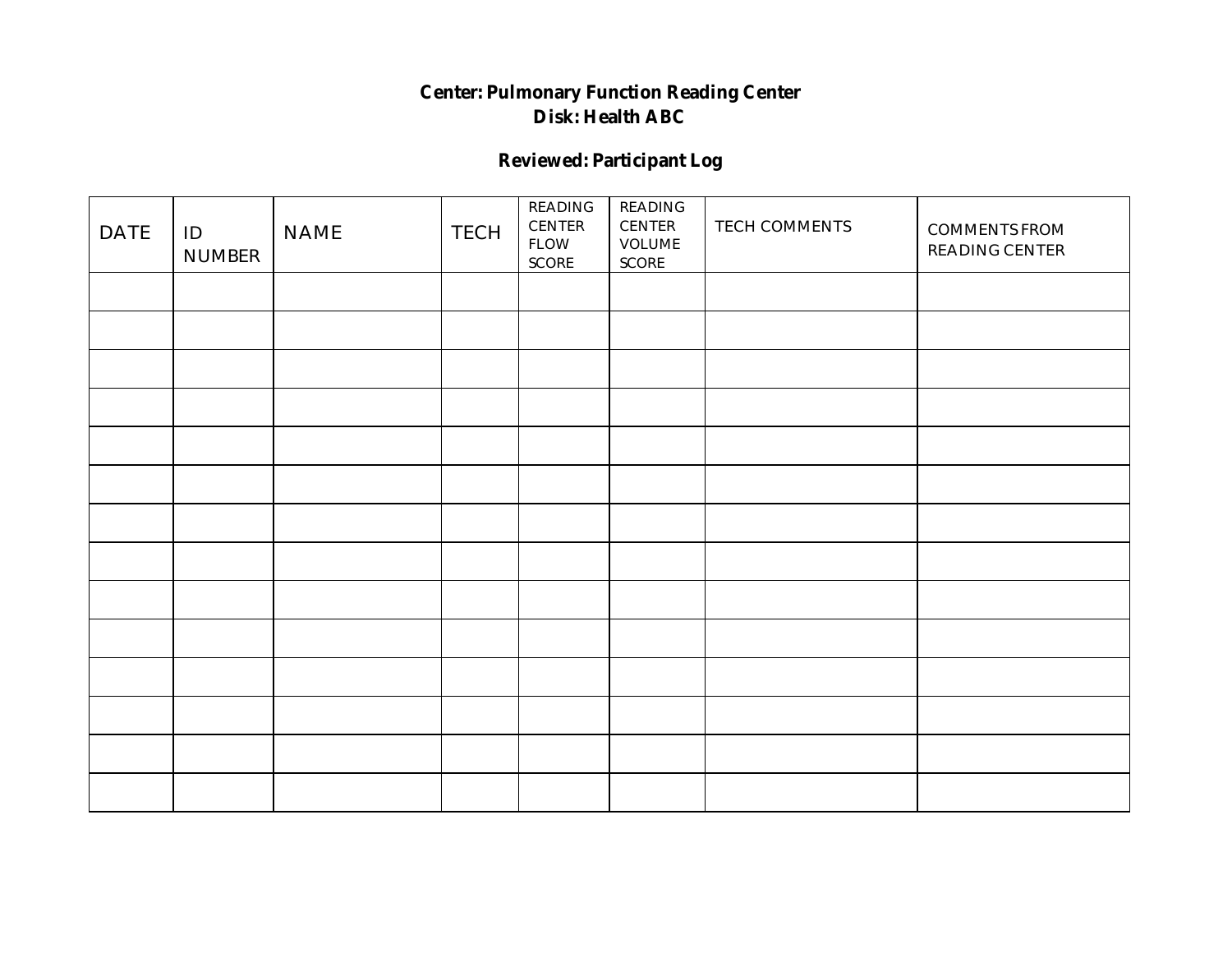## **Center: Pulmonary Function Reading Center Disk: Health ABC**

## **Reviewed: Participant Log**

| <b>DATE</b> | ID<br><b>NUMBER</b> | <b>NAME</b> | <b>TECH</b> | $\operatorname{READING}$<br>$\sf CENTER$<br>${\rm FLOW}$<br>$\operatorname{SCORE}$ | $\operatorname{READING}$<br>$\sf CENTER$<br><b>VOLUME</b><br>$\operatorname{SCORE}$ | TECH COMMENTS | <b>COMMENTS FROM</b><br>READING CENTER |
|-------------|---------------------|-------------|-------------|------------------------------------------------------------------------------------|-------------------------------------------------------------------------------------|---------------|----------------------------------------|
|             |                     |             |             |                                                                                    |                                                                                     |               |                                        |
|             |                     |             |             |                                                                                    |                                                                                     |               |                                        |
|             |                     |             |             |                                                                                    |                                                                                     |               |                                        |
|             |                     |             |             |                                                                                    |                                                                                     |               |                                        |
|             |                     |             |             |                                                                                    |                                                                                     |               |                                        |
|             |                     |             |             |                                                                                    |                                                                                     |               |                                        |
|             |                     |             |             |                                                                                    |                                                                                     |               |                                        |
|             |                     |             |             |                                                                                    |                                                                                     |               |                                        |
|             |                     |             |             |                                                                                    |                                                                                     |               |                                        |
|             |                     |             |             |                                                                                    |                                                                                     |               |                                        |
|             |                     |             |             |                                                                                    |                                                                                     |               |                                        |
|             |                     |             |             |                                                                                    |                                                                                     |               |                                        |
|             |                     |             |             |                                                                                    |                                                                                     |               |                                        |
|             |                     |             |             |                                                                                    |                                                                                     |               |                                        |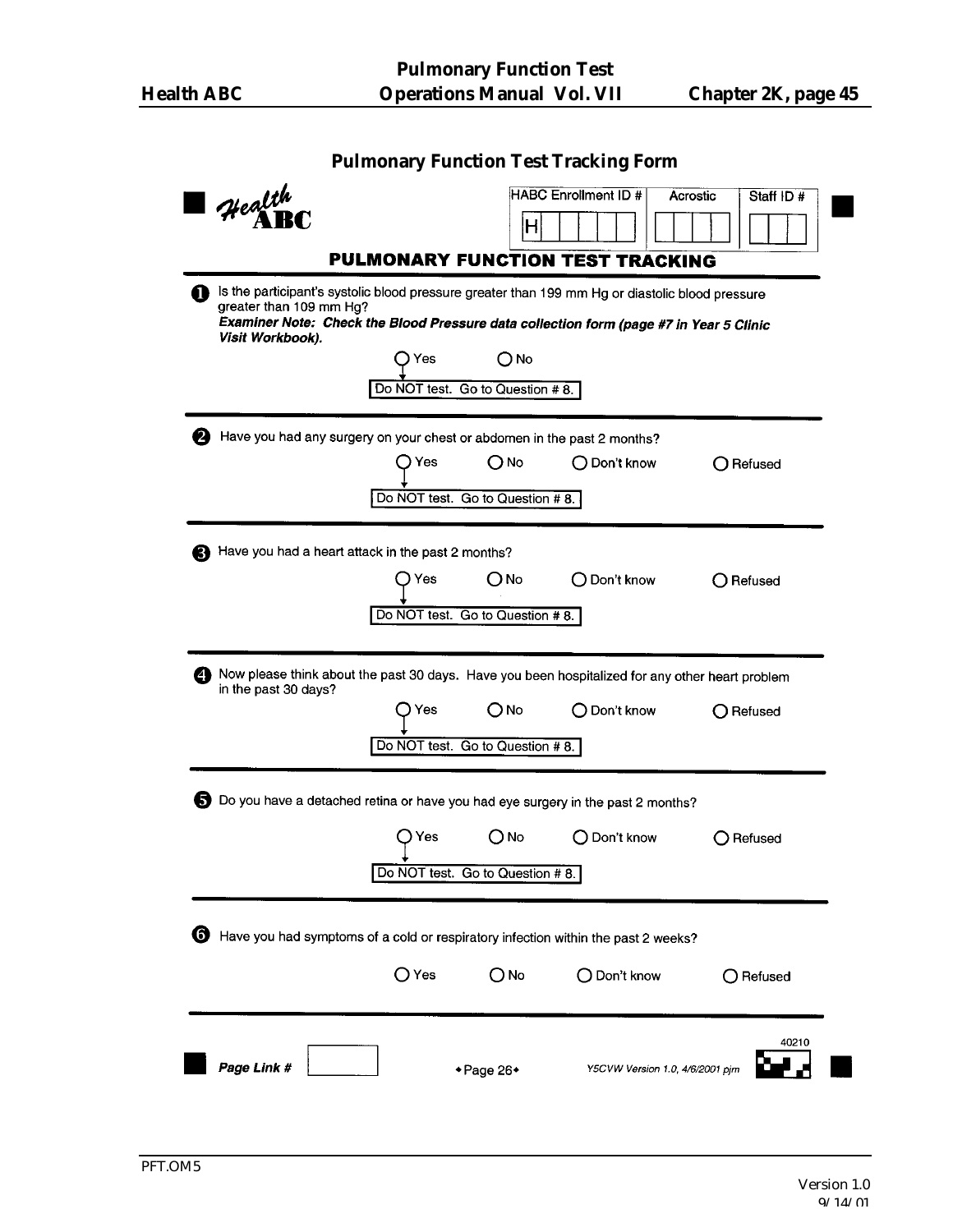| <b>Pulmonary Function Test Tracking Form</b>                                    |       |                                  |                                                                                                                                                                                           |                       |  |  |  |  |
|---------------------------------------------------------------------------------|-------|----------------------------------|-------------------------------------------------------------------------------------------------------------------------------------------------------------------------------------------|-----------------------|--|--|--|--|
| $4$ ealth                                                                       |       |                                  | <b>HABC Enrollment ID #</b>                                                                                                                                                               | Acrostic<br>Staff ID# |  |  |  |  |
|                                                                                 |       | н                                |                                                                                                                                                                                           |                       |  |  |  |  |
|                                                                                 |       |                                  | <b>PULMONARY FUNCTION TEST TRACKING</b>                                                                                                                                                   |                       |  |  |  |  |
| greater than 109 mm Hg?<br>Visit Workbook).                                     |       |                                  | Is the participant's systolic blood pressure greater than 199 mm Hg or diastolic blood pressure<br>Examiner Note: Check the Blood Pressure data collection form (page #7 in Year 5 Clinic |                       |  |  |  |  |
|                                                                                 | Yes   | ONo                              |                                                                                                                                                                                           |                       |  |  |  |  |
|                                                                                 |       | Do NOT test. Go to Question # 8. |                                                                                                                                                                                           |                       |  |  |  |  |
| Have you had any surgery on your chest or abdomen in the past 2 months?         |       |                                  |                                                                                                                                                                                           |                       |  |  |  |  |
|                                                                                 |       | $O$ No                           | $\bigcirc$ Don't know                                                                                                                                                                     | $\bigcap$ Refused     |  |  |  |  |
|                                                                                 |       | Do NOT test. Go to Question #8.  |                                                                                                                                                                                           |                       |  |  |  |  |
|                                                                                 |       |                                  |                                                                                                                                                                                           |                       |  |  |  |  |
| Have you had a heart attack in the past 2 months?                               |       |                                  |                                                                                                                                                                                           |                       |  |  |  |  |
|                                                                                 |       | $\bigcirc$ No $\blacksquare$     | ◯ Don't know                                                                                                                                                                              | ◯ Refused             |  |  |  |  |
|                                                                                 |       | Do NOT test. Go to Question #8.  |                                                                                                                                                                                           |                       |  |  |  |  |
|                                                                                 |       |                                  |                                                                                                                                                                                           |                       |  |  |  |  |
| 49<br>in the past 30 days?                                                      |       |                                  | Now please think about the past 30 days. Have you been hospitalized for any other heart problem                                                                                           |                       |  |  |  |  |
|                                                                                 |       |                                  | ◯ Don't know                                                                                                                                                                              | ◯ Refused             |  |  |  |  |
|                                                                                 |       | Do NOT test. Go to Question #8.  |                                                                                                                                                                                           |                       |  |  |  |  |
|                                                                                 |       |                                  |                                                                                                                                                                                           |                       |  |  |  |  |
| Do you have a detached retina or have you had eye surgery in the past 2 months? |       |                                  |                                                                                                                                                                                           |                       |  |  |  |  |
|                                                                                 | ) Yes | $O$ No                           | O Don't know                                                                                                                                                                              | ◯ Refused             |  |  |  |  |
|                                                                                 |       |                                  |                                                                                                                                                                                           |                       |  |  |  |  |
|                                                                                 |       | Do NOT test. Go to Question #8.  |                                                                                                                                                                                           |                       |  |  |  |  |
|                                                                                 |       |                                  |                                                                                                                                                                                           |                       |  |  |  |  |
| G                                                                               |       |                                  | Have you had symptoms of a cold or respiratory infection within the past 2 weeks?                                                                                                         |                       |  |  |  |  |
|                                                                                 | ○ Yes | О№                               | $\bigcirc$ Don't know                                                                                                                                                                     | $\bigcirc$ Refused    |  |  |  |  |
|                                                                                 |       |                                  |                                                                                                                                                                                           |                       |  |  |  |  |
|                                                                                 |       |                                  |                                                                                                                                                                                           | 40210                 |  |  |  |  |
| Page Link #                                                                     |       | ◆Page 26◆                        | Y5CVW Version 1.0, 4/6/2001 pjm                                                                                                                                                           |                       |  |  |  |  |
|                                                                                 |       |                                  |                                                                                                                                                                                           |                       |  |  |  |  |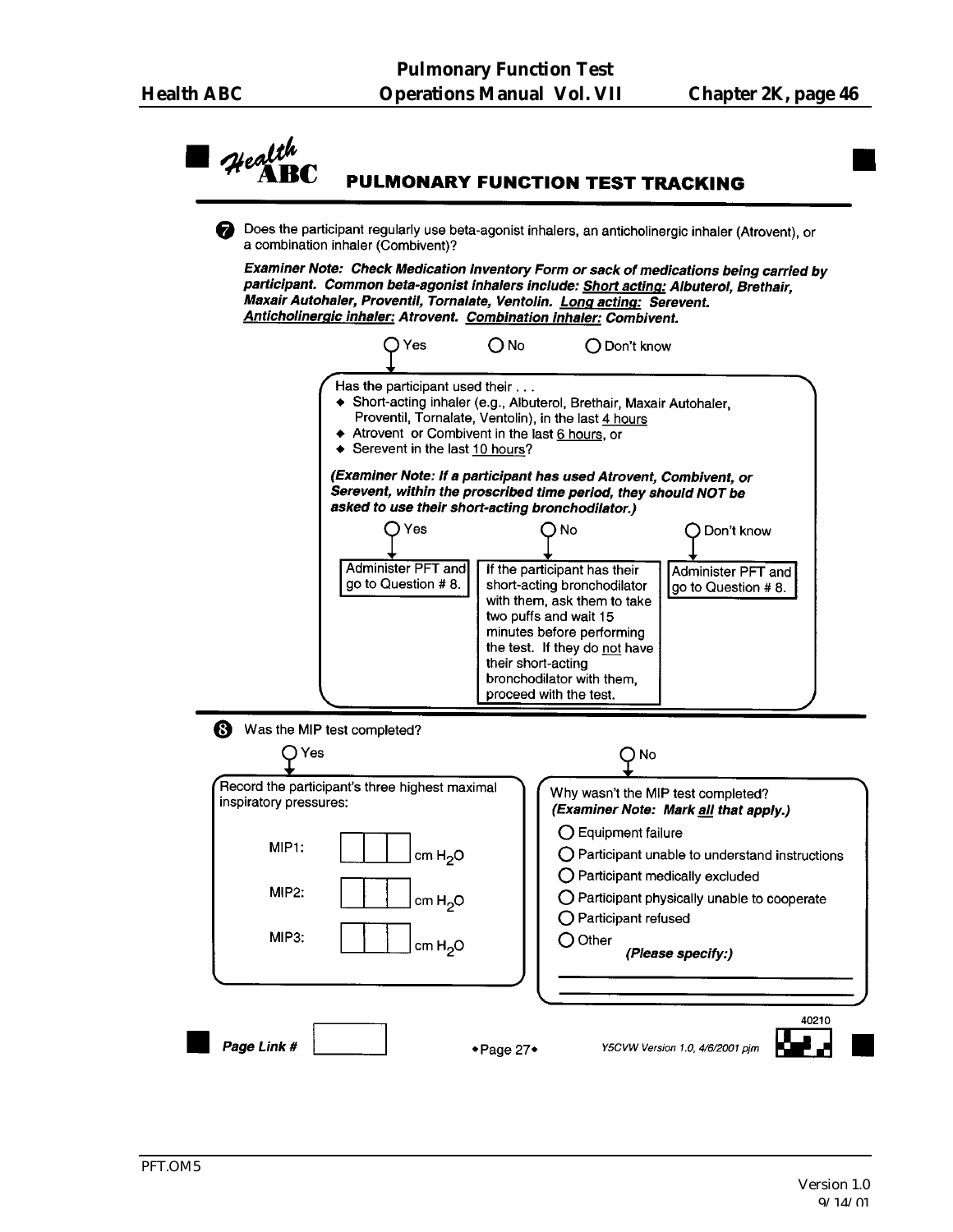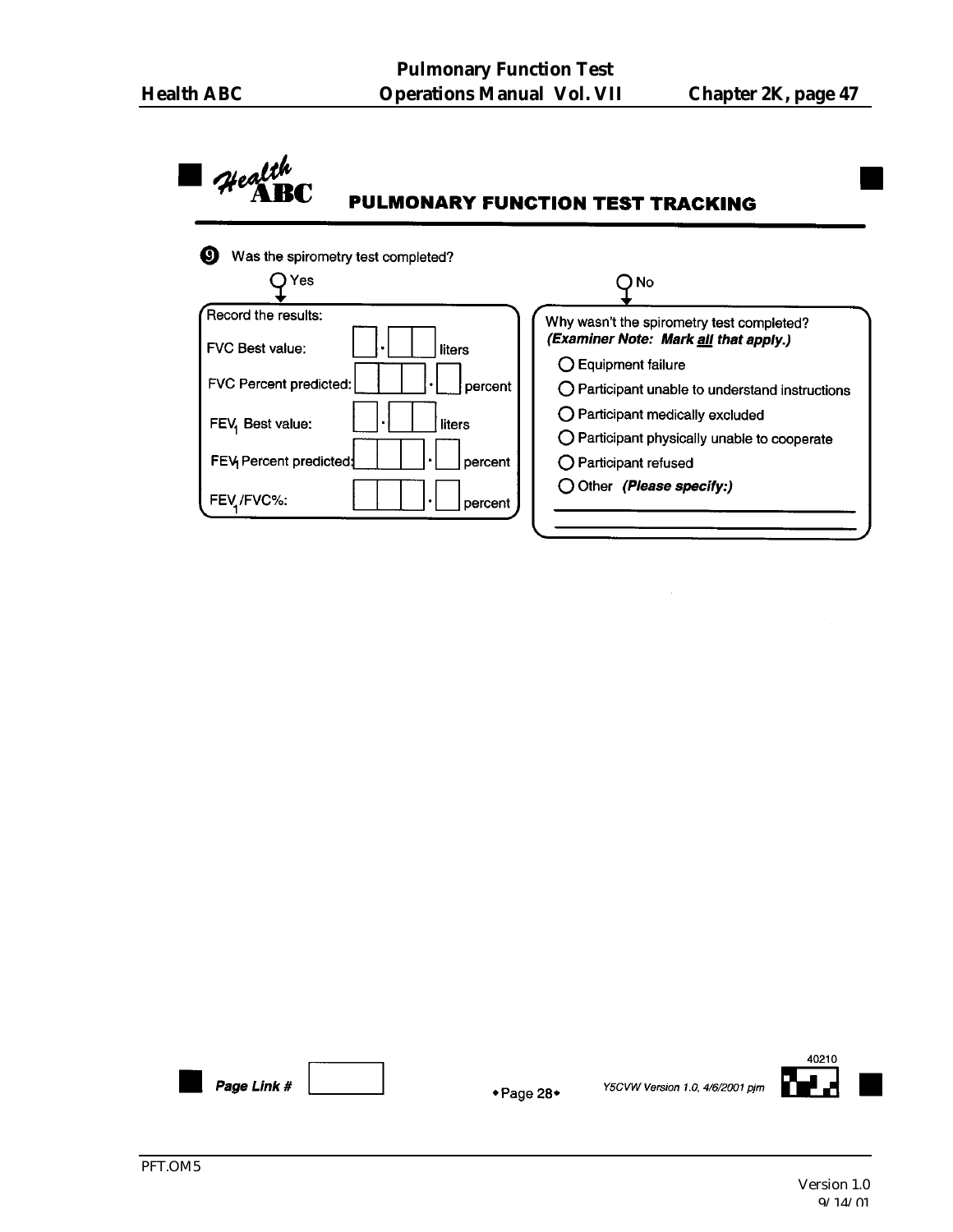#### $\mathcal{H}$ ealth PULMONARY FUNCTION TEST TRACKING Was the spirometry test completed?  $O$  Yes  $O$  No Record the results: Why wasn't the spirometry test completed? (Examiner Note: Mark all that apply.) FVC Best value: liters ○ Equipment failure FVC Percent predicted: percent O Participant unable to understand instructions O Participant medically excluded FEV, Best value: liters O Participant physically unable to cooperate FEV Percent predicted: percent O Participant refused O Other (Please specify:) FEV / FVC%: percent

Page Link #

◆ Page 28◆

Y5CVW Version 1.0, 4/6/2001 pjm

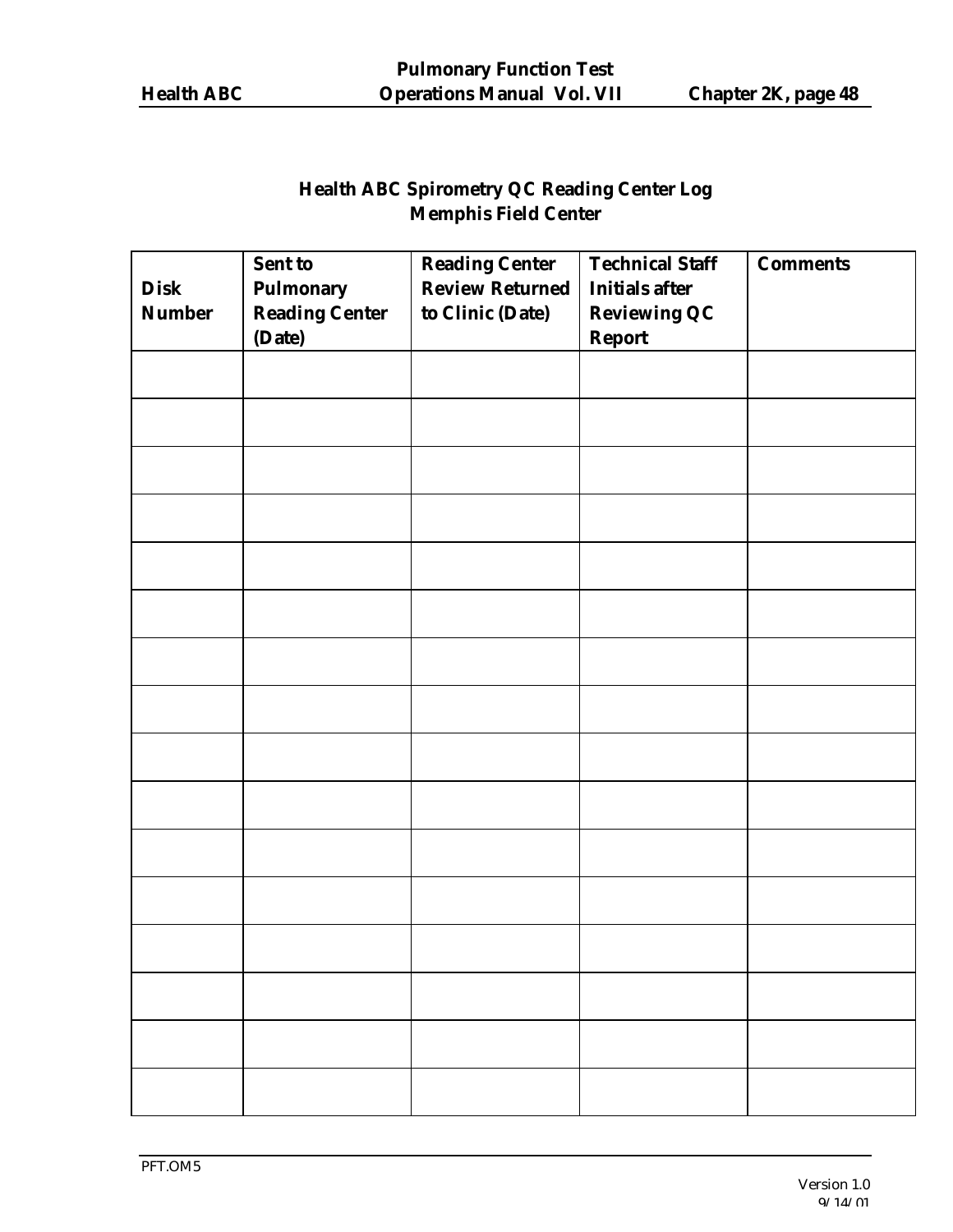## **Health ABC Spirometry QC Reading Center Log Memphis Field Center**

| <b>Disk</b><br><b>Number</b> | <b>Sent to</b><br><b>Pulmonary</b><br><b>Reading Center</b><br>(Date) | <b>Reading Center</b><br><b>Review Returned</b><br>to Clinic (Date) | <b>Technical Staff</b><br><b>Initials after</b><br><b>Reviewing QC</b><br><b>Report</b> | <b>Comments</b> |
|------------------------------|-----------------------------------------------------------------------|---------------------------------------------------------------------|-----------------------------------------------------------------------------------------|-----------------|
|                              |                                                                       |                                                                     |                                                                                         |                 |
|                              |                                                                       |                                                                     |                                                                                         |                 |
|                              |                                                                       |                                                                     |                                                                                         |                 |
|                              |                                                                       |                                                                     |                                                                                         |                 |
|                              |                                                                       |                                                                     |                                                                                         |                 |
|                              |                                                                       |                                                                     |                                                                                         |                 |
|                              |                                                                       |                                                                     |                                                                                         |                 |
|                              |                                                                       |                                                                     |                                                                                         |                 |
|                              |                                                                       |                                                                     |                                                                                         |                 |
|                              |                                                                       |                                                                     |                                                                                         |                 |
|                              |                                                                       |                                                                     |                                                                                         |                 |
|                              |                                                                       |                                                                     |                                                                                         |                 |
|                              |                                                                       |                                                                     |                                                                                         |                 |
|                              |                                                                       |                                                                     |                                                                                         |                 |
|                              |                                                                       |                                                                     |                                                                                         |                 |
|                              |                                                                       |                                                                     |                                                                                         |                 |
|                              |                                                                       |                                                                     |                                                                                         |                 |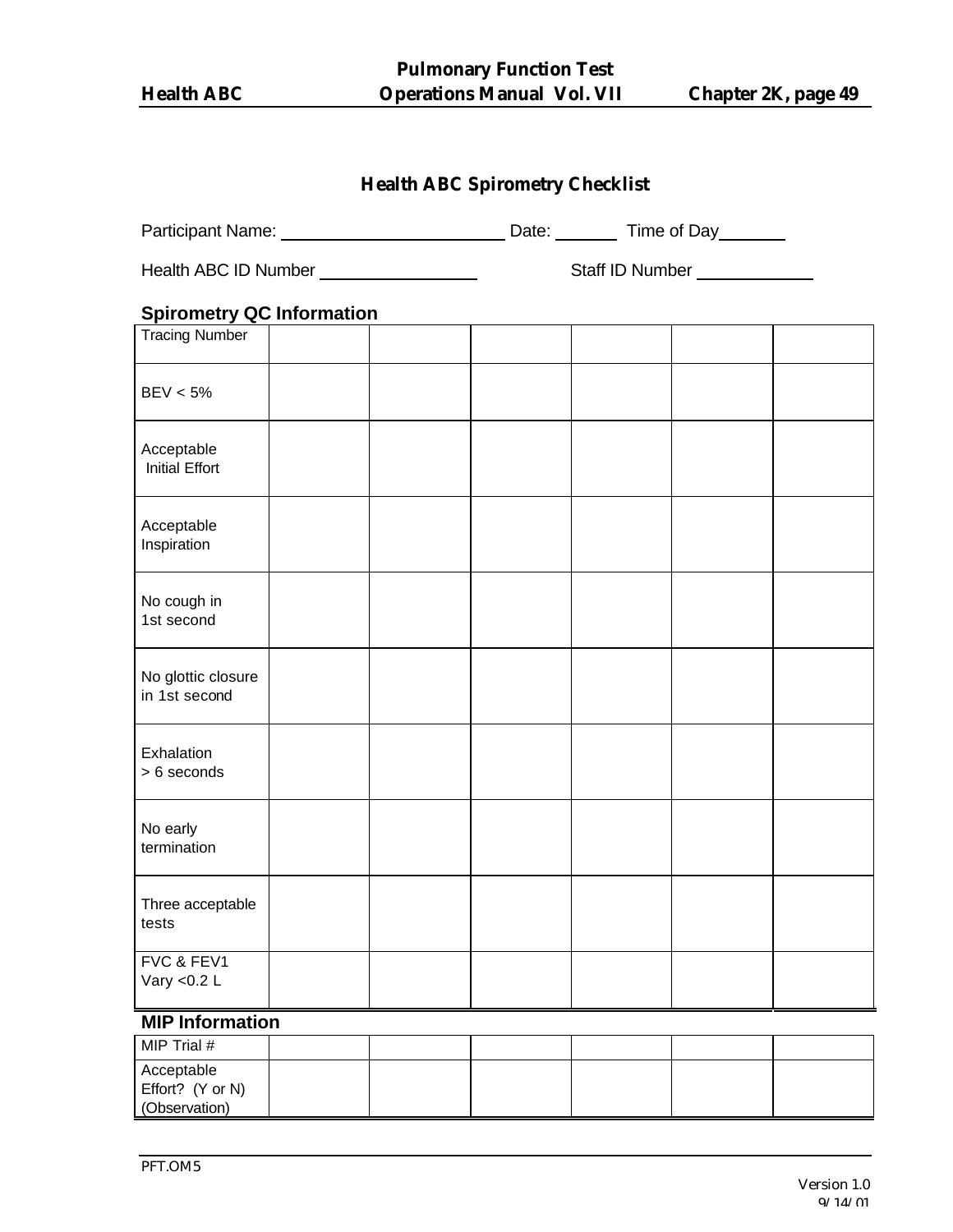**Pulmonary Function Test Health ABC Operations Manual Vol. VII Chapter 2K, page 49**

| <b>Health ABC Spirometry Checklist</b>          |  |  |  |  |                               |  |  |
|-------------------------------------------------|--|--|--|--|-------------------------------|--|--|
|                                                 |  |  |  |  |                               |  |  |
| Health ABC ID Number __________________________ |  |  |  |  | Staff ID Number _____________ |  |  |
| <b>Spirometry QC Information</b>                |  |  |  |  |                               |  |  |
| <b>Tracing Number</b>                           |  |  |  |  |                               |  |  |
| BEV < 5%                                        |  |  |  |  |                               |  |  |
| Acceptable<br><b>Initial Effort</b>             |  |  |  |  |                               |  |  |
| Acceptable<br>Inspiration                       |  |  |  |  |                               |  |  |
| No cough in<br>1st second                       |  |  |  |  |                               |  |  |
| No glottic closure<br>in 1st second             |  |  |  |  |                               |  |  |
| Exhalation<br>> 6 seconds                       |  |  |  |  |                               |  |  |
| No early<br>termination                         |  |  |  |  |                               |  |  |
| Three acceptable<br>tests                       |  |  |  |  |                               |  |  |
| FVC & FEV1<br>Vary < $0.2 L$                    |  |  |  |  |                               |  |  |
| MID Information                                 |  |  |  |  |                               |  |  |

#### **MIP Information**

| MIP Trial $#$                                   |  |  |  |
|-------------------------------------------------|--|--|--|
| Acceptable<br>Effort? (Y or N)<br>(Observation) |  |  |  |